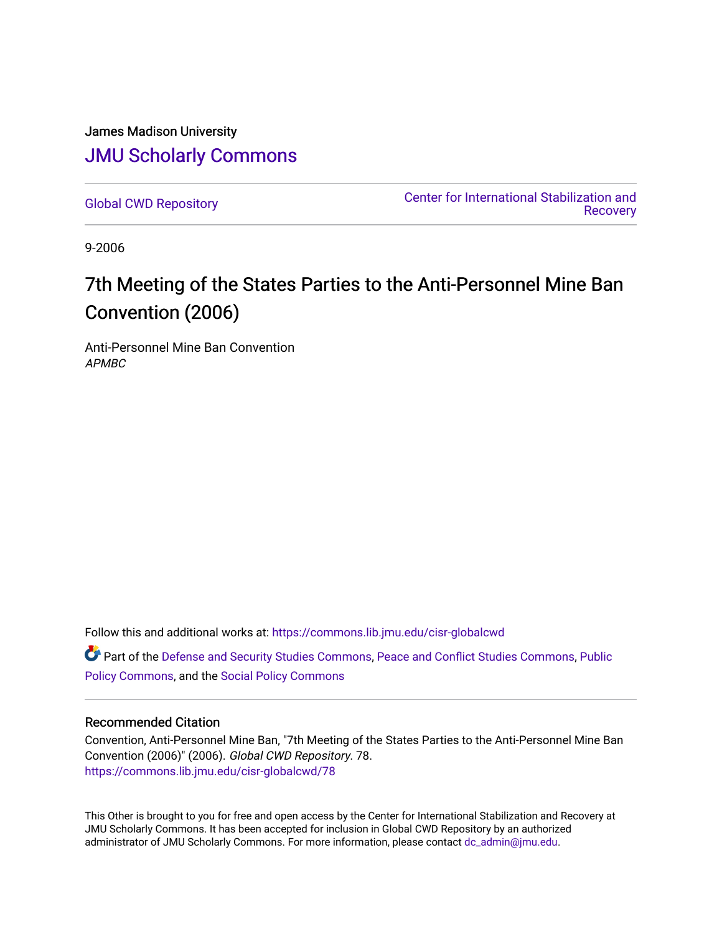James Madison University [JMU Scholarly Commons](https://commons.lib.jmu.edu/)

[Global CWD Repository](https://commons.lib.jmu.edu/cisr-globalcwd) [Center for International Stabilization and](https://commons.lib.jmu.edu/cisr)  **Recovery** 

9-2006

## 7th Meeting of the States Parties to the Anti-Personnel Mine Ban Convention (2006)

Anti-Personnel Mine Ban Convention APMBC

Follow this and additional works at: [https://commons.lib.jmu.edu/cisr-globalcwd](https://commons.lib.jmu.edu/cisr-globalcwd?utm_source=commons.lib.jmu.edu%2Fcisr-globalcwd%2F78&utm_medium=PDF&utm_campaign=PDFCoverPages)

Part of the [Defense and Security Studies Commons](http://network.bepress.com/hgg/discipline/394?utm_source=commons.lib.jmu.edu%2Fcisr-globalcwd%2F78&utm_medium=PDF&utm_campaign=PDFCoverPages), [Peace and Conflict Studies Commons](http://network.bepress.com/hgg/discipline/397?utm_source=commons.lib.jmu.edu%2Fcisr-globalcwd%2F78&utm_medium=PDF&utm_campaign=PDFCoverPages), [Public](http://network.bepress.com/hgg/discipline/400?utm_source=commons.lib.jmu.edu%2Fcisr-globalcwd%2F78&utm_medium=PDF&utm_campaign=PDFCoverPages) [Policy Commons](http://network.bepress.com/hgg/discipline/400?utm_source=commons.lib.jmu.edu%2Fcisr-globalcwd%2F78&utm_medium=PDF&utm_campaign=PDFCoverPages), and the [Social Policy Commons](http://network.bepress.com/hgg/discipline/1030?utm_source=commons.lib.jmu.edu%2Fcisr-globalcwd%2F78&utm_medium=PDF&utm_campaign=PDFCoverPages)

#### Recommended Citation

Convention, Anti-Personnel Mine Ban, "7th Meeting of the States Parties to the Anti-Personnel Mine Ban Convention (2006)" (2006). Global CWD Repository. 78. [https://commons.lib.jmu.edu/cisr-globalcwd/78](https://commons.lib.jmu.edu/cisr-globalcwd/78?utm_source=commons.lib.jmu.edu%2Fcisr-globalcwd%2F78&utm_medium=PDF&utm_campaign=PDFCoverPages) 

This Other is brought to you for free and open access by the Center for International Stabilization and Recovery at JMU Scholarly Commons. It has been accepted for inclusion in Global CWD Repository by an authorized administrator of JMU Scholarly Commons. For more information, please contact [dc\\_admin@jmu.edu](mailto:dc_admin@jmu.edu).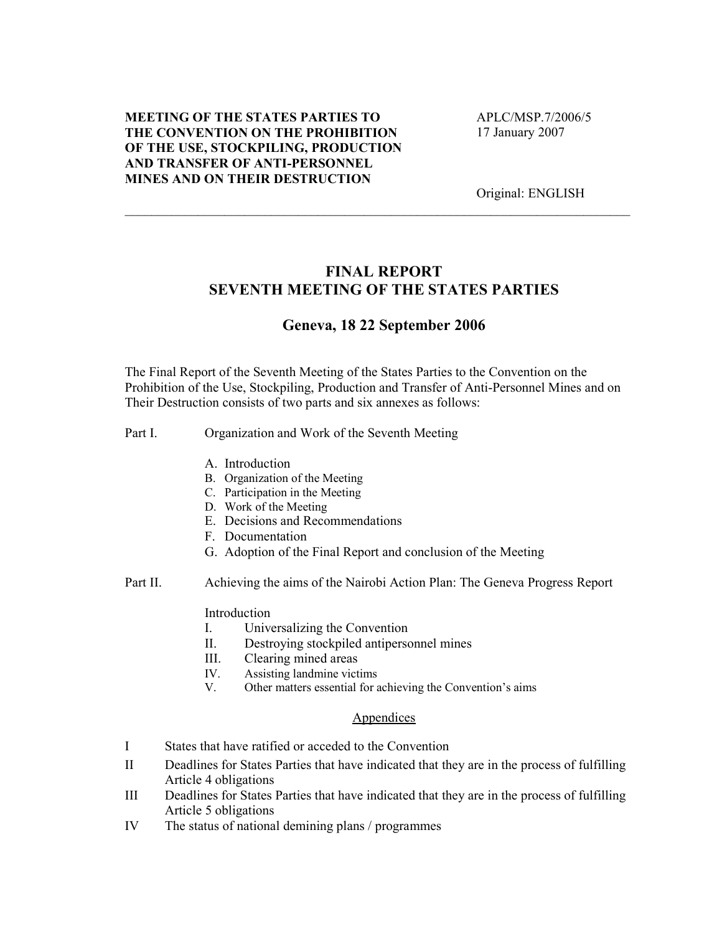#### MEETING OF THE STATES PARTIES TO THE CONVENTION ON THE PROHIBITION OF THE USE, STOCKPILING, PRODUCTION AND TRANSFER OF ANTI-PERSONNEL MINES AND ON THEIR DESTRUCTION

 APLC/MSP.7/2006/5 17 January 2007

Original: ENGLISH

#### FINAL REPORT SEVENTH MEETING OF THE STATES PARTIES

\_\_\_\_\_\_\_\_\_\_\_\_\_\_\_\_\_\_\_\_\_\_\_\_\_\_\_\_\_\_\_\_\_\_\_\_\_\_\_\_\_\_\_\_\_\_\_\_\_\_\_\_\_\_\_\_\_\_\_\_\_\_\_\_\_\_\_\_\_\_\_\_\_\_\_\_

#### Geneva, 18 22 September 2006

The Final Report of the Seventh Meeting of the States Parties to the Convention on the Prohibition of the Use, Stockpiling, Production and Transfer of Anti-Personnel Mines and on Their Destruction consists of two parts and six annexes as follows:

#### Part I. Organization and Work of the Seventh Meeting

- A. Introduction
- B. Organization of the Meeting
- C. Participation in the Meeting
- D. Work of the Meeting
- E. Decisions and Recommendations
- F. Documentation
- G. Adoption of the Final Report and conclusion of the Meeting
- Part II. Achieving the aims of the Nairobi Action Plan: The Geneva Progress Report

#### Introduction

- I. Universalizing the Convention
- II. Destroying stockpiled antipersonnel mines
- III. Clearing mined areas
- IV. Assisting landmine victims<br>V. Other matters essential for a
- Other matters essential for achieving the Convention's aims

#### Appendices

- I States that have ratified or acceded to the Convention
- II Deadlines for States Parties that have indicated that they are in the process of fulfilling Article 4 obligations
- III Deadlines for States Parties that have indicated that they are in the process of fulfilling Article 5 obligations
- IV The status of national demining plans / programmes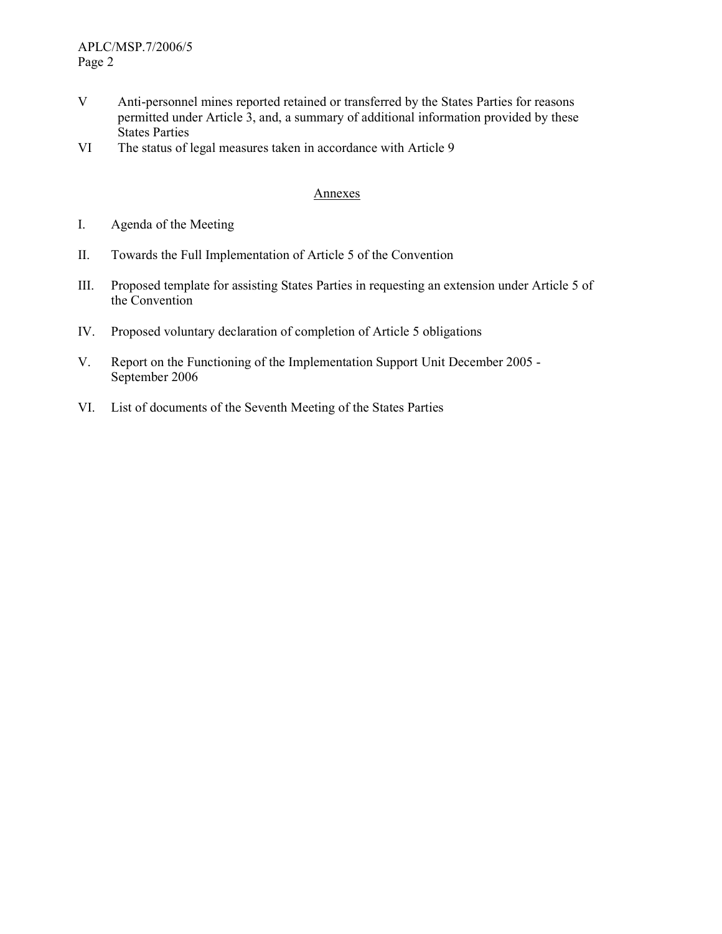- V Anti-personnel mines reported retained or transferred by the States Parties for reasons permitted under Article 3, and, a summary of additional information provided by these States Parties
- VI The status of legal measures taken in accordance with Article 9

#### Annexes

- I. Agenda of the Meeting
- II. Towards the Full Implementation of Article 5 of the Convention
- III. Proposed template for assisting States Parties in requesting an extension under Article 5 of the Convention
- IV. Proposed voluntary declaration of completion of Article 5 obligations
- V. Report on the Functioning of the Implementation Support Unit December 2005 September 2006
- VI. List of documents of the Seventh Meeting of the States Parties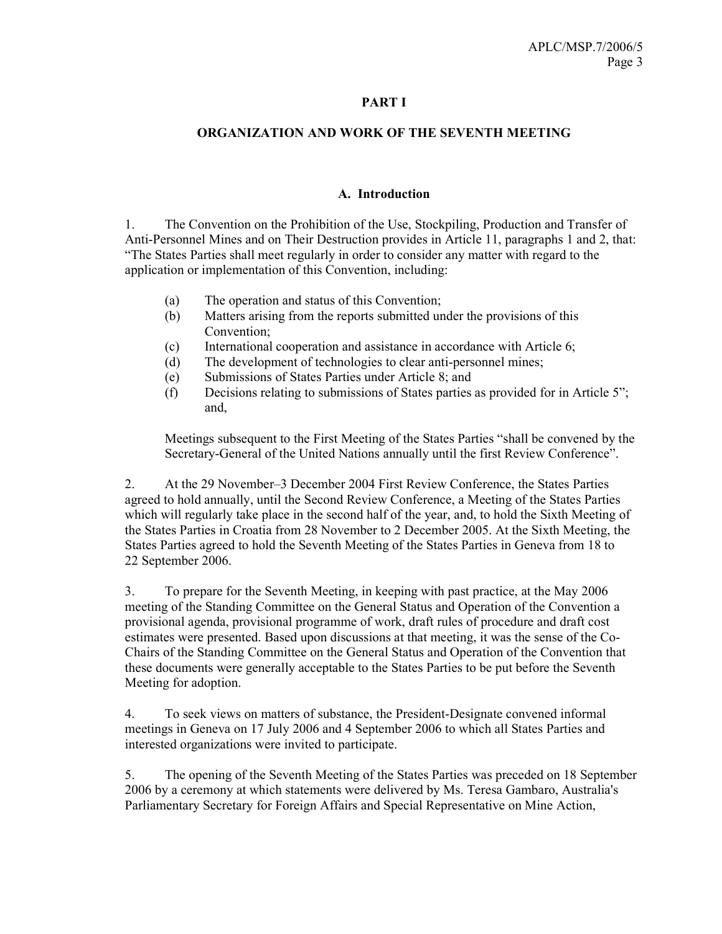#### PART I

#### ORGANIZATION AND WORK OF THE SEVENTH MEETING

#### A. Introduction

1. The Convention on the Prohibition of the Use, Stockpiling, Production and Transfer of Anti-Personnel Mines and on Their Destruction provides in Article 11, paragraphs 1 and 2, that: "The States Parties shall meet regularly in order to consider any matter with regard to the application or implementation of this Convention, including:

- (a) The operation and status of this Convention;
- (b) Matters arising from the reports submitted under the provisions of this Convention;
- (c) International cooperation and assistance in accordance with Article 6;
- (d) The development of technologies to clear anti-personnel mines;
- (e) Submissions of States Parties under Article 8; and
- (f) Decisions relating to submissions of States parties as provided for in Article 5"; and,

Meetings subsequent to the First Meeting of the States Parties "shall be convened by the Secretary-General of the United Nations annually until the first Review Conference".

2. At the 29 November–3 December 2004 First Review Conference, the States Parties agreed to hold annually, until the Second Review Conference, a Meeting of the States Parties which will regularly take place in the second half of the year, and, to hold the Sixth Meeting of the States Parties in Croatia from 28 November to 2 December 2005. At the Sixth Meeting, the States Parties agreed to hold the Seventh Meeting of the States Parties in Geneva from 18 to 22 September 2006.

3. To prepare for the Seventh Meeting, in keeping with past practice, at the May 2006 meeting of the Standing Committee on the General Status and Operation of the Convention a provisional agenda, provisional programme of work, draft rules of procedure and draft cost estimates were presented. Based upon discussions at that meeting, it was the sense of the Co-Chairs of the Standing Committee on the General Status and Operation of the Convention that these documents were generally acceptable to the States Parties to be put before the Seventh Meeting for adoption.

4. To seek views on matters of substance, the President-Designate convened informal meetings in Geneva on 17 July 2006 and 4 September 2006 to which all States Parties and interested organizations were invited to participate.

5. The opening of the Seventh Meeting of the States Parties was preceded on 18 September 2006 by a ceremony at which statements were delivered by Ms. Teresa Gambaro, Australia's Parliamentary Secretary for Foreign Affairs and Special Representative on Mine Action,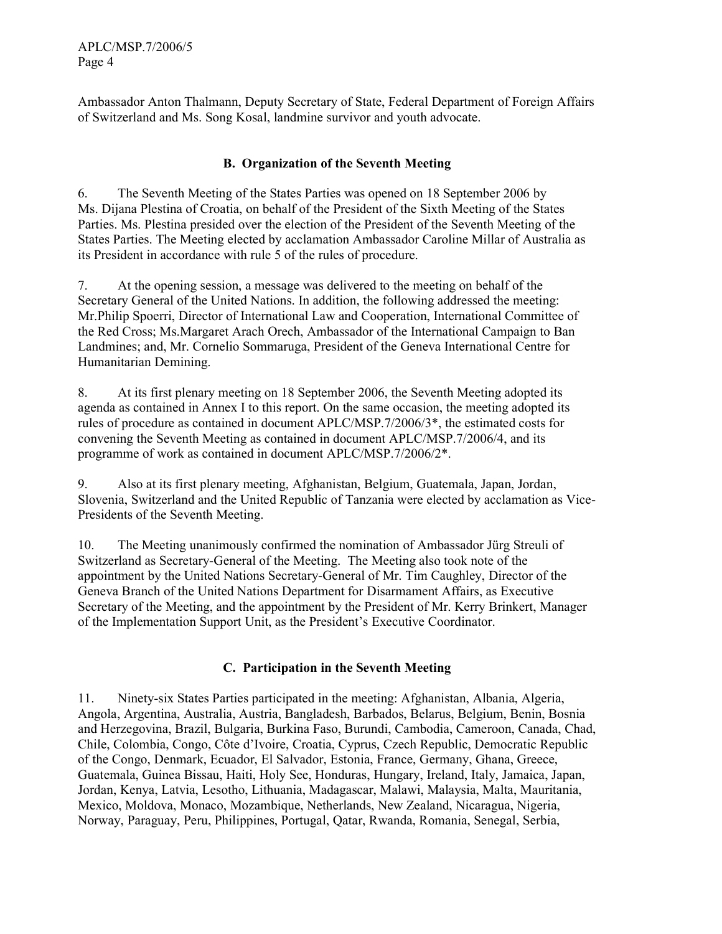APLC/MSP.7/2006/5 Page 4

Ambassador Anton Thalmann, Deputy Secretary of State, Federal Department of Foreign Affairs of Switzerland and Ms. Song Kosal, landmine survivor and youth advocate.

#### B. Organization of the Seventh Meeting

6. The Seventh Meeting of the States Parties was opened on 18 September 2006 by Ms. Dijana Plestina of Croatia, on behalf of the President of the Sixth Meeting of the States Parties. Ms. Plestina presided over the election of the President of the Seventh Meeting of the States Parties. The Meeting elected by acclamation Ambassador Caroline Millar of Australia as its President in accordance with rule 5 of the rules of procedure.

7. At the opening session, a message was delivered to the meeting on behalf of the Secretary General of the United Nations. In addition, the following addressed the meeting: Mr.Philip Spoerri, Director of International Law and Cooperation, International Committee of the Red Cross; Ms.Margaret Arach Orech, Ambassador of the International Campaign to Ban Landmines; and, Mr. Cornelio Sommaruga, President of the Geneva International Centre for Humanitarian Demining.

8. At its first plenary meeting on 18 September 2006, the Seventh Meeting adopted its agenda as contained in Annex I to this report. On the same occasion, the meeting adopted its rules of procedure as contained in document APLC/MSP.7/2006/3\*, the estimated costs for convening the Seventh Meeting as contained in document APLC/MSP.7/2006/4, and its programme of work as contained in document APLC/MSP.7/2006/2\*.

9. Also at its first plenary meeting, Afghanistan, Belgium, Guatemala, Japan, Jordan, Slovenia, Switzerland and the United Republic of Tanzania were elected by acclamation as Vice-Presidents of the Seventh Meeting.

10. The Meeting unanimously confirmed the nomination of Ambassador Jürg Streuli of Switzerland as Secretary-General of the Meeting. The Meeting also took note of the appointment by the United Nations Secretary-General of Mr. Tim Caughley, Director of the Geneva Branch of the United Nations Department for Disarmament Affairs, as Executive Secretary of the Meeting, and the appointment by the President of Mr. Kerry Brinkert, Manager of the Implementation Support Unit, as the President's Executive Coordinator.

#### C. Participation in the Seventh Meeting

11. Ninety-six States Parties participated in the meeting: Afghanistan, Albania, Algeria, Angola, Argentina, Australia, Austria, Bangladesh, Barbados, Belarus, Belgium, Benin, Bosnia and Herzegovina, Brazil, Bulgaria, Burkina Faso, Burundi, Cambodia, Cameroon, Canada, Chad, Chile, Colombia, Congo, Côte d'Ivoire, Croatia, Cyprus, Czech Republic, Democratic Republic of the Congo, Denmark, Ecuador, El Salvador, Estonia, France, Germany, Ghana, Greece, Guatemala, Guinea Bissau, Haiti, Holy See, Honduras, Hungary, Ireland, Italy, Jamaica, Japan, Jordan, Kenya, Latvia, Lesotho, Lithuania, Madagascar, Malawi, Malaysia, Malta, Mauritania, Mexico, Moldova, Monaco, Mozambique, Netherlands, New Zealand, Nicaragua, Nigeria, Norway, Paraguay, Peru, Philippines, Portugal, Qatar, Rwanda, Romania, Senegal, Serbia,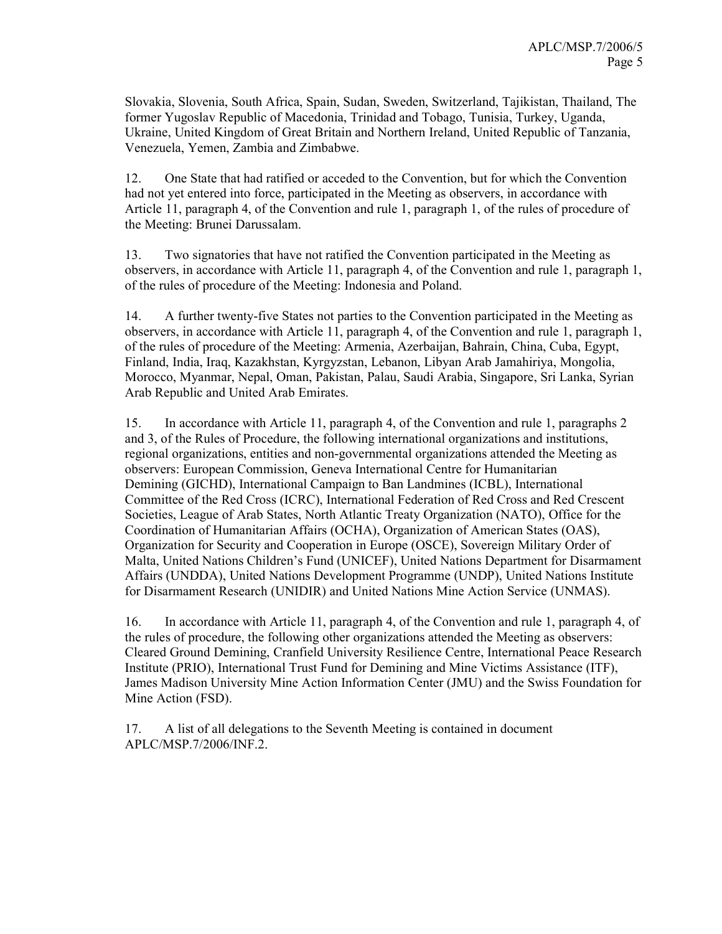Slovakia, Slovenia, South Africa, Spain, Sudan, Sweden, Switzerland, Tajikistan, Thailand, The former Yugoslav Republic of Macedonia, Trinidad and Tobago, Tunisia, Turkey, Uganda, Ukraine, United Kingdom of Great Britain and Northern Ireland, United Republic of Tanzania, Venezuela, Yemen, Zambia and Zimbabwe.

12. One State that had ratified or acceded to the Convention, but for which the Convention had not yet entered into force, participated in the Meeting as observers, in accordance with Article 11, paragraph 4, of the Convention and rule 1, paragraph 1, of the rules of procedure of the Meeting: Brunei Darussalam.

13. Two signatories that have not ratified the Convention participated in the Meeting as observers, in accordance with Article 11, paragraph 4, of the Convention and rule 1, paragraph 1, of the rules of procedure of the Meeting: Indonesia and Poland.

14. A further twenty-five States not parties to the Convention participated in the Meeting as observers, in accordance with Article 11, paragraph 4, of the Convention and rule 1, paragraph 1, of the rules of procedure of the Meeting: Armenia, Azerbaijan, Bahrain, China, Cuba, Egypt, Finland, India, Iraq, Kazakhstan, Kyrgyzstan, Lebanon, Libyan Arab Jamahiriya, Mongolia, Morocco, Myanmar, Nepal, Oman, Pakistan, Palau, Saudi Arabia, Singapore, Sri Lanka, Syrian Arab Republic and United Arab Emirates.

15. In accordance with Article 11, paragraph 4, of the Convention and rule 1, paragraphs 2 and 3, of the Rules of Procedure, the following international organizations and institutions, regional organizations, entities and non-governmental organizations attended the Meeting as observers: European Commission, Geneva International Centre for Humanitarian Demining (GICHD), International Campaign to Ban Landmines (ICBL), International Committee of the Red Cross (ICRC), International Federation of Red Cross and Red Crescent Societies, League of Arab States, North Atlantic Treaty Organization (NATO), Office for the Coordination of Humanitarian Affairs (OCHA), Organization of American States (OAS), Organization for Security and Cooperation in Europe (OSCE), Sovereign Military Order of Malta, United Nations Children's Fund (UNICEF), United Nations Department for Disarmament Affairs (UNDDA), United Nations Development Programme (UNDP), United Nations Institute for Disarmament Research (UNIDIR) and United Nations Mine Action Service (UNMAS).

16. In accordance with Article 11, paragraph 4, of the Convention and rule 1, paragraph 4, of the rules of procedure, the following other organizations attended the Meeting as observers: Cleared Ground Demining, Cranfield University Resilience Centre, International Peace Research Institute (PRIO), International Trust Fund for Demining and Mine Victims Assistance (ITF), James Madison University Mine Action Information Center (JMU) and the Swiss Foundation for Mine Action (FSD).

17. A list of all delegations to the Seventh Meeting is contained in document APLC/MSP.7/2006/INF.2.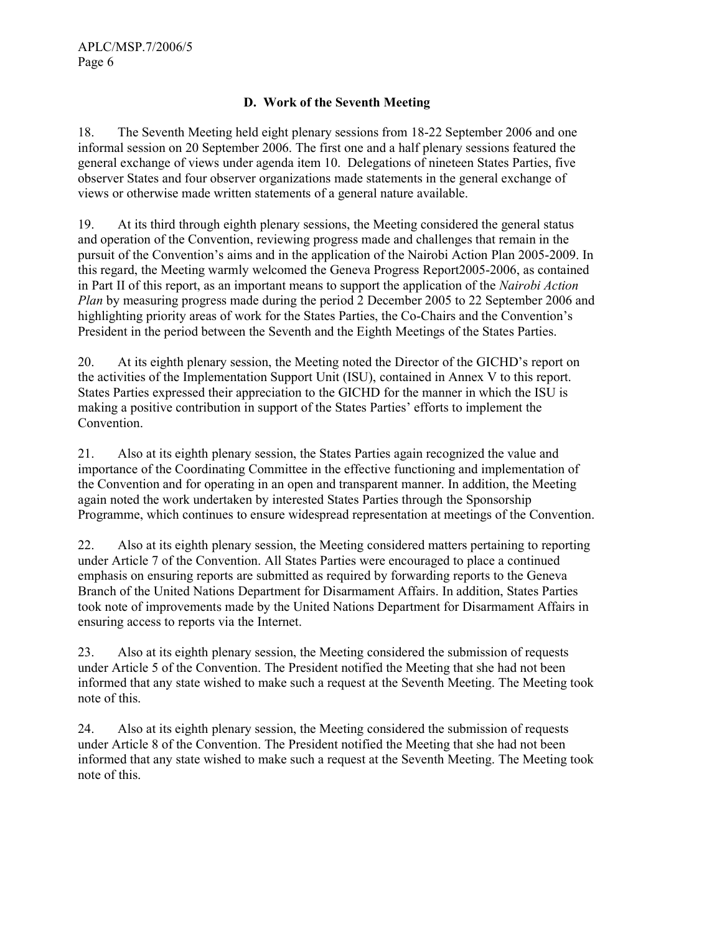#### D. Work of the Seventh Meeting

18. The Seventh Meeting held eight plenary sessions from 18-22 September 2006 and one informal session on 20 September 2006. The first one and a half plenary sessions featured the general exchange of views under agenda item 10. Delegations of nineteen States Parties, five observer States and four observer organizations made statements in the general exchange of views or otherwise made written statements of a general nature available.

19. At its third through eighth plenary sessions, the Meeting considered the general status and operation of the Convention, reviewing progress made and challenges that remain in the pursuit of the Convention's aims and in the application of the Nairobi Action Plan 2005-2009. In this regard, the Meeting warmly welcomed the Geneva Progress Report2005-2006, as contained in Part II of this report, as an important means to support the application of the Nairobi Action Plan by measuring progress made during the period 2 December 2005 to 22 September 2006 and highlighting priority areas of work for the States Parties, the Co-Chairs and the Convention's President in the period between the Seventh and the Eighth Meetings of the States Parties.

20. At its eighth plenary session, the Meeting noted the Director of the GICHD's report on the activities of the Implementation Support Unit (ISU), contained in Annex V to this report. States Parties expressed their appreciation to the GICHD for the manner in which the ISU is making a positive contribution in support of the States Parties' efforts to implement the Convention.

21. Also at its eighth plenary session, the States Parties again recognized the value and importance of the Coordinating Committee in the effective functioning and implementation of the Convention and for operating in an open and transparent manner. In addition, the Meeting again noted the work undertaken by interested States Parties through the Sponsorship Programme, which continues to ensure widespread representation at meetings of the Convention.

22. Also at its eighth plenary session, the Meeting considered matters pertaining to reporting under Article 7 of the Convention. All States Parties were encouraged to place a continued emphasis on ensuring reports are submitted as required by forwarding reports to the Geneva Branch of the United Nations Department for Disarmament Affairs. In addition, States Parties took note of improvements made by the United Nations Department for Disarmament Affairs in ensuring access to reports via the Internet.

23. Also at its eighth plenary session, the Meeting considered the submission of requests under Article 5 of the Convention. The President notified the Meeting that she had not been informed that any state wished to make such a request at the Seventh Meeting. The Meeting took note of this.

24. Also at its eighth plenary session, the Meeting considered the submission of requests under Article 8 of the Convention. The President notified the Meeting that she had not been informed that any state wished to make such a request at the Seventh Meeting. The Meeting took note of this.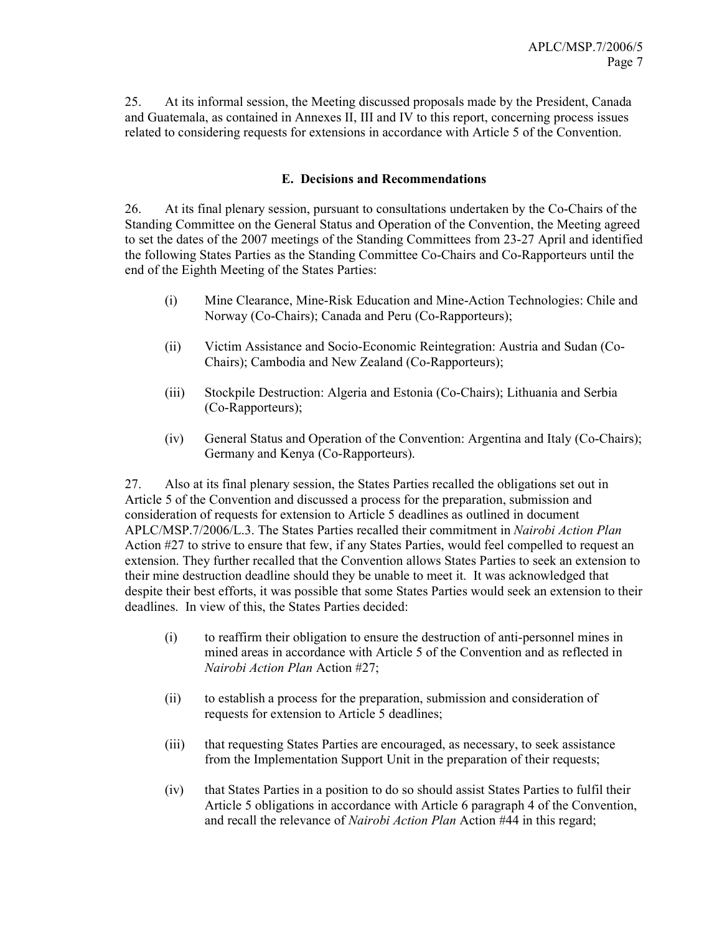25. At its informal session, the Meeting discussed proposals made by the President, Canada and Guatemala, as contained in Annexes II, III and IV to this report, concerning process issues related to considering requests for extensions in accordance with Article 5 of the Convention.

#### E. Decisions and Recommendations

26. At its final plenary session, pursuant to consultations undertaken by the Co-Chairs of the Standing Committee on the General Status and Operation of the Convention, the Meeting agreed to set the dates of the 2007 meetings of the Standing Committees from 23-27 April and identified the following States Parties as the Standing Committee Co-Chairs and Co-Rapporteurs until the end of the Eighth Meeting of the States Parties:

- (i) Mine Clearance, Mine-Risk Education and Mine-Action Technologies: Chile and Norway (Co-Chairs); Canada and Peru (Co-Rapporteurs);
- (ii) Victim Assistance and Socio-Economic Reintegration: Austria and Sudan (Co-Chairs); Cambodia and New Zealand (Co-Rapporteurs);
- (iii) Stockpile Destruction: Algeria and Estonia (Co-Chairs); Lithuania and Serbia (Co-Rapporteurs);
- (iv) General Status and Operation of the Convention: Argentina and Italy (Co-Chairs); Germany and Kenya (Co-Rapporteurs).

27. Also at its final plenary session, the States Parties recalled the obligations set out in Article 5 of the Convention and discussed a process for the preparation, submission and consideration of requests for extension to Article 5 deadlines as outlined in document APLC/MSP.7/2006/L.3. The States Parties recalled their commitment in Nairobi Action Plan Action #27 to strive to ensure that few, if any States Parties, would feel compelled to request an extension. They further recalled that the Convention allows States Parties to seek an extension to their mine destruction deadline should they be unable to meet it. It was acknowledged that despite their best efforts, it was possible that some States Parties would seek an extension to their deadlines. In view of this, the States Parties decided:

- (i) to reaffirm their obligation to ensure the destruction of anti-personnel mines in mined areas in accordance with Article 5 of the Convention and as reflected in Nairobi Action Plan Action #27;
- (ii) to establish a process for the preparation, submission and consideration of requests for extension to Article 5 deadlines;
- (iii) that requesting States Parties are encouraged, as necessary, to seek assistance from the Implementation Support Unit in the preparation of their requests;
- (iv) that States Parties in a position to do so should assist States Parties to fulfil their Article 5 obligations in accordance with Article 6 paragraph 4 of the Convention, and recall the relevance of Nairobi Action Plan Action #44 in this regard;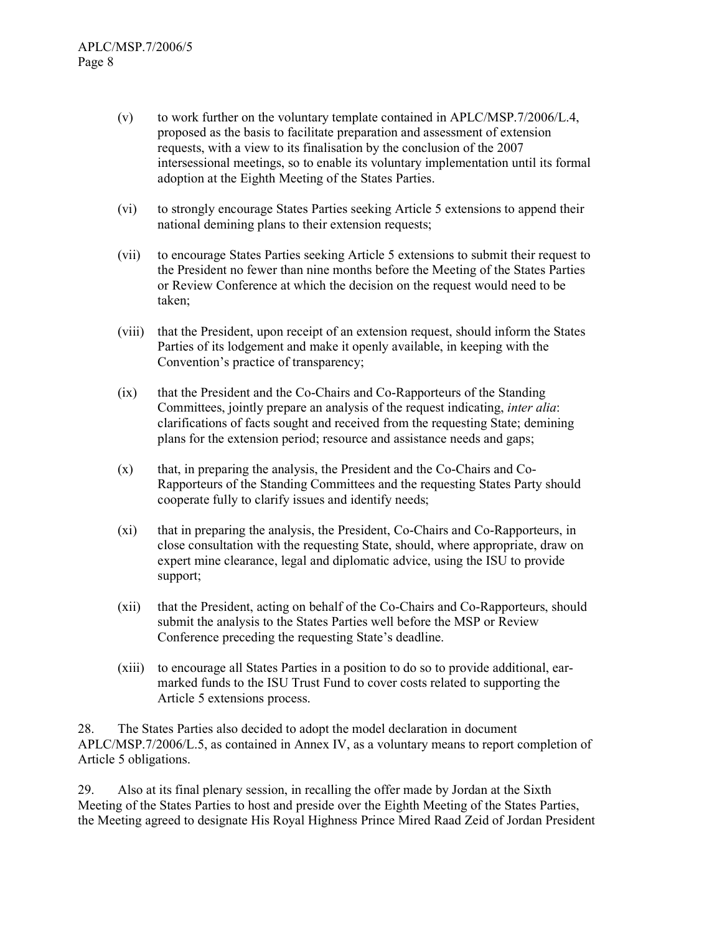- (v) to work further on the voluntary template contained in APLC/MSP.7/2006/L.4, proposed as the basis to facilitate preparation and assessment of extension requests, with a view to its finalisation by the conclusion of the 2007 intersessional meetings, so to enable its voluntary implementation until its formal adoption at the Eighth Meeting of the States Parties.
- (vi) to strongly encourage States Parties seeking Article 5 extensions to append their national demining plans to their extension requests;
- (vii) to encourage States Parties seeking Article 5 extensions to submit their request to the President no fewer than nine months before the Meeting of the States Parties or Review Conference at which the decision on the request would need to be taken;
- (viii) that the President, upon receipt of an extension request, should inform the States Parties of its lodgement and make it openly available, in keeping with the Convention's practice of transparency;
- (ix) that the President and the Co-Chairs and Co-Rapporteurs of the Standing Committees, jointly prepare an analysis of the request indicating, inter alia: clarifications of facts sought and received from the requesting State; demining plans for the extension period; resource and assistance needs and gaps;
- (x) that, in preparing the analysis, the President and the Co-Chairs and Co-Rapporteurs of the Standing Committees and the requesting States Party should cooperate fully to clarify issues and identify needs;
- (xi) that in preparing the analysis, the President, Co-Chairs and Co-Rapporteurs, in close consultation with the requesting State, should, where appropriate, draw on expert mine clearance, legal and diplomatic advice, using the ISU to provide support;
- (xii) that the President, acting on behalf of the Co-Chairs and Co-Rapporteurs, should submit the analysis to the States Parties well before the MSP or Review Conference preceding the requesting State's deadline.
- (xiii) to encourage all States Parties in a position to do so to provide additional, earmarked funds to the ISU Trust Fund to cover costs related to supporting the Article 5 extensions process.

28. The States Parties also decided to adopt the model declaration in document APLC/MSP.7/2006/L.5, as contained in Annex IV, as a voluntary means to report completion of Article 5 obligations.

29. Also at its final plenary session, in recalling the offer made by Jordan at the Sixth Meeting of the States Parties to host and preside over the Eighth Meeting of the States Parties, the Meeting agreed to designate His Royal Highness Prince Mired Raad Zeid of Jordan President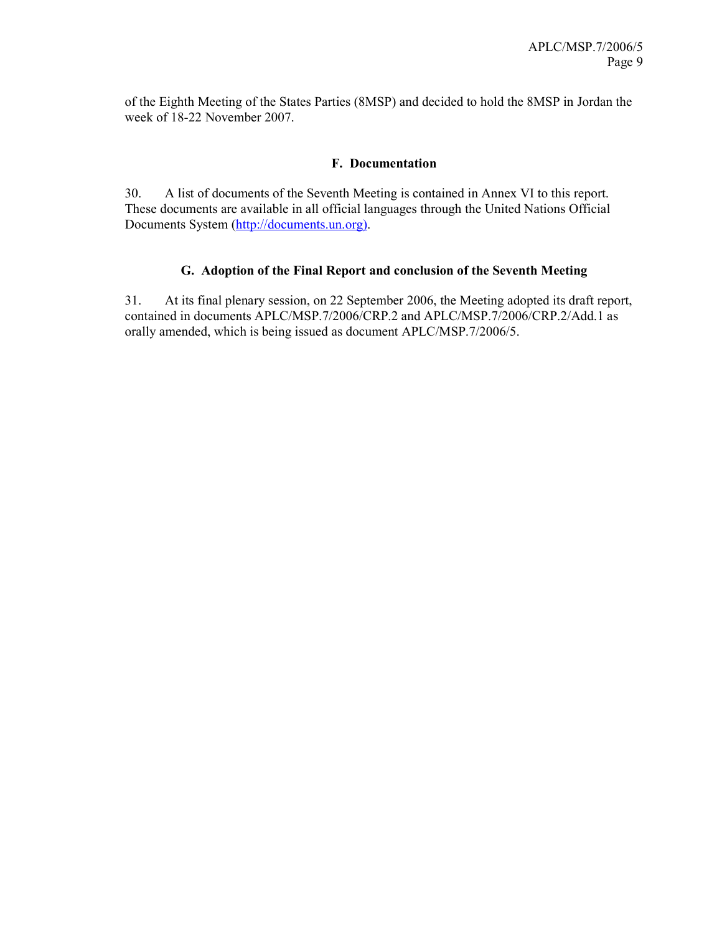of the Eighth Meeting of the States Parties (8MSP) and decided to hold the 8MSP in Jordan the week of 18-22 November 2007.

#### F. Documentation

30. A list of documents of the Seventh Meeting is contained in Annex VI to this report. These documents are available in all official languages through the United Nations Official Documents System (http://documents.un.org).

#### G. Adoption of the Final Report and conclusion of the Seventh Meeting

31. At its final plenary session, on 22 September 2006, the Meeting adopted its draft report, contained in documents APLC/MSP.7/2006/CRP.2 and APLC/MSP.7/2006/CRP.2/Add.1 as orally amended, which is being issued as document APLC/MSP.7/2006/5.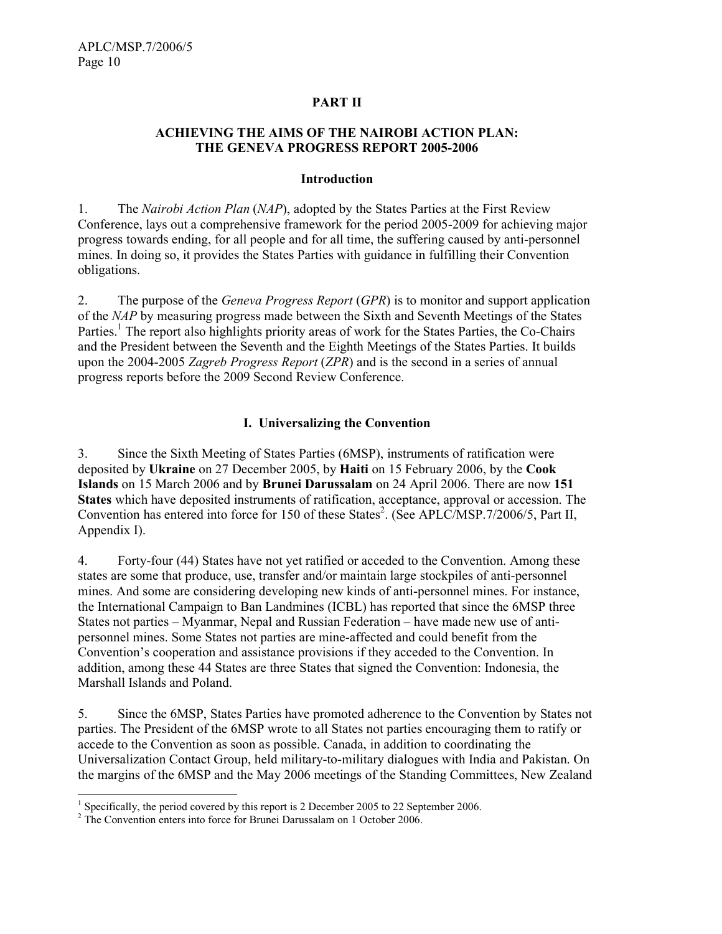#### PART II

#### ACHIEVING THE AIMS OF THE NAIROBI ACTION PLAN: THE GENEVA PROGRESS REPORT 2005-2006

#### Introduction

1. The Nairobi Action Plan (NAP), adopted by the States Parties at the First Review Conference, lays out a comprehensive framework for the period 2005-2009 for achieving major progress towards ending, for all people and for all time, the suffering caused by anti-personnel mines. In doing so, it provides the States Parties with guidance in fulfilling their Convention obligations.

2. The purpose of the *Geneva Progress Report* (*GPR*) is to monitor and support application of the NAP by measuring progress made between the Sixth and Seventh Meetings of the States Parties.<sup>1</sup> The report also highlights priority areas of work for the States Parties, the Co-Chairs and the President between the Seventh and the Eighth Meetings of the States Parties. It builds upon the 2004-2005 Zagreb Progress Report (ZPR) and is the second in a series of annual progress reports before the 2009 Second Review Conference.

#### I. Universalizing the Convention

3. Since the Sixth Meeting of States Parties (6MSP), instruments of ratification were deposited by Ukraine on 27 December 2005, by Haiti on 15 February 2006, by the Cook Islands on 15 March 2006 and by Brunei Darussalam on 24 April 2006. There are now 151 States which have deposited instruments of ratification, acceptance, approval or accession. The Convention has entered into force for 150 of these States<sup>2</sup>. (See APLC/MSP.7/2006/5, Part II, Appendix I).

4. Forty-four (44) States have not yet ratified or acceded to the Convention. Among these states are some that produce, use, transfer and/or maintain large stockpiles of anti-personnel mines. And some are considering developing new kinds of anti-personnel mines. For instance, the International Campaign to Ban Landmines (ICBL) has reported that since the 6MSP three States not parties – Myanmar, Nepal and Russian Federation – have made new use of antipersonnel mines. Some States not parties are mine-affected and could benefit from the Convention's cooperation and assistance provisions if they acceded to the Convention. In addition, among these 44 States are three States that signed the Convention: Indonesia, the Marshall Islands and Poland.

5. Since the 6MSP, States Parties have promoted adherence to the Convention by States not parties. The President of the 6MSP wrote to all States not parties encouraging them to ratify or accede to the Convention as soon as possible. Canada, in addition to coordinating the Universalization Contact Group, held military-to-military dialogues with India and Pakistan. On the margins of the 6MSP and the May 2006 meetings of the Standing Committees, New Zealand

 $\overline{a}$ 

<sup>&</sup>lt;sup>1</sup> Specifically, the period covered by this report is 2 December 2005 to 22 September 2006.

<sup>&</sup>lt;sup>2</sup> The Convention enters into force for Brunei Darussalam on 1 October 2006.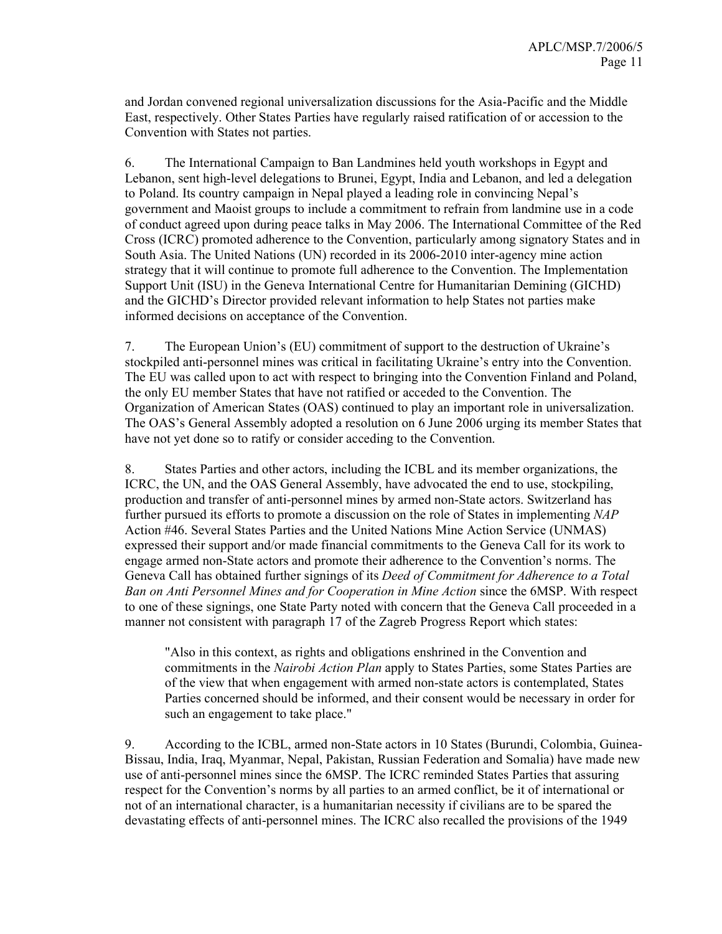and Jordan convened regional universalization discussions for the Asia-Pacific and the Middle East, respectively. Other States Parties have regularly raised ratification of or accession to the Convention with States not parties.

6. The International Campaign to Ban Landmines held youth workshops in Egypt and Lebanon, sent high-level delegations to Brunei, Egypt, India and Lebanon, and led a delegation to Poland. Its country campaign in Nepal played a leading role in convincing Nepal's government and Maoist groups to include a commitment to refrain from landmine use in a code of conduct agreed upon during peace talks in May 2006. The International Committee of the Red Cross (ICRC) promoted adherence to the Convention, particularly among signatory States and in South Asia. The United Nations (UN) recorded in its 2006-2010 inter-agency mine action strategy that it will continue to promote full adherence to the Convention. The Implementation Support Unit (ISU) in the Geneva International Centre for Humanitarian Demining (GICHD) and the GICHD's Director provided relevant information to help States not parties make informed decisions on acceptance of the Convention.

7. The European Union's (EU) commitment of support to the destruction of Ukraine's stockpiled anti-personnel mines was critical in facilitating Ukraine's entry into the Convention. The EU was called upon to act with respect to bringing into the Convention Finland and Poland, the only EU member States that have not ratified or acceded to the Convention. The Organization of American States (OAS) continued to play an important role in universalization. The OAS's General Assembly adopted a resolution on 6 June 2006 urging its member States that have not yet done so to ratify or consider acceding to the Convention.

8. States Parties and other actors, including the ICBL and its member organizations, the ICRC, the UN, and the OAS General Assembly, have advocated the end to use, stockpiling, production and transfer of anti-personnel mines by armed non-State actors. Switzerland has further pursued its efforts to promote a discussion on the role of States in implementing NAP Action #46. Several States Parties and the United Nations Mine Action Service (UNMAS) expressed their support and/or made financial commitments to the Geneva Call for its work to engage armed non-State actors and promote their adherence to the Convention's norms. The Geneva Call has obtained further signings of its *Deed of Commitment for Adherence to a Total* Ban on Anti Personnel Mines and for Cooperation in Mine Action since the 6MSP. With respect to one of these signings, one State Party noted with concern that the Geneva Call proceeded in a manner not consistent with paragraph 17 of the Zagreb Progress Report which states:

"Also in this context, as rights and obligations enshrined in the Convention and commitments in the Nairobi Action Plan apply to States Parties, some States Parties are of the view that when engagement with armed non-state actors is contemplated, States Parties concerned should be informed, and their consent would be necessary in order for such an engagement to take place."

9. According to the ICBL, armed non-State actors in 10 States (Burundi, Colombia, Guinea-Bissau, India, Iraq, Myanmar, Nepal, Pakistan, Russian Federation and Somalia) have made new use of anti-personnel mines since the 6MSP. The ICRC reminded States Parties that assuring respect for the Convention's norms by all parties to an armed conflict, be it of international or not of an international character, is a humanitarian necessity if civilians are to be spared the devastating effects of anti-personnel mines. The ICRC also recalled the provisions of the 1949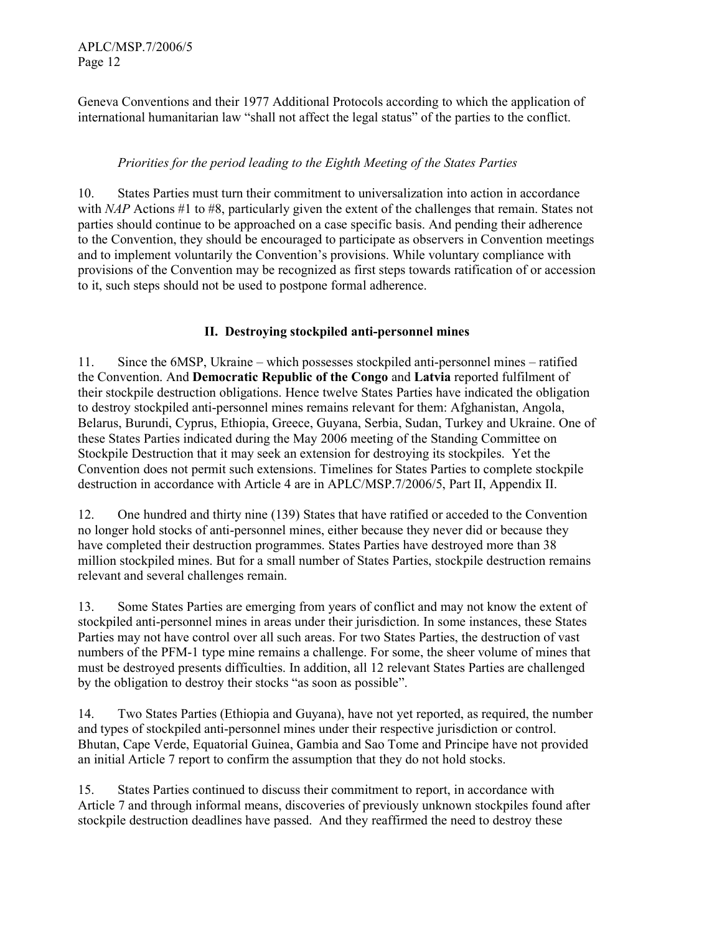Geneva Conventions and their 1977 Additional Protocols according to which the application of international humanitarian law "shall not affect the legal status" of the parties to the conflict.

#### Priorities for the period leading to the Eighth Meeting of the States Parties

10. States Parties must turn their commitment to universalization into action in accordance with NAP Actions #1 to #8, particularly given the extent of the challenges that remain. States not parties should continue to be approached on a case specific basis. And pending their adherence to the Convention, they should be encouraged to participate as observers in Convention meetings and to implement voluntarily the Convention's provisions. While voluntary compliance with provisions of the Convention may be recognized as first steps towards ratification of or accession to it, such steps should not be used to postpone formal adherence.

#### II. Destroying stockpiled anti-personnel mines

11. Since the 6MSP, Ukraine – which possesses stockpiled anti-personnel mines – ratified the Convention. And Democratic Republic of the Congo and Latvia reported fulfilment of their stockpile destruction obligations. Hence twelve States Parties have indicated the obligation to destroy stockpiled anti-personnel mines remains relevant for them: Afghanistan, Angola, Belarus, Burundi, Cyprus, Ethiopia, Greece, Guyana, Serbia, Sudan, Turkey and Ukraine. One of these States Parties indicated during the May 2006 meeting of the Standing Committee on Stockpile Destruction that it may seek an extension for destroying its stockpiles. Yet the Convention does not permit such extensions. Timelines for States Parties to complete stockpile destruction in accordance with Article 4 are in APLC/MSP.7/2006/5, Part II, Appendix II.

12. One hundred and thirty nine (139) States that have ratified or acceded to the Convention no longer hold stocks of anti-personnel mines, either because they never did or because they have completed their destruction programmes. States Parties have destroyed more than 38 million stockpiled mines. But for a small number of States Parties, stockpile destruction remains relevant and several challenges remain.

13. Some States Parties are emerging from years of conflict and may not know the extent of stockpiled anti-personnel mines in areas under their jurisdiction. In some instances, these States Parties may not have control over all such areas. For two States Parties, the destruction of vast numbers of the PFM-1 type mine remains a challenge. For some, the sheer volume of mines that must be destroyed presents difficulties. In addition, all 12 relevant States Parties are challenged by the obligation to destroy their stocks "as soon as possible".

14. Two States Parties (Ethiopia and Guyana), have not yet reported, as required, the number and types of stockpiled anti-personnel mines under their respective jurisdiction or control. Bhutan, Cape Verde, Equatorial Guinea, Gambia and Sao Tome and Principe have not provided an initial Article 7 report to confirm the assumption that they do not hold stocks.

15. States Parties continued to discuss their commitment to report, in accordance with Article 7 and through informal means, discoveries of previously unknown stockpiles found after stockpile destruction deadlines have passed. And they reaffirmed the need to destroy these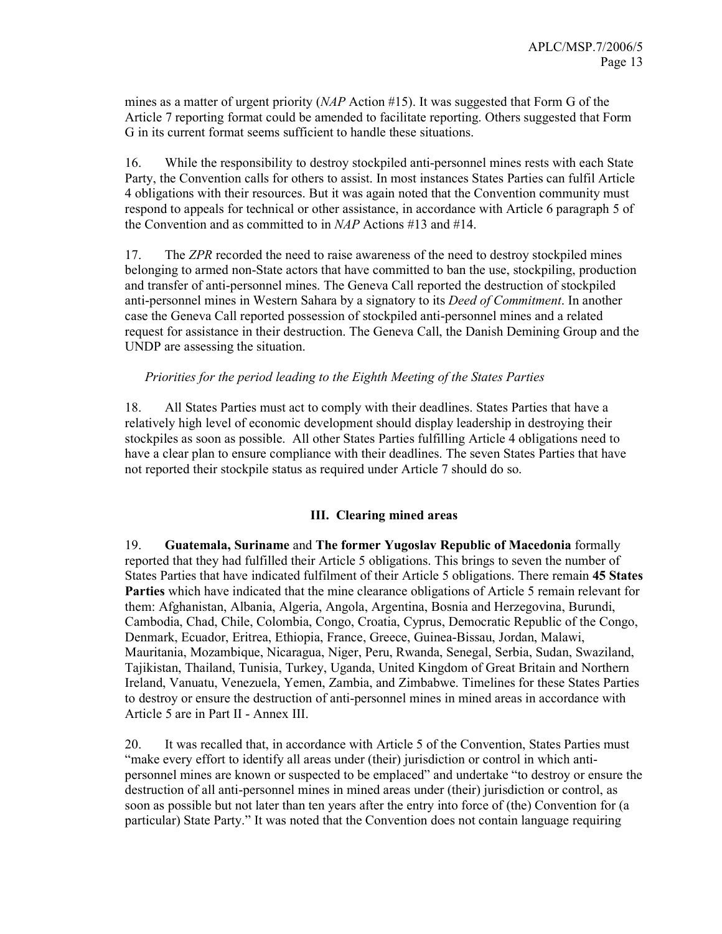mines as a matter of urgent priority  $(NAP$  Action #15). It was suggested that Form G of the Article 7 reporting format could be amended to facilitate reporting. Others suggested that Form G in its current format seems sufficient to handle these situations.

16. While the responsibility to destroy stockpiled anti-personnel mines rests with each State Party, the Convention calls for others to assist. In most instances States Parties can fulfil Article 4 obligations with their resources. But it was again noted that the Convention community must respond to appeals for technical or other assistance, in accordance with Article 6 paragraph 5 of the Convention and as committed to in NAP Actions #13 and #14.

17. The ZPR recorded the need to raise awareness of the need to destroy stockpiled mines belonging to armed non-State actors that have committed to ban the use, stockpiling, production and transfer of anti-personnel mines. The Geneva Call reported the destruction of stockpiled anti-personnel mines in Western Sahara by a signatory to its Deed of Commitment. In another case the Geneva Call reported possession of stockpiled anti-personnel mines and a related request for assistance in their destruction. The Geneva Call, the Danish Demining Group and the UNDP are assessing the situation.

#### Priorities for the period leading to the Eighth Meeting of the States Parties

18. All States Parties must act to comply with their deadlines. States Parties that have a relatively high level of economic development should display leadership in destroying their stockpiles as soon as possible. All other States Parties fulfilling Article 4 obligations need to have a clear plan to ensure compliance with their deadlines. The seven States Parties that have not reported their stockpile status as required under Article 7 should do so.

#### III. Clearing mined areas

19. Guatemala, Suriname and The former Yugoslav Republic of Macedonia formally reported that they had fulfilled their Article 5 obligations. This brings to seven the number of States Parties that have indicated fulfilment of their Article 5 obligations. There remain 45 States Parties which have indicated that the mine clearance obligations of Article 5 remain relevant for them: Afghanistan, Albania, Algeria, Angola, Argentina, Bosnia and Herzegovina, Burundi, Cambodia, Chad, Chile, Colombia, Congo, Croatia, Cyprus, Democratic Republic of the Congo, Denmark, Ecuador, Eritrea, Ethiopia, France, Greece, Guinea-Bissau, Jordan, Malawi, Mauritania, Mozambique, Nicaragua, Niger, Peru, Rwanda, Senegal, Serbia, Sudan, Swaziland, Tajikistan, Thailand, Tunisia, Turkey, Uganda, United Kingdom of Great Britain and Northern Ireland, Vanuatu, Venezuela, Yemen, Zambia, and Zimbabwe. Timelines for these States Parties to destroy or ensure the destruction of anti-personnel mines in mined areas in accordance with Article 5 are in Part II - Annex III.

20. It was recalled that, in accordance with Article 5 of the Convention, States Parties must "make every effort to identify all areas under (their) jurisdiction or control in which antipersonnel mines are known or suspected to be emplaced" and undertake "to destroy or ensure the destruction of all anti-personnel mines in mined areas under (their) jurisdiction or control, as soon as possible but not later than ten years after the entry into force of (the) Convention for (a particular) State Party." It was noted that the Convention does not contain language requiring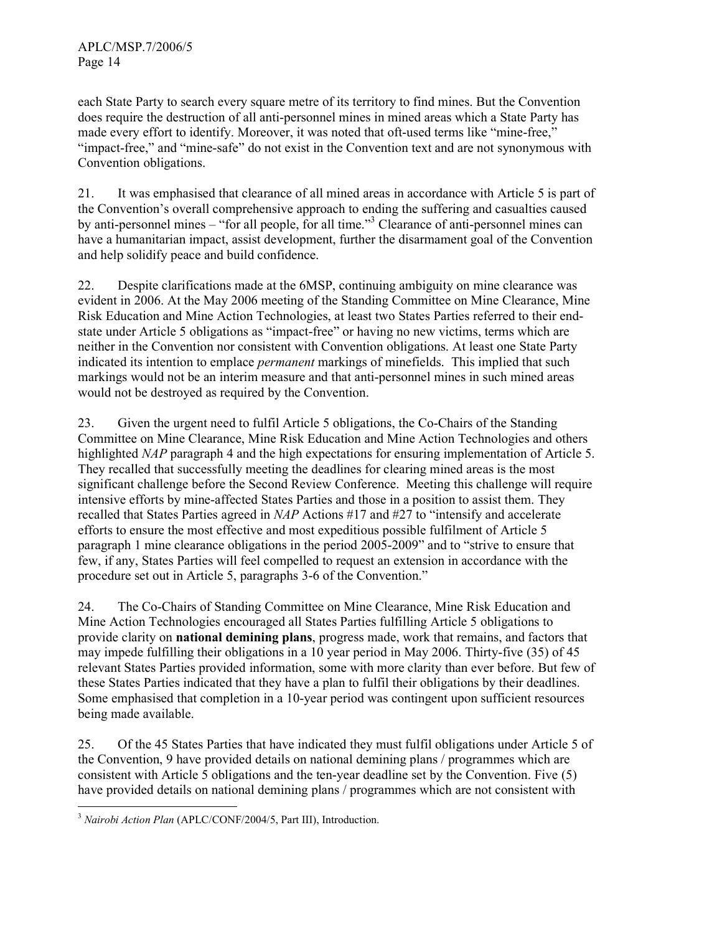each State Party to search every square metre of its territory to find mines. But the Convention does require the destruction of all anti-personnel mines in mined areas which a State Party has made every effort to identify. Moreover, it was noted that oft-used terms like "mine-free," "impact-free," and "mine-safe" do not exist in the Convention text and are not synonymous with Convention obligations.

21. It was emphasised that clearance of all mined areas in accordance with Article 5 is part of the Convention's overall comprehensive approach to ending the suffering and casualties caused by anti-personnel mines – "for all people, for all time."<sup>3</sup> Clearance of anti-personnel mines can have a humanitarian impact, assist development, further the disarmament goal of the Convention and help solidify peace and build confidence.

22. Despite clarifications made at the 6MSP, continuing ambiguity on mine clearance was evident in 2006. At the May 2006 meeting of the Standing Committee on Mine Clearance, Mine Risk Education and Mine Action Technologies, at least two States Parties referred to their endstate under Article 5 obligations as "impact-free" or having no new victims, terms which are neither in the Convention nor consistent with Convention obligations. At least one State Party indicated its intention to emplace *permanent* markings of minefields. This implied that such markings would not be an interim measure and that anti-personnel mines in such mined areas would not be destroyed as required by the Convention.

23. Given the urgent need to fulfil Article 5 obligations, the Co-Chairs of the Standing Committee on Mine Clearance, Mine Risk Education and Mine Action Technologies and others highlighted *NAP* paragraph 4 and the high expectations for ensuring implementation of Article 5. They recalled that successfully meeting the deadlines for clearing mined areas is the most significant challenge before the Second Review Conference. Meeting this challenge will require intensive efforts by mine-affected States Parties and those in a position to assist them. They recalled that States Parties agreed in NAP Actions #17 and #27 to "intensify and accelerate efforts to ensure the most effective and most expeditious possible fulfilment of Article 5 paragraph 1 mine clearance obligations in the period 2005-2009" and to "strive to ensure that few, if any, States Parties will feel compelled to request an extension in accordance with the procedure set out in Article 5, paragraphs 3-6 of the Convention."

24. The Co-Chairs of Standing Committee on Mine Clearance, Mine Risk Education and Mine Action Technologies encouraged all States Parties fulfilling Article 5 obligations to provide clarity on national demining plans, progress made, work that remains, and factors that may impede fulfilling their obligations in a 10 year period in May 2006. Thirty-five (35) of 45 relevant States Parties provided information, some with more clarity than ever before. But few of these States Parties indicated that they have a plan to fulfil their obligations by their deadlines. Some emphasised that completion in a 10-year period was contingent upon sufficient resources being made available.

25. Of the 45 States Parties that have indicated they must fulfil obligations under Article 5 of the Convention, 9 have provided details on national demining plans / programmes which are consistent with Article 5 obligations and the ten-year deadline set by the Convention. Five (5) have provided details on national demining plans / programmes which are not consistent with

 $\overline{a}$  $3$  Nairobi Action Plan (APLC/CONF/2004/5, Part III), Introduction.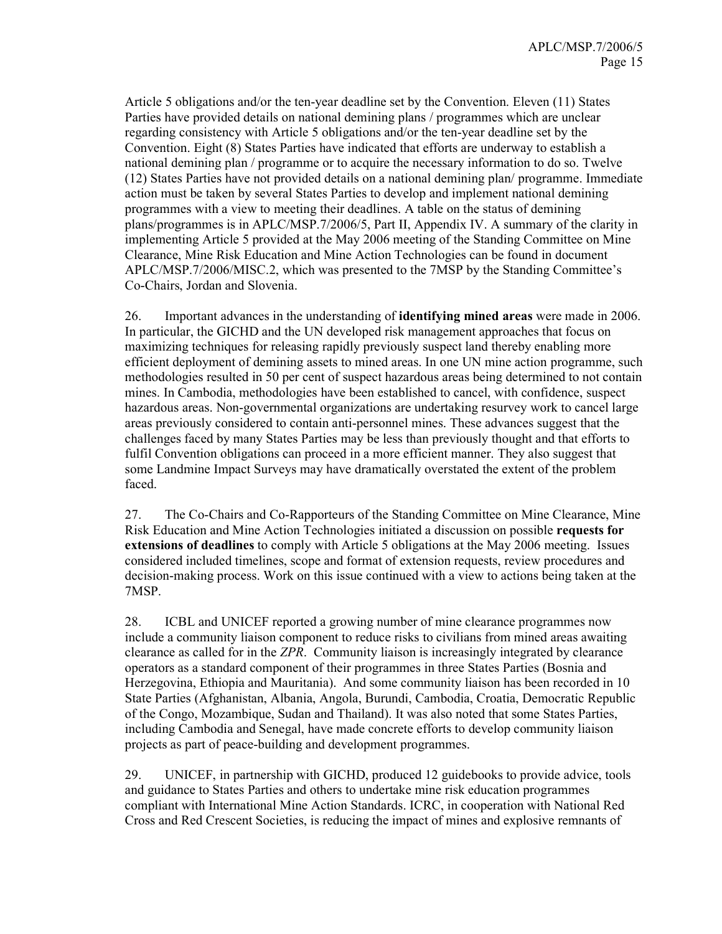Article 5 obligations and/or the ten-year deadline set by the Convention. Eleven (11) States Parties have provided details on national demining plans / programmes which are unclear regarding consistency with Article 5 obligations and/or the ten-year deadline set by the Convention. Eight (8) States Parties have indicated that efforts are underway to establish a national demining plan / programme or to acquire the necessary information to do so. Twelve (12) States Parties have not provided details on a national demining plan/ programme. Immediate action must be taken by several States Parties to develop and implement national demining programmes with a view to meeting their deadlines. A table on the status of demining plans/programmes is in APLC/MSP.7/2006/5, Part II, Appendix IV. A summary of the clarity in implementing Article 5 provided at the May 2006 meeting of the Standing Committee on Mine Clearance, Mine Risk Education and Mine Action Technologies can be found in document APLC/MSP.7/2006/MISC.2, which was presented to the 7MSP by the Standing Committee's Co-Chairs, Jordan and Slovenia.

26. Important advances in the understanding of identifying mined areas were made in 2006. In particular, the GICHD and the UN developed risk management approaches that focus on maximizing techniques for releasing rapidly previously suspect land thereby enabling more efficient deployment of demining assets to mined areas. In one UN mine action programme, such methodologies resulted in 50 per cent of suspect hazardous areas being determined to not contain mines. In Cambodia, methodologies have been established to cancel, with confidence, suspect hazardous areas. Non-governmental organizations are undertaking resurvey work to cancel large areas previously considered to contain anti-personnel mines. These advances suggest that the challenges faced by many States Parties may be less than previously thought and that efforts to fulfil Convention obligations can proceed in a more efficient manner. They also suggest that some Landmine Impact Surveys may have dramatically overstated the extent of the problem faced.

27. The Co-Chairs and Co-Rapporteurs of the Standing Committee on Mine Clearance, Mine Risk Education and Mine Action Technologies initiated a discussion on possible requests for extensions of deadlines to comply with Article 5 obligations at the May 2006 meeting. Issues considered included timelines, scope and format of extension requests, review procedures and decision-making process. Work on this issue continued with a view to actions being taken at the 7MSP.

28. ICBL and UNICEF reported a growing number of mine clearance programmes now include a community liaison component to reduce risks to civilians from mined areas awaiting clearance as called for in the ZPR. Community liaison is increasingly integrated by clearance operators as a standard component of their programmes in three States Parties (Bosnia and Herzegovina, Ethiopia and Mauritania). And some community liaison has been recorded in 10 State Parties (Afghanistan, Albania, Angola, Burundi, Cambodia, Croatia, Democratic Republic of the Congo, Mozambique, Sudan and Thailand). It was also noted that some States Parties, including Cambodia and Senegal, have made concrete efforts to develop community liaison projects as part of peace-building and development programmes.

29. UNICEF, in partnership with GICHD, produced 12 guidebooks to provide advice, tools and guidance to States Parties and others to undertake mine risk education programmes compliant with International Mine Action Standards. ICRC, in cooperation with National Red Cross and Red Crescent Societies, is reducing the impact of mines and explosive remnants of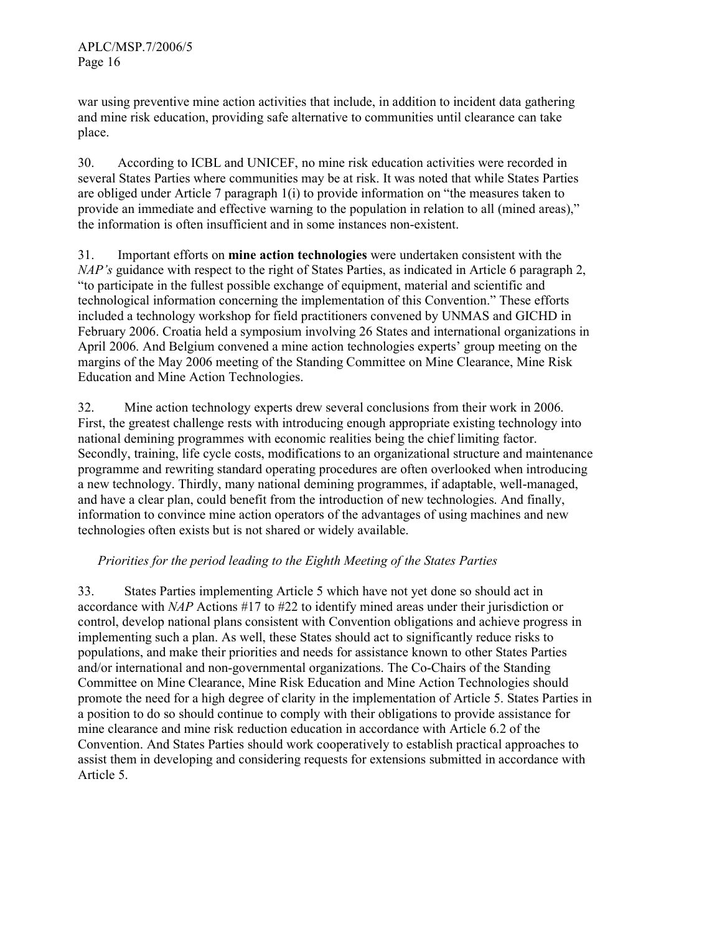war using preventive mine action activities that include, in addition to incident data gathering and mine risk education, providing safe alternative to communities until clearance can take place.

30. According to ICBL and UNICEF, no mine risk education activities were recorded in several States Parties where communities may be at risk. It was noted that while States Parties are obliged under Article 7 paragraph 1(i) to provide information on "the measures taken to provide an immediate and effective warning to the population in relation to all (mined areas)," the information is often insufficient and in some instances non-existent.

31. Important efforts on mine action technologies were undertaken consistent with the NAP's guidance with respect to the right of States Parties, as indicated in Article 6 paragraph 2, "to participate in the fullest possible exchange of equipment, material and scientific and technological information concerning the implementation of this Convention." These efforts included a technology workshop for field practitioners convened by UNMAS and GICHD in February 2006. Croatia held a symposium involving 26 States and international organizations in April 2006. And Belgium convened a mine action technologies experts' group meeting on the margins of the May 2006 meeting of the Standing Committee on Mine Clearance, Mine Risk Education and Mine Action Technologies.

32. Mine action technology experts drew several conclusions from their work in 2006. First, the greatest challenge rests with introducing enough appropriate existing technology into national demining programmes with economic realities being the chief limiting factor. Secondly, training, life cycle costs, modifications to an organizational structure and maintenance programme and rewriting standard operating procedures are often overlooked when introducing a new technology. Thirdly, many national demining programmes, if adaptable, well-managed, and have a clear plan, could benefit from the introduction of new technologies. And finally, information to convince mine action operators of the advantages of using machines and new technologies often exists but is not shared or widely available.

#### Priorities for the period leading to the Eighth Meeting of the States Parties

33. States Parties implementing Article 5 which have not yet done so should act in accordance with NAP Actions #17 to #22 to identify mined areas under their jurisdiction or control, develop national plans consistent with Convention obligations and achieve progress in implementing such a plan. As well, these States should act to significantly reduce risks to populations, and make their priorities and needs for assistance known to other States Parties and/or international and non-governmental organizations. The Co-Chairs of the Standing Committee on Mine Clearance, Mine Risk Education and Mine Action Technologies should promote the need for a high degree of clarity in the implementation of Article 5. States Parties in a position to do so should continue to comply with their obligations to provide assistance for mine clearance and mine risk reduction education in accordance with Article 6.2 of the Convention. And States Parties should work cooperatively to establish practical approaches to assist them in developing and considering requests for extensions submitted in accordance with Article 5.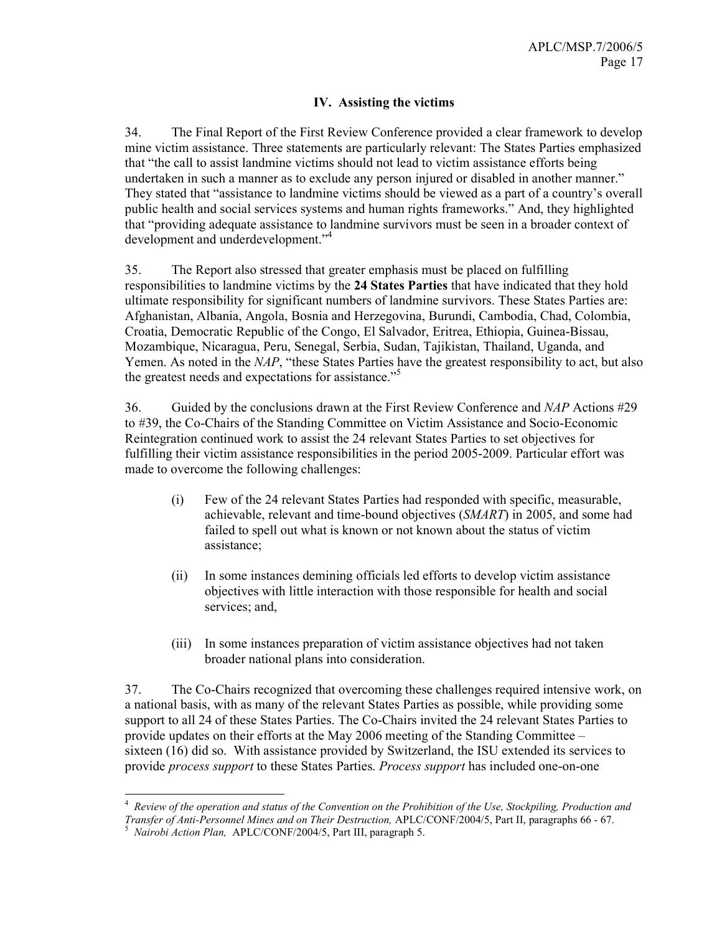#### IV. Assisting the victims

34. The Final Report of the First Review Conference provided a clear framework to develop mine victim assistance. Three statements are particularly relevant: The States Parties emphasized that "the call to assist landmine victims should not lead to victim assistance efforts being undertaken in such a manner as to exclude any person injured or disabled in another manner." They stated that "assistance to landmine victims should be viewed as a part of a country's overall public health and social services systems and human rights frameworks." And, they highlighted that "providing adequate assistance to landmine survivors must be seen in a broader context of development and underdevelopment."<sup>4</sup>

35. The Report also stressed that greater emphasis must be placed on fulfilling responsibilities to landmine victims by the 24 States Parties that have indicated that they hold ultimate responsibility for significant numbers of landmine survivors. These States Parties are: Afghanistan, Albania, Angola, Bosnia and Herzegovina, Burundi, Cambodia, Chad, Colombia, Croatia, Democratic Republic of the Congo, El Salvador, Eritrea, Ethiopia, Guinea-Bissau, Mozambique, Nicaragua, Peru, Senegal, Serbia, Sudan, Tajikistan, Thailand, Uganda, and Yemen. As noted in the NAP, "these States Parties have the greatest responsibility to act, but also the greatest needs and expectations for assistance."<sup>5</sup>

36. Guided by the conclusions drawn at the First Review Conference and  $NAP$  Actions #29 to #39, the Co-Chairs of the Standing Committee on Victim Assistance and Socio-Economic Reintegration continued work to assist the 24 relevant States Parties to set objectives for fulfilling their victim assistance responsibilities in the period 2005-2009. Particular effort was made to overcome the following challenges:

- (i) Few of the 24 relevant States Parties had responded with specific, measurable, achievable, relevant and time-bound objectives (SMART) in 2005, and some had failed to spell out what is known or not known about the status of victim assistance;
- (ii) In some instances demining officials led efforts to develop victim assistance objectives with little interaction with those responsible for health and social services; and,
- (iii) In some instances preparation of victim assistance objectives had not taken broader national plans into consideration.

37. The Co-Chairs recognized that overcoming these challenges required intensive work, on a national basis, with as many of the relevant States Parties as possible, while providing some support to all 24 of these States Parties. The Co-Chairs invited the 24 relevant States Parties to provide updates on their efforts at the May 2006 meeting of the Standing Committee – sixteen (16) did so. With assistance provided by Switzerland, the ISU extended its services to provide process support to these States Parties. Process support has included one-on-one

The *A*<br><sup>4</sup> Review of the operation and status of the Convention on the Prohibition of the Use, Stockpiling, Production and Transfer of Anti-Personnel Mines and on Their Destruction, APLC/CONF/2004/5, Part II, paragraphs 66 - 67.

<sup>&</sup>lt;sup>5</sup> Nairobi Action Plan, APLC/CONF/2004/5, Part III, paragraph 5.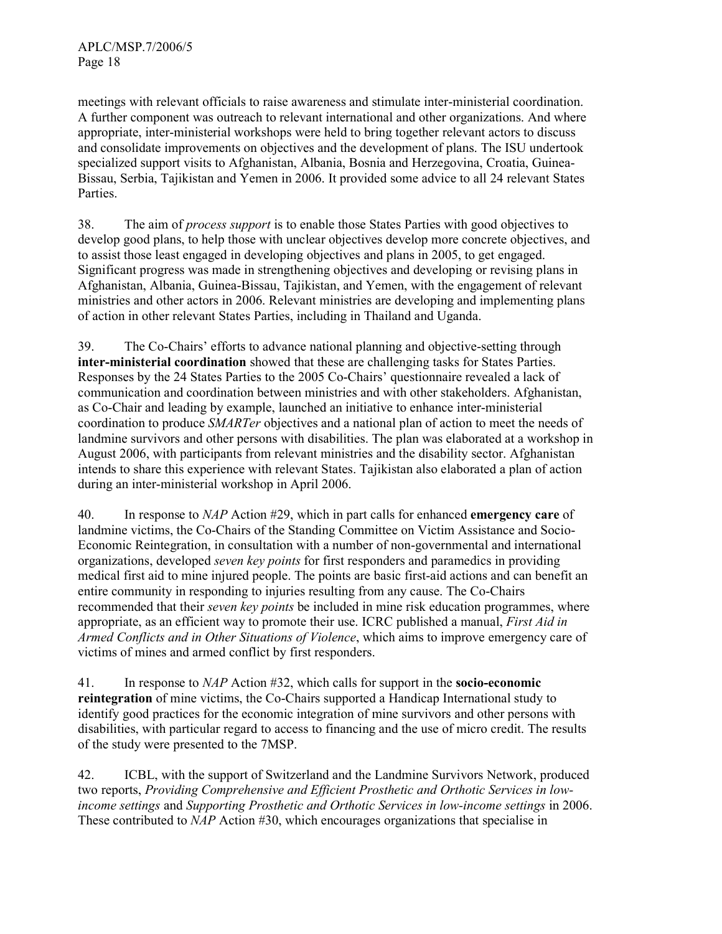meetings with relevant officials to raise awareness and stimulate inter-ministerial coordination. A further component was outreach to relevant international and other organizations. And where appropriate, inter-ministerial workshops were held to bring together relevant actors to discuss and consolidate improvements on objectives and the development of plans. The ISU undertook specialized support visits to Afghanistan, Albania, Bosnia and Herzegovina, Croatia, Guinea-Bissau, Serbia, Tajikistan and Yemen in 2006. It provided some advice to all 24 relevant States Parties.

38. The aim of process support is to enable those States Parties with good objectives to develop good plans, to help those with unclear objectives develop more concrete objectives, and to assist those least engaged in developing objectives and plans in 2005, to get engaged. Significant progress was made in strengthening objectives and developing or revising plans in Afghanistan, Albania, Guinea-Bissau, Tajikistan, and Yemen, with the engagement of relevant ministries and other actors in 2006. Relevant ministries are developing and implementing plans of action in other relevant States Parties, including in Thailand and Uganda.

39. The Co-Chairs' efforts to advance national planning and objective-setting through inter-ministerial coordination showed that these are challenging tasks for States Parties. Responses by the 24 States Parties to the 2005 Co-Chairs' questionnaire revealed a lack of communication and coordination between ministries and with other stakeholders. Afghanistan, as Co-Chair and leading by example, launched an initiative to enhance inter-ministerial coordination to produce *SMARTer* objectives and a national plan of action to meet the needs of landmine survivors and other persons with disabilities. The plan was elaborated at a workshop in August 2006, with participants from relevant ministries and the disability sector. Afghanistan intends to share this experience with relevant States. Tajikistan also elaborated a plan of action during an inter-ministerial workshop in April 2006.

40. In response to NAP Action #29, which in part calls for enhanced **emergency care** of landmine victims, the Co-Chairs of the Standing Committee on Victim Assistance and Socio-Economic Reintegration, in consultation with a number of non-governmental and international organizations, developed seven key points for first responders and paramedics in providing medical first aid to mine injured people. The points are basic first-aid actions and can benefit an entire community in responding to injuries resulting from any cause. The Co-Chairs recommended that their *seven key points* be included in mine risk education programmes, where appropriate, as an efficient way to promote their use. ICRC published a manual, *First Aid in* Armed Conflicts and in Other Situations of Violence, which aims to improve emergency care of victims of mines and armed conflict by first responders.

41. In response to NAP Action #32, which calls for support in the socio-economic reintegration of mine victims, the Co-Chairs supported a Handicap International study to identify good practices for the economic integration of mine survivors and other persons with disabilities, with particular regard to access to financing and the use of micro credit. The results of the study were presented to the 7MSP.

42. ICBL, with the support of Switzerland and the Landmine Survivors Network, produced two reports, Providing Comprehensive and Efficient Prosthetic and Orthotic Services in lowincome settings and Supporting Prosthetic and Orthotic Services in low-income settings in 2006. These contributed to NAP Action #30, which encourages organizations that specialise in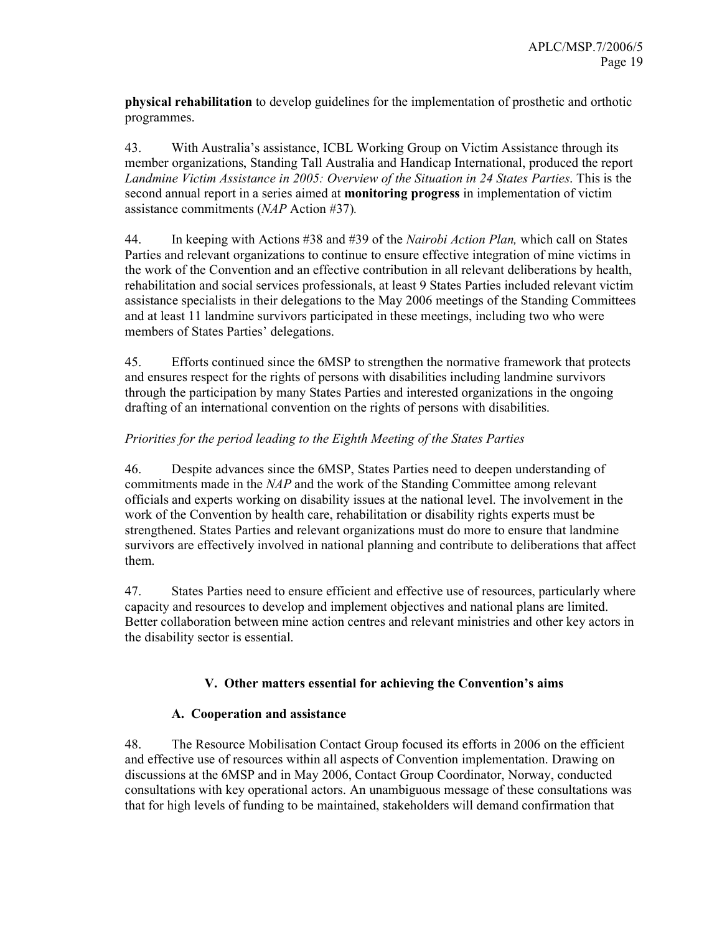physical rehabilitation to develop guidelines for the implementation of prosthetic and orthotic programmes.

43. With Australia's assistance, ICBL Working Group on Victim Assistance through its member organizations, Standing Tall Australia and Handicap International, produced the report Landmine Victim Assistance in 2005: Overview of the Situation in 24 States Parties. This is the second annual report in a series aimed at **monitoring progress** in implementation of victim assistance commitments (NAP Action #37).

44. In keeping with Actions #38 and #39 of the *Nairobi Action Plan*, which call on States Parties and relevant organizations to continue to ensure effective integration of mine victims in the work of the Convention and an effective contribution in all relevant deliberations by health, rehabilitation and social services professionals, at least 9 States Parties included relevant victim assistance specialists in their delegations to the May 2006 meetings of the Standing Committees and at least 11 landmine survivors participated in these meetings, including two who were members of States Parties' delegations.

45. Efforts continued since the 6MSP to strengthen the normative framework that protects and ensures respect for the rights of persons with disabilities including landmine survivors through the participation by many States Parties and interested organizations in the ongoing drafting of an international convention on the rights of persons with disabilities.

#### Priorities for the period leading to the Eighth Meeting of the States Parties

46. Despite advances since the 6MSP, States Parties need to deepen understanding of commitments made in the NAP and the work of the Standing Committee among relevant officials and experts working on disability issues at the national level. The involvement in the work of the Convention by health care, rehabilitation or disability rights experts must be strengthened. States Parties and relevant organizations must do more to ensure that landmine survivors are effectively involved in national planning and contribute to deliberations that affect them.

47. States Parties need to ensure efficient and effective use of resources, particularly where capacity and resources to develop and implement objectives and national plans are limited. Better collaboration between mine action centres and relevant ministries and other key actors in the disability sector is essential.

#### V. Other matters essential for achieving the Convention's aims

#### A. Cooperation and assistance

48. The Resource Mobilisation Contact Group focused its efforts in 2006 on the efficient and effective use of resources within all aspects of Convention implementation. Drawing on discussions at the 6MSP and in May 2006, Contact Group Coordinator, Norway, conducted consultations with key operational actors. An unambiguous message of these consultations was that for high levels of funding to be maintained, stakeholders will demand confirmation that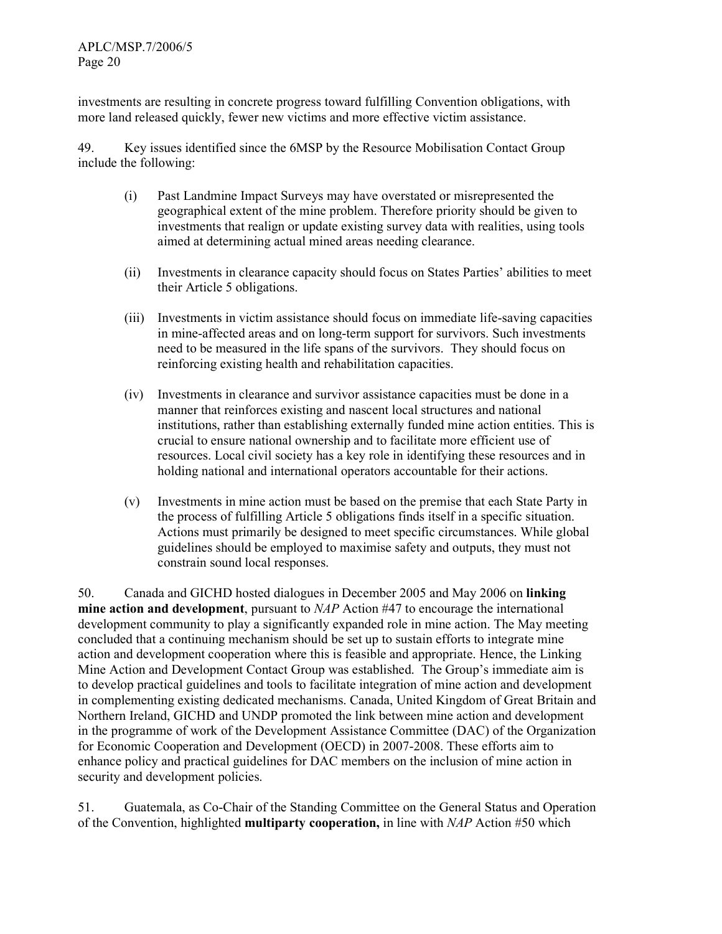investments are resulting in concrete progress toward fulfilling Convention obligations, with more land released quickly, fewer new victims and more effective victim assistance.

49. Key issues identified since the 6MSP by the Resource Mobilisation Contact Group include the following:

- (i) Past Landmine Impact Surveys may have overstated or misrepresented the geographical extent of the mine problem. Therefore priority should be given to investments that realign or update existing survey data with realities, using tools aimed at determining actual mined areas needing clearance.
- (ii) Investments in clearance capacity should focus on States Parties' abilities to meet their Article 5 obligations.
- (iii) Investments in victim assistance should focus on immediate life-saving capacities in mine-affected areas and on long-term support for survivors. Such investments need to be measured in the life spans of the survivors. They should focus on reinforcing existing health and rehabilitation capacities.
- (iv) Investments in clearance and survivor assistance capacities must be done in a manner that reinforces existing and nascent local structures and national institutions, rather than establishing externally funded mine action entities. This is crucial to ensure national ownership and to facilitate more efficient use of resources. Local civil society has a key role in identifying these resources and in holding national and international operators accountable for their actions.
- (v) Investments in mine action must be based on the premise that each State Party in the process of fulfilling Article 5 obligations finds itself in a specific situation. Actions must primarily be designed to meet specific circumstances. While global guidelines should be employed to maximise safety and outputs, they must not constrain sound local responses.

50. Canada and GICHD hosted dialogues in December 2005 and May 2006 on linking mine action and development, pursuant to NAP Action #47 to encourage the international development community to play a significantly expanded role in mine action. The May meeting concluded that a continuing mechanism should be set up to sustain efforts to integrate mine action and development cooperation where this is feasible and appropriate. Hence, the Linking Mine Action and Development Contact Group was established. The Group's immediate aim is to develop practical guidelines and tools to facilitate integration of mine action and development in complementing existing dedicated mechanisms. Canada, United Kingdom of Great Britain and Northern Ireland, GICHD and UNDP promoted the link between mine action and development in the programme of work of the Development Assistance Committee (DAC) of the Organization for Economic Cooperation and Development (OECD) in 2007-2008. These efforts aim to enhance policy and practical guidelines for DAC members on the inclusion of mine action in security and development policies.

51. Guatemala, as Co-Chair of the Standing Committee on the General Status and Operation of the Convention, highlighted **multiparty cooperation**, in line with  $NAP$  Action #50 which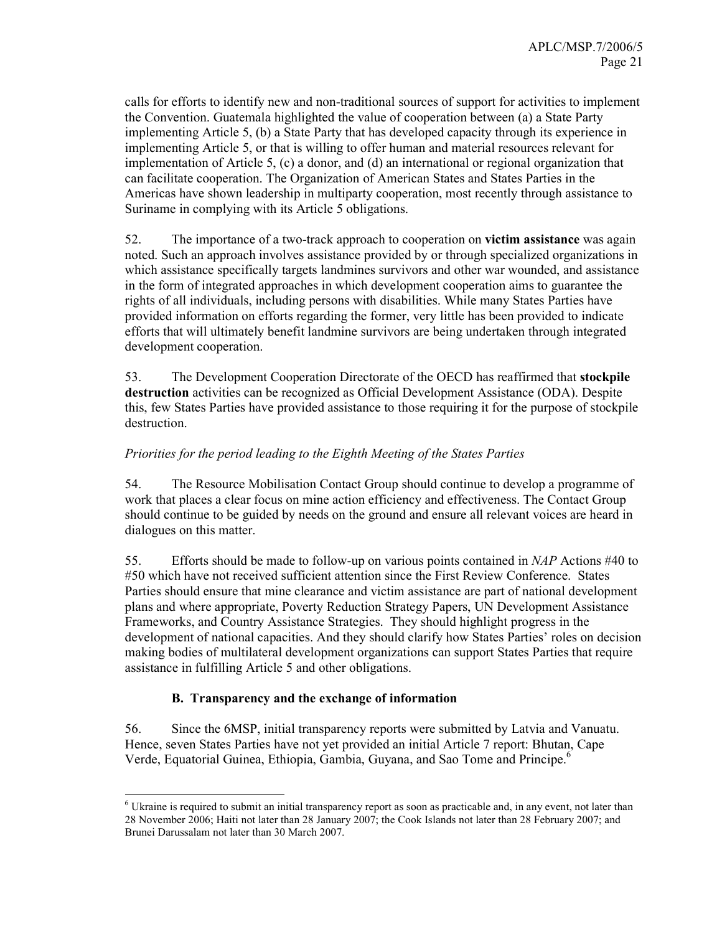calls for efforts to identify new and non-traditional sources of support for activities to implement the Convention. Guatemala highlighted the value of cooperation between (a) a State Party implementing Article 5, (b) a State Party that has developed capacity through its experience in implementing Article 5, or that is willing to offer human and material resources relevant for implementation of Article 5, (c) a donor, and (d) an international or regional organization that can facilitate cooperation. The Organization of American States and States Parties in the Americas have shown leadership in multiparty cooperation, most recently through assistance to Suriname in complying with its Article 5 obligations.

52. The importance of a two-track approach to cooperation on victim assistance was again noted. Such an approach involves assistance provided by or through specialized organizations in which assistance specifically targets landmines survivors and other war wounded, and assistance in the form of integrated approaches in which development cooperation aims to guarantee the rights of all individuals, including persons with disabilities. While many States Parties have provided information on efforts regarding the former, very little has been provided to indicate efforts that will ultimately benefit landmine survivors are being undertaken through integrated development cooperation.

53. The Development Cooperation Directorate of the OECD has reaffirmed that stockpile destruction activities can be recognized as Official Development Assistance (ODA). Despite this, few States Parties have provided assistance to those requiring it for the purpose of stockpile destruction.

#### Priorities for the period leading to the Eighth Meeting of the States Parties

54. The Resource Mobilisation Contact Group should continue to develop a programme of work that places a clear focus on mine action efficiency and effectiveness. The Contact Group should continue to be guided by needs on the ground and ensure all relevant voices are heard in dialogues on this matter.

55. Efforts should be made to follow-up on various points contained in NAP Actions #40 to #50 which have not received sufficient attention since the First Review Conference. States Parties should ensure that mine clearance and victim assistance are part of national development plans and where appropriate, Poverty Reduction Strategy Papers, UN Development Assistance Frameworks, and Country Assistance Strategies. They should highlight progress in the development of national capacities. And they should clarify how States Parties' roles on decision making bodies of multilateral development organizations can support States Parties that require assistance in fulfilling Article 5 and other obligations.

#### B. Transparency and the exchange of information

-

56. Since the 6MSP, initial transparency reports were submitted by Latvia and Vanuatu. Hence, seven States Parties have not yet provided an initial Article 7 report: Bhutan, Cape Verde, Equatorial Guinea, Ethiopia, Gambia, Guyana, and Sao Tome and Principe.<sup>6</sup>

<sup>&</sup>lt;sup>6</sup> Ukraine is required to submit an initial transparency report as soon as practicable and, in any event, not later than 28 November 2006; Haiti not later than 28 January 2007; the Cook Islands not later than 28 February 2007; and Brunei Darussalam not later than 30 March 2007.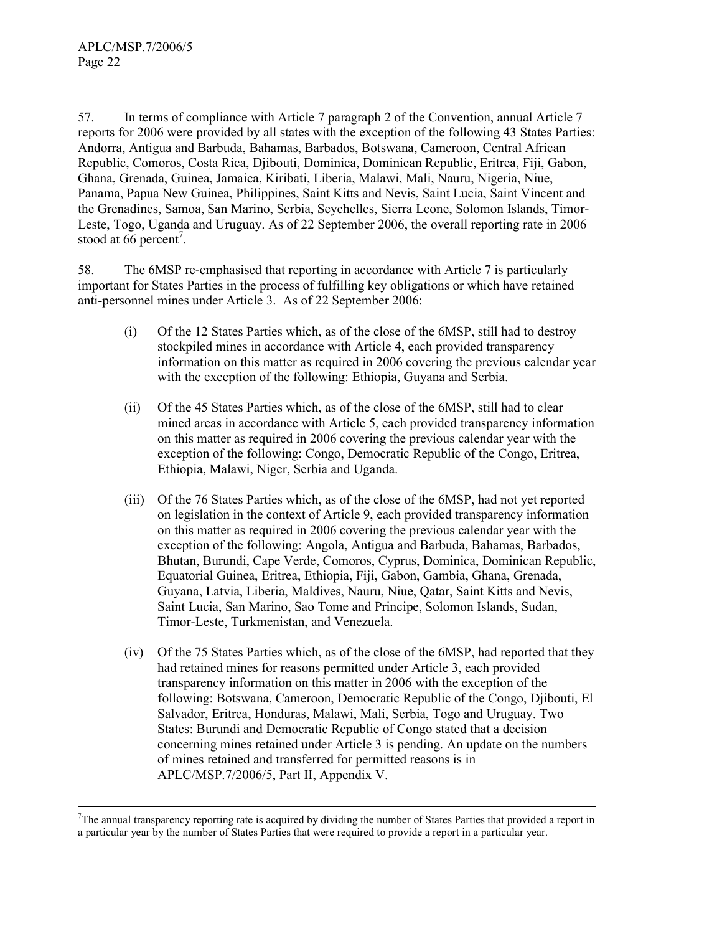$\overline{a}$ 

57. In terms of compliance with Article 7 paragraph 2 of the Convention, annual Article 7 reports for 2006 were provided by all states with the exception of the following 43 States Parties: Andorra, Antigua and Barbuda, Bahamas, Barbados, Botswana, Cameroon, Central African Republic, Comoros, Costa Rica, Djibouti, Dominica, Dominican Republic, Eritrea, Fiji, Gabon, Ghana, Grenada, Guinea, Jamaica, Kiribati, Liberia, Malawi, Mali, Nauru, Nigeria, Niue, Panama, Papua New Guinea, Philippines, Saint Kitts and Nevis, Saint Lucia, Saint Vincent and the Grenadines, Samoa, San Marino, Serbia, Seychelles, Sierra Leone, Solomon Islands, Timor-Leste, Togo, Uganda and Uruguay. As of 22 September 2006, the overall reporting rate in 2006 stood at 66 percent<sup>7</sup>.

58. The 6MSP re-emphasised that reporting in accordance with Article 7 is particularly important for States Parties in the process of fulfilling key obligations or which have retained anti-personnel mines under Article 3. As of 22 September 2006:

- (i) Of the 12 States Parties which, as of the close of the 6MSP, still had to destroy stockpiled mines in accordance with Article 4, each provided transparency information on this matter as required in 2006 covering the previous calendar year with the exception of the following: Ethiopia, Guyana and Serbia.
- (ii) Of the 45 States Parties which, as of the close of the 6MSP, still had to clear mined areas in accordance with Article 5, each provided transparency information on this matter as required in 2006 covering the previous calendar year with the exception of the following: Congo, Democratic Republic of the Congo, Eritrea, Ethiopia, Malawi, Niger, Serbia and Uganda.
- (iii) Of the 76 States Parties which, as of the close of the 6MSP, had not yet reported on legislation in the context of Article 9, each provided transparency information on this matter as required in 2006 covering the previous calendar year with the exception of the following: Angola, Antigua and Barbuda, Bahamas, Barbados, Bhutan, Burundi, Cape Verde, Comoros, Cyprus, Dominica, Dominican Republic, Equatorial Guinea, Eritrea, Ethiopia, Fiji, Gabon, Gambia, Ghana, Grenada, Guyana, Latvia, Liberia, Maldives, Nauru, Niue, Qatar, Saint Kitts and Nevis, Saint Lucia, San Marino, Sao Tome and Principe, Solomon Islands, Sudan, Timor-Leste, Turkmenistan, and Venezuela.
- (iv) Of the 75 States Parties which, as of the close of the 6MSP, had reported that they had retained mines for reasons permitted under Article 3, each provided transparency information on this matter in 2006 with the exception of the following: Botswana, Cameroon, Democratic Republic of the Congo, Djibouti, El Salvador, Eritrea, Honduras, Malawi, Mali, Serbia, Togo and Uruguay. Two States: Burundi and Democratic Republic of Congo stated that a decision concerning mines retained under Article 3 is pending. An update on the numbers of mines retained and transferred for permitted reasons is in APLC/MSP.7/2006/5, Part II, Appendix V.

<sup>&</sup>lt;sup>7</sup>The annual transparency reporting rate is acquired by dividing the number of States Parties that provided a report in a particular year by the number of States Parties that were required to provide a report in a particular year.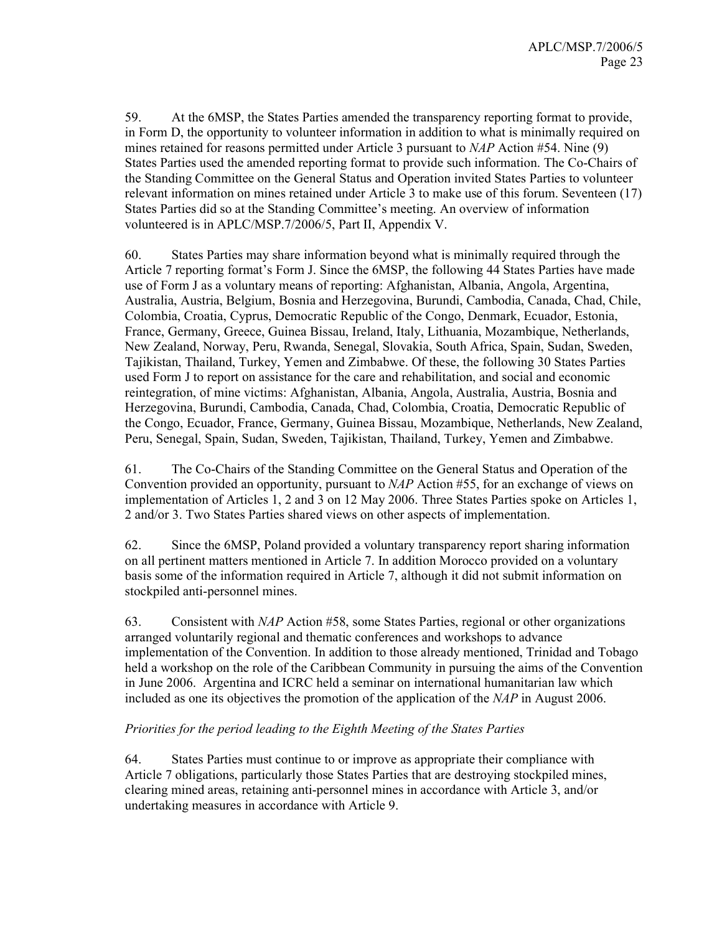59. At the 6MSP, the States Parties amended the transparency reporting format to provide, in Form D, the opportunity to volunteer information in addition to what is minimally required on mines retained for reasons permitted under Article 3 pursuant to NAP Action #54. Nine (9) States Parties used the amended reporting format to provide such information. The Co-Chairs of the Standing Committee on the General Status and Operation invited States Parties to volunteer relevant information on mines retained under Article 3 to make use of this forum. Seventeen (17) States Parties did so at the Standing Committee's meeting. An overview of information volunteered is in APLC/MSP.7/2006/5, Part II, Appendix V.

60. States Parties may share information beyond what is minimally required through the Article 7 reporting format's Form J. Since the 6MSP, the following 44 States Parties have made use of Form J as a voluntary means of reporting: Afghanistan, Albania, Angola, Argentina, Australia, Austria, Belgium, Bosnia and Herzegovina, Burundi, Cambodia, Canada, Chad, Chile, Colombia, Croatia, Cyprus, Democratic Republic of the Congo, Denmark, Ecuador, Estonia, France, Germany, Greece, Guinea Bissau, Ireland, Italy, Lithuania, Mozambique, Netherlands, New Zealand, Norway, Peru, Rwanda, Senegal, Slovakia, South Africa, Spain, Sudan, Sweden, Tajikistan, Thailand, Turkey, Yemen and Zimbabwe. Of these, the following 30 States Parties used Form J to report on assistance for the care and rehabilitation, and social and economic reintegration, of mine victims: Afghanistan, Albania, Angola, Australia, Austria, Bosnia and Herzegovina, Burundi, Cambodia, Canada, Chad, Colombia, Croatia, Democratic Republic of the Congo, Ecuador, France, Germany, Guinea Bissau, Mozambique, Netherlands, New Zealand, Peru, Senegal, Spain, Sudan, Sweden, Tajikistan, Thailand, Turkey, Yemen and Zimbabwe.

61. The Co-Chairs of the Standing Committee on the General Status and Operation of the Convention provided an opportunity, pursuant to NAP Action #55, for an exchange of views on implementation of Articles 1, 2 and 3 on 12 May 2006. Three States Parties spoke on Articles 1, 2 and/or 3. Two States Parties shared views on other aspects of implementation.

62. Since the 6MSP, Poland provided a voluntary transparency report sharing information on all pertinent matters mentioned in Article 7. In addition Morocco provided on a voluntary basis some of the information required in Article 7, although it did not submit information on stockpiled anti-personnel mines.

63. Consistent with NAP Action #58, some States Parties, regional or other organizations arranged voluntarily regional and thematic conferences and workshops to advance implementation of the Convention. In addition to those already mentioned, Trinidad and Tobago held a workshop on the role of the Caribbean Community in pursuing the aims of the Convention in June 2006. Argentina and ICRC held a seminar on international humanitarian law which included as one its objectives the promotion of the application of the NAP in August 2006.

#### Priorities for the period leading to the Eighth Meeting of the States Parties

64. States Parties must continue to or improve as appropriate their compliance with Article 7 obligations, particularly those States Parties that are destroying stockpiled mines, clearing mined areas, retaining anti-personnel mines in accordance with Article 3, and/or undertaking measures in accordance with Article 9.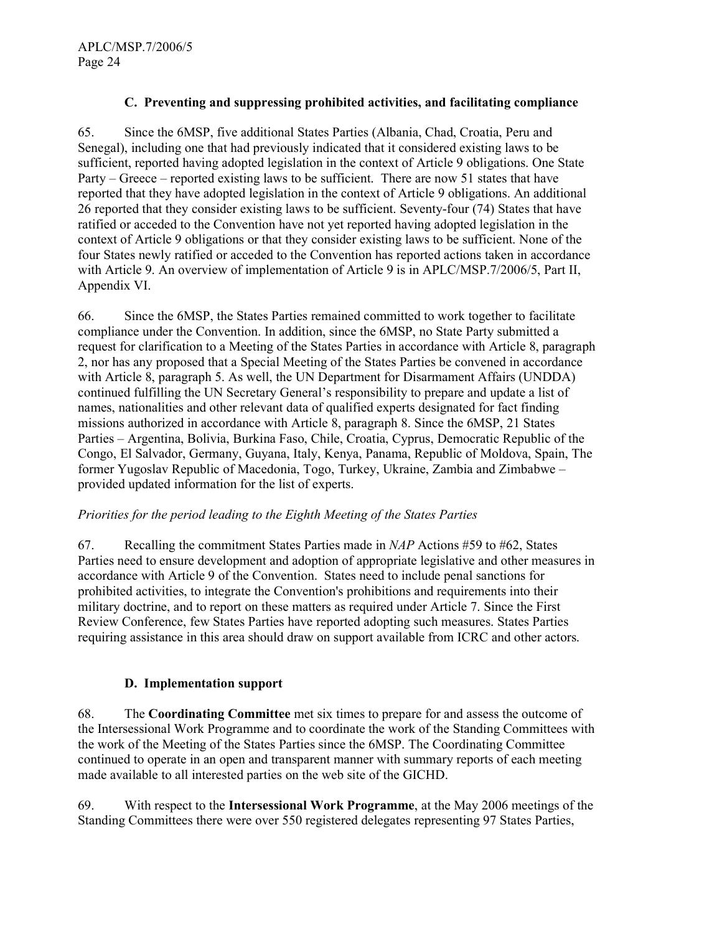#### C. Preventing and suppressing prohibited activities, and facilitating compliance

65. Since the 6MSP, five additional States Parties (Albania, Chad, Croatia, Peru and Senegal), including one that had previously indicated that it considered existing laws to be sufficient, reported having adopted legislation in the context of Article 9 obligations. One State Party – Greece – reported existing laws to be sufficient. There are now 51 states that have reported that they have adopted legislation in the context of Article 9 obligations. An additional 26 reported that they consider existing laws to be sufficient. Seventy-four (74) States that have ratified or acceded to the Convention have not yet reported having adopted legislation in the context of Article 9 obligations or that they consider existing laws to be sufficient. None of the four States newly ratified or acceded to the Convention has reported actions taken in accordance with Article 9. An overview of implementation of Article 9 is in APLC/MSP.7/2006/5, Part II, Appendix VI.

66. Since the 6MSP, the States Parties remained committed to work together to facilitate compliance under the Convention. In addition, since the 6MSP, no State Party submitted a request for clarification to a Meeting of the States Parties in accordance with Article 8, paragraph 2, nor has any proposed that a Special Meeting of the States Parties be convened in accordance with Article 8, paragraph 5. As well, the UN Department for Disarmament Affairs (UNDDA) continued fulfilling the UN Secretary General's responsibility to prepare and update a list of names, nationalities and other relevant data of qualified experts designated for fact finding missions authorized in accordance with Article 8, paragraph 8. Since the 6MSP, 21 States Parties – Argentina, Bolivia, Burkina Faso, Chile, Croatia, Cyprus, Democratic Republic of the Congo, El Salvador, Germany, Guyana, Italy, Kenya, Panama, Republic of Moldova, Spain, The former Yugoslav Republic of Macedonia, Togo, Turkey, Ukraine, Zambia and Zimbabwe – provided updated information for the list of experts.

#### Priorities for the period leading to the Eighth Meeting of the States Parties

67. Recalling the commitment States Parties made in NAP Actions #59 to #62, States Parties need to ensure development and adoption of appropriate legislative and other measures in accordance with Article 9 of the Convention. States need to include penal sanctions for prohibited activities, to integrate the Convention's prohibitions and requirements into their military doctrine, and to report on these matters as required under Article 7. Since the First Review Conference, few States Parties have reported adopting such measures. States Parties requiring assistance in this area should draw on support available from ICRC and other actors.

#### D. Implementation support

68. The Coordinating Committee met six times to prepare for and assess the outcome of the Intersessional Work Programme and to coordinate the work of the Standing Committees with the work of the Meeting of the States Parties since the 6MSP. The Coordinating Committee continued to operate in an open and transparent manner with summary reports of each meeting made available to all interested parties on the web site of the GICHD.

69. With respect to the Intersessional Work Programme, at the May 2006 meetings of the Standing Committees there were over 550 registered delegates representing 97 States Parties,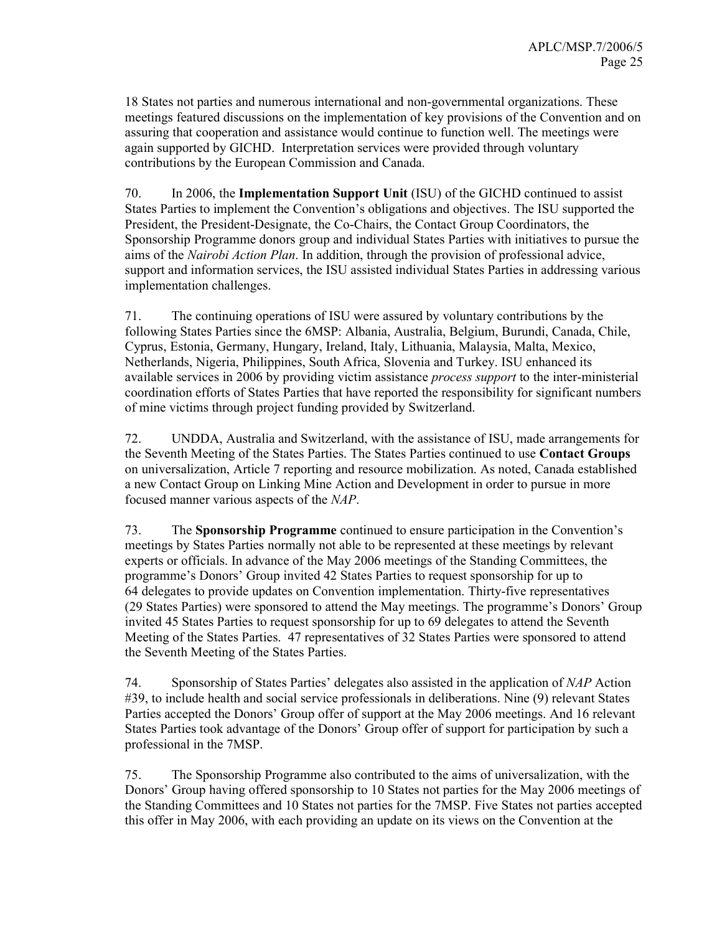18 States not parties and numerous international and non-governmental organizations. These meetings featured discussions on the implementation of key provisions of the Convention and on assuring that cooperation and assistance would continue to function well. The meetings were again supported by GICHD. Interpretation services were provided through voluntary contributions by the European Commission and Canada.

70. In 2006, the Implementation Support Unit (ISU) of the GICHD continued to assist States Parties to implement the Convention's obligations and objectives. The ISU supported the President, the President-Designate, the Co-Chairs, the Contact Group Coordinators, the Sponsorship Programme donors group and individual States Parties with initiatives to pursue the aims of the Nairobi Action Plan. In addition, through the provision of professional advice, support and information services, the ISU assisted individual States Parties in addressing various implementation challenges.

71. The continuing operations of ISU were assured by voluntary contributions by the following States Parties since the 6MSP: Albania, Australia, Belgium, Burundi, Canada, Chile, Cyprus, Estonia, Germany, Hungary, Ireland, Italy, Lithuania, Malaysia, Malta, Mexico, Netherlands, Nigeria, Philippines, South Africa, Slovenia and Turkey. ISU enhanced its available services in 2006 by providing victim assistance *process support* to the inter-ministerial coordination efforts of States Parties that have reported the responsibility for significant numbers of mine victims through project funding provided by Switzerland.

72. UNDDA, Australia and Switzerland, with the assistance of ISU, made arrangements for the Seventh Meeting of the States Parties. The States Parties continued to use Contact Groups on universalization, Article 7 reporting and resource mobilization. As noted, Canada established a new Contact Group on Linking Mine Action and Development in order to pursue in more focused manner various aspects of the NAP.

73. The Sponsorship Programme continued to ensure participation in the Convention's meetings by States Parties normally not able to be represented at these meetings by relevant experts or officials. In advance of the May 2006 meetings of the Standing Committees, the programme's Donors' Group invited 42 States Parties to request sponsorship for up to 64 delegates to provide updates on Convention implementation. Thirty-five representatives (29 States Parties) were sponsored to attend the May meetings. The programme's Donors' Group invited 45 States Parties to request sponsorship for up to 69 delegates to attend the Seventh Meeting of the States Parties. 47 representatives of 32 States Parties were sponsored to attend the Seventh Meeting of the States Parties.

74. Sponsorship of States Parties' delegates also assisted in the application of NAP Action #39, to include health and social service professionals in deliberations. Nine (9) relevant States Parties accepted the Donors' Group offer of support at the May 2006 meetings. And 16 relevant States Parties took advantage of the Donors' Group offer of support for participation by such a professional in the 7MSP.

75. The Sponsorship Programme also contributed to the aims of universalization, with the Donors' Group having offered sponsorship to 10 States not parties for the May 2006 meetings of the Standing Committees and 10 States not parties for the 7MSP. Five States not parties accepted this offer in May 2006, with each providing an update on its views on the Convention at the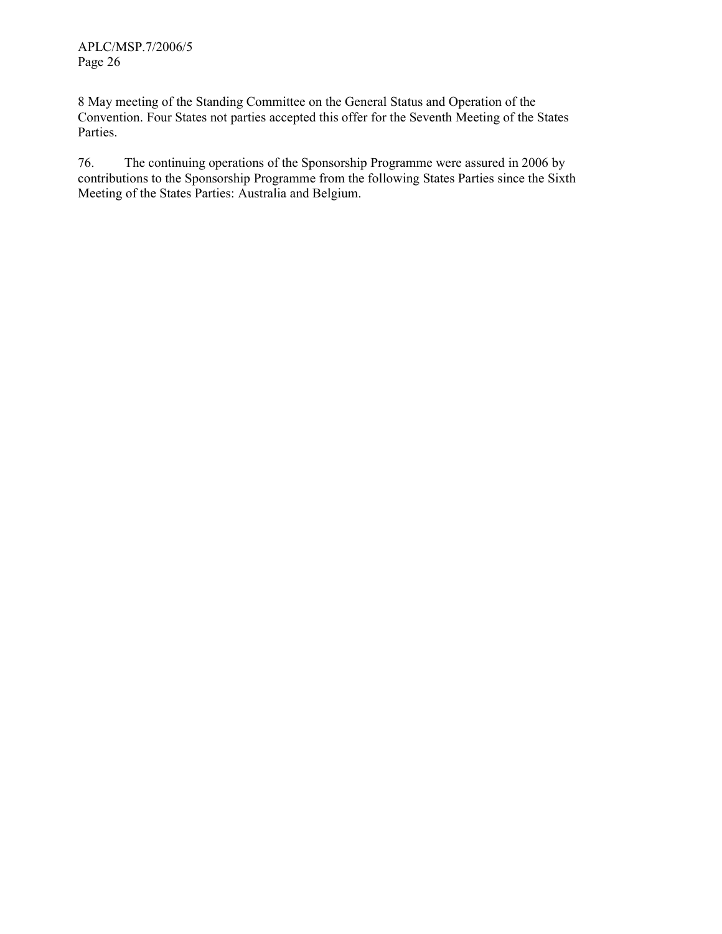APLC/MSP.7/2006/5 Page 26

8 May meeting of the Standing Committee on the General Status and Operation of the Convention. Four States not parties accepted this offer for the Seventh Meeting of the States Parties.

76. The continuing operations of the Sponsorship Programme were assured in 2006 by contributions to the Sponsorship Programme from the following States Parties since the Sixth Meeting of the States Parties: Australia and Belgium.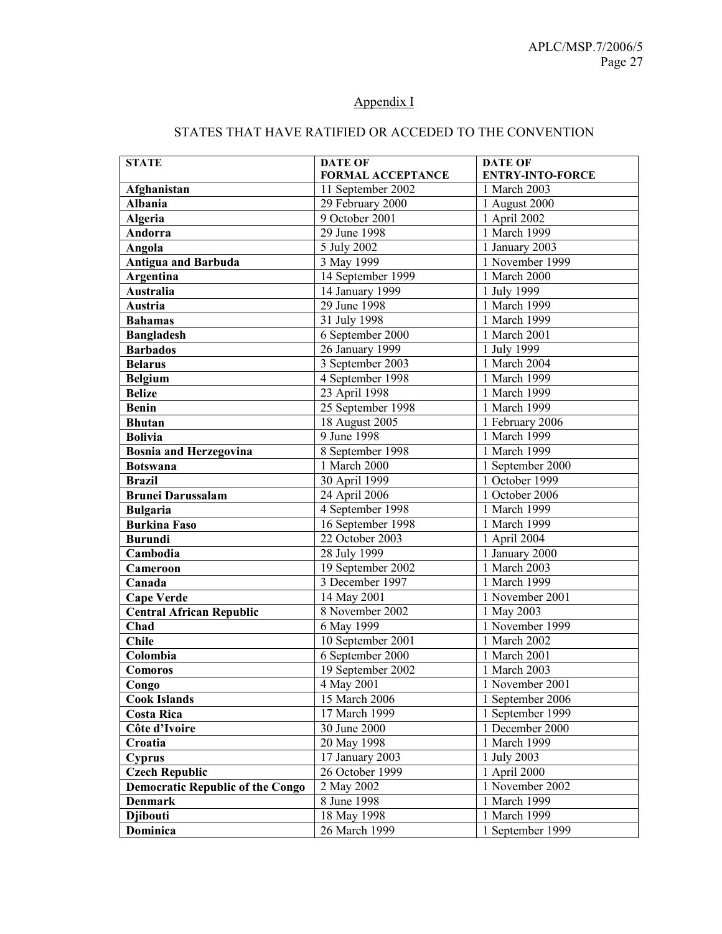#### Appendix I

| <b>STATE</b>                            | <b>DATE OF</b>           | <b>DATE OF</b>              |
|-----------------------------------------|--------------------------|-----------------------------|
|                                         | <b>FORMAL ACCEPTANCE</b> | <b>ENTRY-INTO-FORCE</b>     |
| Afghanistan                             | 11 September 2002        | 1 March 2003                |
| <b>Albania</b>                          | 29 February 2000         | 1 August 2000               |
| <b>Algeria</b>                          | 9 October 2001           | 1 April 2002                |
| Andorra                                 | 29 June 1998             | 1 March 1999                |
| Angola                                  | 5 July 2002              | 1 January 2003              |
| <b>Antigua and Barbuda</b>              | 3 May 1999               | 1 November 1999             |
| <b>Argentina</b>                        | 14 September 1999        | 1 March 2000                |
| <b>Australia</b>                        | 14 January 1999          | 1 July 1999                 |
| Austria                                 | 29 June 1998             | 1 March 1999                |
| <b>Bahamas</b>                          | 31 July 1998             | 1 March 1999                |
| <b>Bangladesh</b>                       | 6 September 2000         | 1 March 2001                |
| <b>Barbados</b>                         | 26 January 1999          | 1 July 1999                 |
| <b>Belarus</b>                          | 3 September 2003         | 1 March 2004                |
| <b>Belgium</b>                          | 4 September 1998         | 1 March 1999                |
| <b>Belize</b>                           | 23 April 1998            | 1 March 1999                |
| <b>Benin</b>                            | 25 September 1998        | 1 March 1999                |
| <b>Bhutan</b>                           | 18 August 2005           | 1 February 2006             |
| <b>Bolivia</b>                          | 9 June 1998              | 1 March 1999                |
| <b>Bosnia and Herzegovina</b>           | 8 September 1998         | 1 March 1999                |
| <b>Botswana</b>                         | 1 March 2000             | 1 September 2000            |
| <b>Brazil</b>                           | 30 April 1999            | $\overline{1}$ October 1999 |
| <b>Brunei Darussalam</b>                | 24 April 2006            | 1 October 2006              |
| <b>Bulgaria</b>                         | 4 September 1998         | 1 March 1999                |
| <b>Burkina Faso</b>                     | 16 September 1998        | 1 March 1999                |
| <b>Burundi</b>                          | 22 October 2003          | 1 April 2004                |
| Cambodia                                | 28 July 1999             | 1 January 2000              |
| Cameroon                                | 19 September 2002        | 1 March 2003                |
| Canada                                  | 3 December 1997          | 1 March 1999                |
| <b>Cape Verde</b>                       | 14 May 2001              | 1 November 2001             |
| <b>Central African Republic</b>         | 8 November 2002          | 1 May 2003                  |
| Chad                                    | 6 May 1999               | 1 November 1999             |
| <b>Chile</b>                            | 10 September 2001        | 1 March 2002                |
| Colombia                                | 6 September 2000         | 1 March 2001                |
| Comoros                                 | 19 September 2002        | 1 March 2003                |
| Congo                                   | 4 May 2001               | 1 November 2001             |
| <b>Cook Islands</b>                     | 15 March 2006            | 1 September 2006            |
| <b>Costa Rica</b>                       | 17 March 1999            | 1 September 1999            |
| Côte d'Ivoire                           | 30 June 2000             | 1 December 2000             |
| Croatia                                 | 20 May 1998              | 1 March 1999                |
| <b>Cyprus</b>                           | 17 January 2003          | 1 July 2003                 |
| <b>Czech Republic</b>                   | 26 October 1999          | 1 April 2000                |
| <b>Democratic Republic of the Congo</b> | 2 May 2002               | 1 November 2002             |
| <b>Denmark</b>                          | 8 June 1998              | 1 March 1999                |
| <b>Djibouti</b>                         | 18 May 1998              | 1 March 1999                |
| Dominica                                | 26 March 1999            | 1 September 1999            |

### STATES THAT HAVE RATIFIED OR ACCEDED TO THE CONVENTION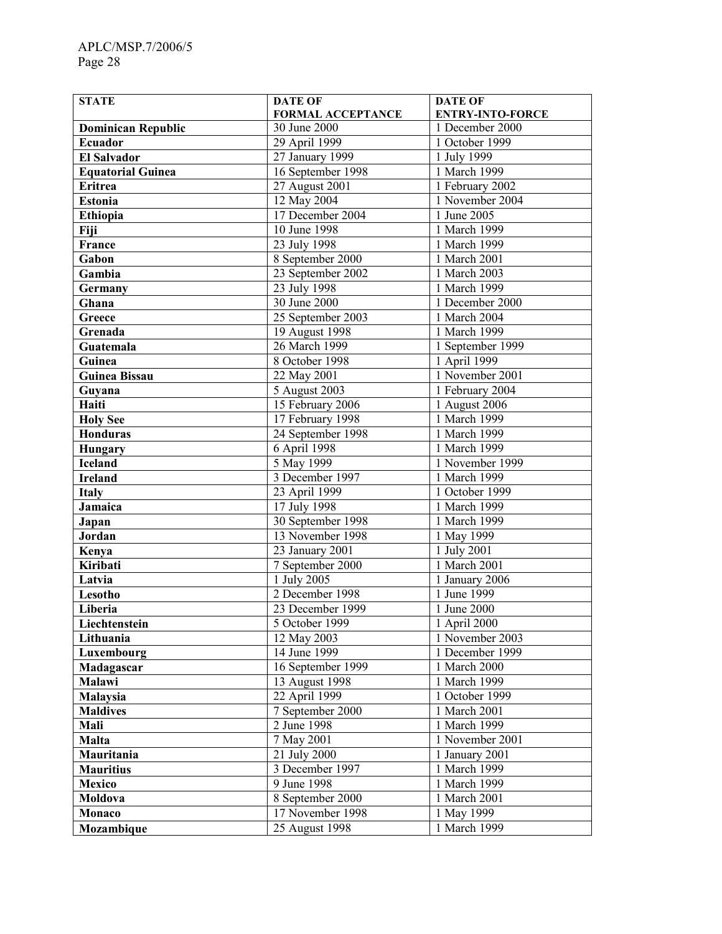| <b>STATE</b>              | <b>DATE OF</b>    | <b>DATE OF</b>          |
|---------------------------|-------------------|-------------------------|
|                           | FORMAL ACCEPTANCE | <b>ENTRY-INTO-FORCE</b> |
| <b>Dominican Republic</b> | 30 June 2000      | 1 December 2000         |
| Ecuador                   | 29 April 1999     | 1 October 1999          |
| <b>El Salvador</b>        | 27 January 1999   | 1 July 1999             |
| <b>Equatorial Guinea</b>  | 16 September 1998 | 1 March 1999            |
| <b>Eritrea</b>            | 27 August 2001    | 1 February 2002         |
| <b>Estonia</b>            | 12 May 2004       | 1 November 2004         |
| Ethiopia                  | 17 December 2004  | 1 June 2005             |
| Fiji                      | 10 June 1998      | 1 March 1999            |
| France                    | 23 July 1998      | 1 March 1999            |
| Gabon                     | 8 September 2000  | 1 March 2001            |
| Gambia                    | 23 September 2002 | 1 March 2003            |
| Germany                   | 23 July 1998      | 1 March 1999            |
| Ghana                     | 30 June 2000      | 1 December 2000         |
| Greece                    | 25 September 2003 | 1 March 2004            |
| Grenada                   | 19 August 1998    | 1 March 1999            |
| Guatemala                 | 26 March 1999     | 1 September 1999        |
| Guinea                    | 8 October 1998    | 1 April 1999            |
| <b>Guinea Bissau</b>      | 22 May 2001       | 1 November 2001         |
| Guyana                    | 5 August 2003     | 1 February 2004         |
| Haiti                     | 15 February 2006  | 1 August 2006           |
| <b>Holy See</b>           | 17 February 1998  | 1 March 1999            |
| <b>Honduras</b>           | 24 September 1998 | 1 March 1999            |
| <b>Hungary</b>            | 6 April 1998      | 1 March 1999            |
| <b>Iceland</b>            | 5 May 1999        | 1 November 1999         |
| <b>Ireland</b>            | 3 December 1997   | 1 March 1999            |
| <b>Italy</b>              | 23 April 1999     | 1 October 1999          |
| Jamaica                   | 17 July 1998      | 1 March 1999            |
| Japan                     | 30 September 1998 | 1 March 1999            |
| Jordan                    | 13 November 1998  | 1 May 1999              |
| Kenya                     | 23 January 2001   | 1 July 2001             |
| Kiribati                  | 7 September 2000  | 1 March 2001            |
| Latvia                    | 1 July 2005       | 1 January 2006          |
| Lesotho                   | 2 December 1998   | 1 June 1999             |
| Liberia                   | 23 December 1999  | 1 June 2000             |
| Liechtenstein             | 5 October 1999    | 1 April 2000            |
| Lithuania                 | 12 May 2003       | 1 November 2003         |
| Luxembourg                | 14 June 1999      | 1 December 1999         |
| Madagascar                | 16 September 1999 | 1 March 2000            |
| Malawi                    | 13 August 1998    | 1 March 1999            |
| Malaysia                  | 22 April 1999     | 1 October 1999          |
| <b>Maldives</b>           | 7 September 2000  | 1 March 2001            |
| Mali                      | 2 June 1998       | 1 March 1999            |
| Malta                     | 7 May 2001        | 1 November 2001         |
| Mauritania                | 21 July 2000      | 1 January 2001          |
| <b>Mauritius</b>          | 3 December 1997   | 1 March 1999            |
| Mexico                    | 9 June 1998       | 1 March 1999            |
| Moldova                   | 8 September 2000  | 1 March 2001            |
| Monaco                    | 17 November 1998  | 1 May 1999              |
| Mozambique                | 25 August 1998    | 1 March 1999            |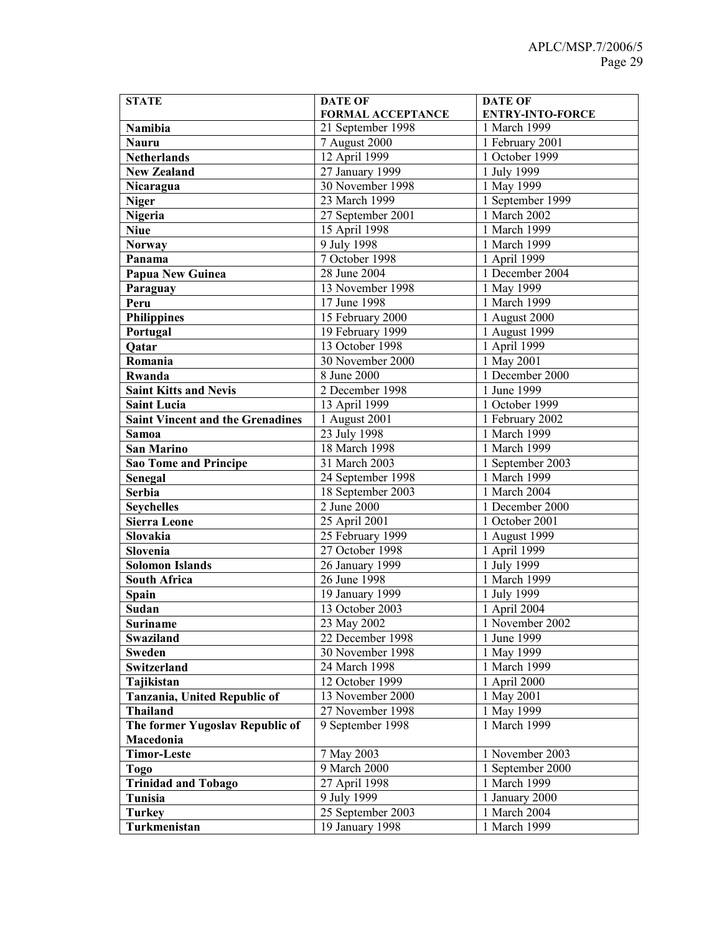| <b>STATE</b>                            | <b>DATE OF</b>           | <b>DATE OF</b>          |
|-----------------------------------------|--------------------------|-------------------------|
|                                         | <b>FORMAL ACCEPTANCE</b> | <b>ENTRY-INTO-FORCE</b> |
| Namibia                                 | 21 September 1998        | 1 March 1999            |
| <b>Nauru</b>                            | 7 August 2000            | 1 February 2001         |
| <b>Netherlands</b>                      | 12 April 1999            | 1 October 1999          |
| <b>New Zealand</b>                      | 27 January 1999          | 1 July 1999             |
| Nicaragua                               | 30 November 1998         | 1 May 1999              |
| <b>Niger</b>                            | 23 March 1999            | 1 September 1999        |
| <b>Nigeria</b>                          | 27 September 2001        | 1 March 2002            |
| <b>Niue</b>                             | 15 April 1998            | 1 March 1999            |
| <b>Norway</b>                           | 9 July 1998              | 1 March 1999            |
| Panama                                  | 7 October 1998           | 1 April 1999            |
| Papua New Guinea                        | 28 June 2004             | 1 December 2004         |
| Paraguay                                | 13 November 1998         | 1 May 1999              |
| Peru                                    | 17 June 1998             | 1 March 1999            |
| <b>Philippines</b>                      | 15 February 2000         | 1 August 2000           |
| Portugal                                | 19 February 1999         | 1 August 1999           |
| Qatar                                   | 13 October 1998          | 1 April 1999            |
| Romania                                 | 30 November 2000         | 1 May 2001              |
| Rwanda                                  | 8 June 2000              | 1 December 2000         |
| <b>Saint Kitts and Nevis</b>            | 2 December 1998          | 1 June 1999             |
| <b>Saint Lucia</b>                      | 13 April 1999            | 1 October 1999          |
| <b>Saint Vincent and the Grenadines</b> | 1 August 2001            | 1 February 2002         |
| Samoa                                   | 23 July 1998             | 1 March 1999            |
| <b>San Marino</b>                       | 18 March 1998            | 1 March 1999            |
| <b>Sao Tome and Principe</b>            | 31 March 2003            | 1 September 2003        |
| Senegal                                 | 24 September 1998        | 1 March 1999            |
| Serbia                                  | 18 September 2003        | 1 March 2004            |
| <b>Seychelles</b>                       | 2 June 2000              | 1 December 2000         |
| <b>Sierra Leone</b>                     | 25 April 2001            | 1 October 2001          |
| Slovakia                                | 25 February 1999         | 1 August 1999           |
| Slovenia                                | 27 October 1998          | 1 April 1999            |
| <b>Solomon Islands</b>                  | 26 January 1999          | 1 July 1999             |
| <b>South Africa</b>                     | 26 June 1998             | 1 March 1999            |
| Spain                                   | 19 January 1999          | 1 July 1999             |
| Sudan                                   | 13 October 2003          | 1 April 2004            |
| <b>Suriname</b>                         | 23 May 2002              | 1 November 2002         |
| Swaziland                               | 22 December 1998         | 1 June 1999             |
| <b>Sweden</b>                           | 30 November 1998         | 1 May 1999              |
| Switzerland                             | 24 March 1998            | 1 March 1999            |
| Tajikistan                              | 12 October 1999          | 1 April 2000            |
| Tanzania, United Republic of            | 13 November 2000         | 1 May 2001              |
| <b>Thailand</b>                         | 27 November 1998         | 1 May 1999              |
| The former Yugoslav Republic of         | 9 September 1998         | 1 March 1999            |
| Macedonia                               |                          |                         |
| <b>Timor-Leste</b>                      | 7 May 2003               | 1 November 2003         |
| <b>Togo</b>                             | 9 March 2000             | 1 September 2000        |
| <b>Trinidad and Tobago</b>              | 27 April 1998            | 1 March 1999            |
| Tunisia                                 | 9 July 1999              | 1 January 2000          |
| <b>Turkey</b>                           | 25 September 2003        | 1 March 2004            |
| Turkmenistan                            | 19 January 1998          | 1 March 1999            |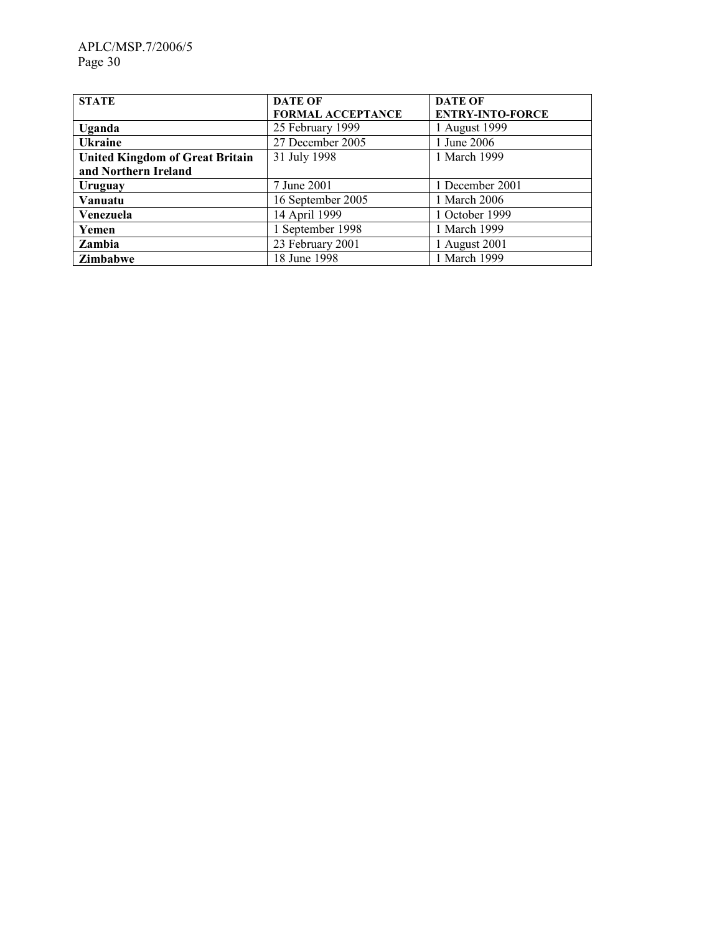| <b>STATE</b>                           | <b>DATE OF</b>           | <b>DATE OF</b>          |
|----------------------------------------|--------------------------|-------------------------|
|                                        | <b>FORMAL ACCEPTANCE</b> | <b>ENTRY-INTO-FORCE</b> |
| Uganda                                 | 25 February 1999         | 1 August 1999           |
| <b>Ukraine</b>                         | 27 December 2005         | 1 June 2006             |
| <b>United Kingdom of Great Britain</b> | 31 July 1998             | 1 March 1999            |
| and Northern Ireland                   |                          |                         |
| Uruguay                                | 7 June 2001              | 1 December 2001         |
| Vanuatu                                | 16 September 2005        | 1 March 2006            |
| Venezuela                              | 14 April 1999            | 1 October 1999          |
| Yemen                                  | 1 September 1998         | 1 March 1999            |
| Zambia                                 | 23 February 2001         | 1 August 2001           |
| Zimbabwe                               | 18 June 1998             | 1 March 1999            |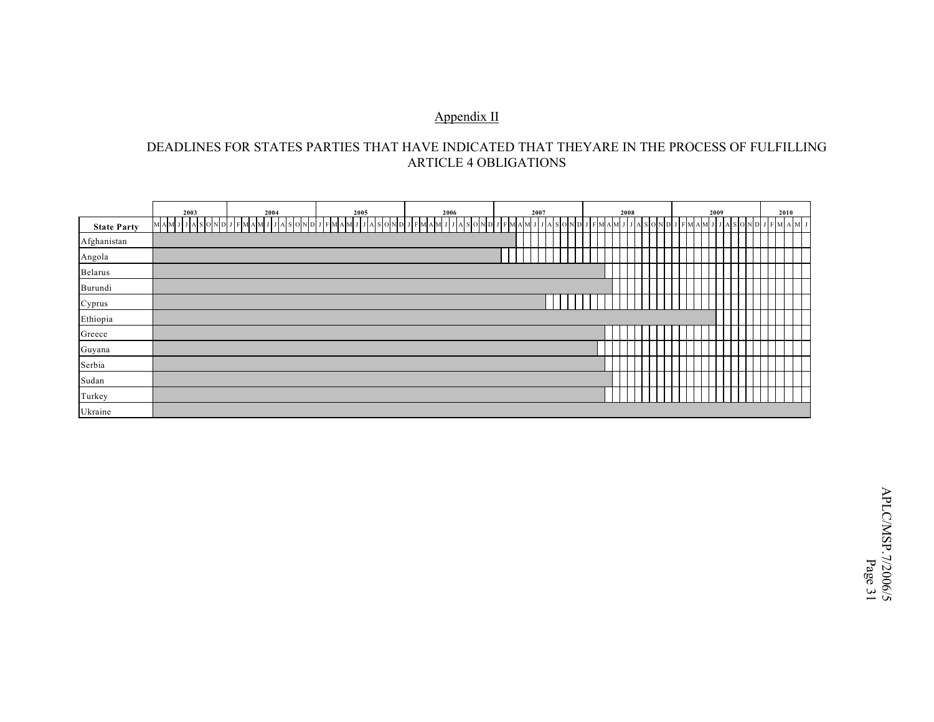#### Appendix II

#### DEADLINES FOR STATES PARTIES THAT HAVE INDICATED THAT THEYARE IN THE PROCESS OF FULFILLING ARTICLE 4 OBLIGATIONS

|                    | 2003              | 2004         | 2005                 | 2006                          | 2007      |               |         | 2008 |                |       |     | 2009 |                | 2010 |  |
|--------------------|-------------------|--------------|----------------------|-------------------------------|-----------|---------------|---------|------|----------------|-------|-----|------|----------------|------|--|
| <b>State Party</b> | JJASONDJI<br>MAM. | FMAMJJASONDJ | F M A M<br>$A$ SOND. | FM.<br>A S O I<br>ND J<br>A M | F M A M J | S O N D<br>JA | F M A M |      | AI SIOINIDI JI | F MI. | A M |      | $A$ SONDJFMAMJ |      |  |
| Afghanistan        |                   |              |                      |                               |           |               |         |      |                |       |     |      |                |      |  |
| Angola             |                   |              |                      |                               |           |               |         |      |                |       |     |      |                |      |  |
| Belarus            |                   |              |                      |                               |           |               |         |      |                |       |     |      |                |      |  |
| Burundi            |                   |              |                      |                               |           |               |         |      |                |       |     |      |                |      |  |
| Cyprus             |                   |              |                      |                               |           |               |         |      |                |       |     |      |                |      |  |
| Ethiopia           |                   |              |                      |                               |           |               |         |      |                |       |     |      |                |      |  |
| Greece             |                   |              |                      |                               |           |               |         |      |                |       |     |      |                |      |  |
| Guyana             |                   |              |                      |                               |           |               |         |      |                |       |     |      |                |      |  |
| Serbia             |                   |              |                      |                               |           |               |         |      |                |       |     |      |                |      |  |
| Sudan              |                   |              |                      |                               |           |               |         |      |                |       |     |      |                |      |  |
| Turkey             |                   |              |                      |                               |           |               |         |      |                |       |     |      |                |      |  |
| Ukraine            |                   |              |                      |                               |           |               |         |      |                |       |     |      |                |      |  |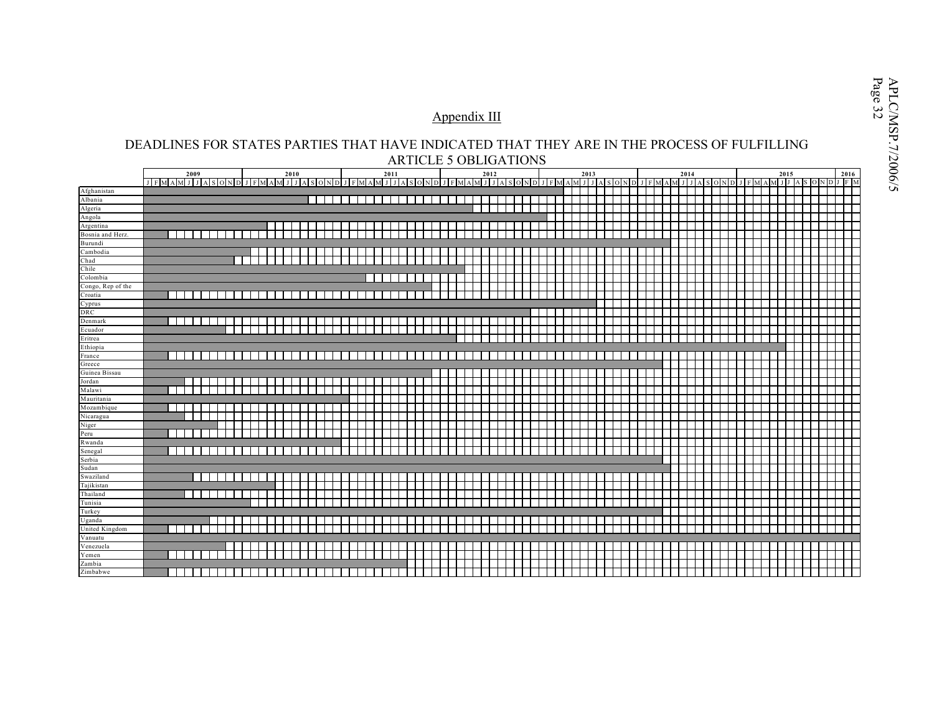# $\frac{\text{Appendix III}}{\text{DEADLINES FOR STATES PARTIES THAT HAVE INDICATED THAT THEN ARE IN THE PROCESS OF FULFILLING}$

|                         | 2009           | 2010                                                               | 2011 | 2012 | 2013 | 2014 | 2015<br>2016 |
|-------------------------|----------------|--------------------------------------------------------------------|------|------|------|------|--------------|
|                         |                | JFMAMJJASONDJFMAMJJASONDJFMAMJJASONDJFMAMJJASONDJFMAMJJASONDJFMAMJ |      |      |      |      | ONDJFM       |
| Afghanistan             |                |                                                                    |      |      |      |      |              |
| Albania                 |                |                                                                    |      |      |      |      |              |
| Algeria                 |                |                                                                    |      |      |      |      |              |
| Angola                  |                |                                                                    |      |      |      |      |              |
| Argentina               |                |                                                                    |      |      |      |      |              |
| Bosnia and Herz.        |                |                                                                    |      |      |      |      |              |
| Burundi                 |                |                                                                    |      |      |      |      |              |
| Cambodia                |                |                                                                    |      |      |      |      |              |
| Chad                    |                |                                                                    |      |      |      |      |              |
| Chile                   |                |                                                                    |      |      |      |      |              |
| Colombia                |                |                                                                    |      |      |      |      |              |
| Congo, Rep of the       |                |                                                                    |      |      |      |      |              |
| Croatia                 |                |                                                                    |      |      |      |      |              |
| Cyprus                  |                |                                                                    |      |      |      |      |              |
| DRC                     |                |                                                                    |      |      |      |      |              |
| Denmark                 | - 1<br>- 11    |                                                                    |      |      |      |      |              |
| Ecuador                 |                |                                                                    |      |      |      |      |              |
| Eritrea                 |                |                                                                    |      |      |      |      |              |
| Ethiopia                |                |                                                                    |      |      |      |      |              |
| France                  | - 1            |                                                                    |      |      |      |      |              |
| Greece<br>Guinea Bissau |                |                                                                    |      |      |      |      |              |
| Jordan                  |                |                                                                    |      |      |      |      |              |
| Malawi                  |                |                                                                    |      |      |      |      |              |
| Mauritania              |                |                                                                    |      |      |      |      |              |
| Mozambique              |                |                                                                    |      |      |      |      |              |
| Nicaragua               |                |                                                                    |      |      |      |      |              |
| Niger                   |                |                                                                    |      |      |      |      |              |
| Peru                    |                |                                                                    |      |      |      |      |              |
| Rwanda                  |                |                                                                    |      |      |      |      |              |
| Senegal                 |                |                                                                    |      |      |      |      |              |
| Serbia                  |                |                                                                    |      |      |      |      |              |
| Sudan                   |                |                                                                    |      |      |      |      |              |
| Swaziland               |                |                                                                    |      |      |      |      |              |
| Tajikistan              |                |                                                                    |      |      |      |      |              |
| Thailand                |                |                                                                    |      |      |      |      |              |
| Tunisia                 |                |                                                                    |      |      |      |      |              |
| Turkey                  |                |                                                                    |      |      |      |      |              |
| Uganda                  |                |                                                                    |      |      |      |      |              |
| United Kingdom          | - 1            |                                                                    |      |      |      |      |              |
| Vanuatu                 |                |                                                                    |      |      |      |      |              |
| Venezuela               |                |                                                                    |      |      |      |      |              |
| Yemen                   |                |                                                                    |      |      |      |      |              |
| Zambia                  |                |                                                                    |      |      |      |      |              |
| Zimbabwe                | $\blacksquare$ |                                                                    |      |      |      |      |              |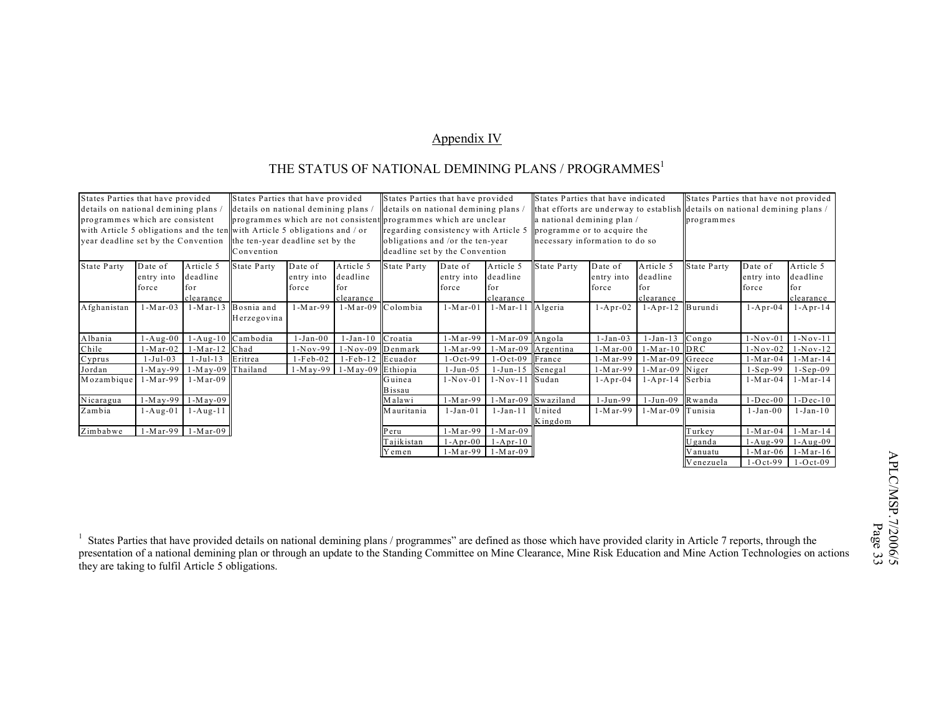#### Appendix IV

### THE STATUS OF NATIONAL DEMINING PLANS / PROGRAMMES<sup>1</sup>

| States Parties that have provided<br>States Parties that have provided                              |            |                     | States Parties that have indicated<br>States Parties that have provided    |             |                   |                                      | States Parties that have not provided |                            |                                |                 |                  |                                                                             |                |                |  |
|-----------------------------------------------------------------------------------------------------|------------|---------------------|----------------------------------------------------------------------------|-------------|-------------------|--------------------------------------|---------------------------------------|----------------------------|--------------------------------|-----------------|------------------|-----------------------------------------------------------------------------|----------------|----------------|--|
| details on national demining plans                                                                  |            |                     | details on national demining plans.                                        |             |                   | details on national demining plans / |                                       |                            |                                |                 |                  | that efforts are underway to establish details on national demining plans / |                |                |  |
| programmes which are consistent<br>programmes which are not consistent programmes which are unclear |            |                     |                                                                            |             |                   |                                      |                                       | a national demining plan / |                                |                 | programmes       |                                                                             |                |                |  |
|                                                                                                     |            |                     | with Article 5 obligations and the ten with Article 5 obligations and / or |             |                   | regarding consistency with Article 5 |                                       |                            | programme or to acquire the    |                 |                  |                                                                             |                |                |  |
| year deadline set by the Convention                                                                 |            |                     | the ten-year deadline set by the                                           |             |                   | obligations and /or the ten-year     |                                       |                            | necessary information to do so |                 |                  |                                                                             |                |                |  |
|                                                                                                     |            |                     | Convention                                                                 |             |                   | deadline set by the Convention       |                                       |                            |                                |                 |                  |                                                                             |                |                |  |
| <b>State Party</b>                                                                                  | Date of    | Article 5           | <b>State Party</b>                                                         | Date of     | Article 5         | State Party                          | Date of                               | Article 5                  | State Party                    | Date of         | Article 5        | State Party                                                                 | Date of        | Article 5      |  |
|                                                                                                     | entry into | deadline            |                                                                            | entry into  | deadline          |                                      | entry into                            | deadline                   |                                | entry into      | deadline         |                                                                             | entry into     | deadline       |  |
|                                                                                                     | force      | for                 |                                                                            | force       | for               |                                      | force                                 | for                        |                                | force           | for              |                                                                             | force          | for.           |  |
|                                                                                                     |            | clearance           |                                                                            |             | clearance         |                                      |                                       | clearance                  |                                |                 | clearance        |                                                                             |                | clearance      |  |
| Afghanistan                                                                                         | $1-Mar-03$ |                     | 1-Mar-13 Bosnia and                                                        | $1-M$ ar-99 | 1-Mar-09 Colombia |                                      | $1-M$ ar-01                           | $1-Mar-11$                 | Algeria                        | $1 - A pr - 02$ | 1-Apr-12 Burundi |                                                                             | $1 - Apr-04$   | $1 - Apr-14$   |  |
|                                                                                                     |            |                     | Herzegovina                                                                |             |                   |                                      |                                       |                            |                                |                 |                  |                                                                             |                |                |  |
|                                                                                                     |            |                     |                                                                            |             |                   |                                      |                                       |                            |                                |                 |                  |                                                                             |                |                |  |
| Albania                                                                                             | $1-Aug-00$ |                     | 1-Aug-10 Cambodia                                                          | $1-Jan-00$  | $1-Jan-10$        | Croatia                              | 1-Mar-99                              | l - M ar-09                | Angola                         | $-Jan-03$       | $1-Jan-13$       | Congo                                                                       | $1-Nov-01$     | $1-Nov-11$     |  |
| Chile                                                                                               | $1-Mar-02$ | 1-Mar-12 Chad       |                                                                            | $1-Nov-99$  | 1-Nov-09 Denmark  |                                      | 1-Mar-99                              | 1-Mar-09                   | Argentina                      | 1 - M ar - 0 0  | $1-Mar-10$ DRC   |                                                                             | $1-Nov-02$     | $1-Nov-12$     |  |
| Cyprus                                                                                              | $-Jul-03$  | $1-Ju1-13$          | Eritrea                                                                    | $1-Feb-02$  | $1-Feb-12$        | Ecuador                              | $-0ct-99$                             | $1-Oct-09$                 | France                         | 1 - M ar - 99   | 1-Mar-09 Greece  |                                                                             | $1-M$ ar-04    | $1-M$ ar- $14$ |  |
| Jordan                                                                                              | $1-May-99$ | 1-May-09 Thailand   |                                                                            | $1-M$ ay-99 | 1-May-09 Ethiopia |                                      | $1-Jun-05$                            | $1-Jun-15$                 | Senegal                        | 1-M ar-99       | 1-Mar-09 Niger   |                                                                             | $1-Sep-99$     | $1-Sep-09$     |  |
| Mozambique                                                                                          | $1-Mar-99$ | $-Mar-09$           |                                                                            |             |                   | Guinea                               | 1 - N o v - 0 1                       | 1-Nov-11                   | Sudan                          | $1 - Apr-04$    | 1-Apr-14 Serbia  |                                                                             | 1-M ar-04      | 1 - M ar - 14  |  |
|                                                                                                     |            |                     |                                                                            |             |                   | Bissau                               |                                       |                            |                                |                 |                  |                                                                             |                |                |  |
| Nicaragua                                                                                           | $1-May-99$ | $1-M$ ay-09         |                                                                            |             |                   | Malawi                               | 1-Mar-99                              | $1-Mar-09$                 | Swaziland                      | 1-Jun-99        | $1-Jun-09$       | Rwanda                                                                      | $1 - Dec - 00$ | $1 - Dec - 10$ |  |
| Zambia                                                                                              | 1-Aug-01   | $1 - A u g - 11$    |                                                                            |             |                   | M auritania                          | $1-Jan-01$                            | 1-Jan-11                   | United                         | 1-M ar-99       | $1-Mar-09$       | Tunisia                                                                     | $1-Jan-00$     | 1-Jan-10       |  |
|                                                                                                     |            |                     |                                                                            |             |                   |                                      |                                       |                            | Kingdom                        |                 |                  |                                                                             |                |                |  |
| Zimbabwe                                                                                            |            | $1-Mar-99$ 1-Mar-09 |                                                                            |             |                   | Peru                                 | 1-Mar-99                              | $1-Mar-09$                 |                                |                 |                  | Turkey                                                                      | 1-M ar-04      | $1-M$ ar- $14$ |  |
|                                                                                                     |            |                     |                                                                            |             |                   | lajikistan                           | $1 - Apr-00$                          | $1 - A pr - 10$            |                                |                 |                  | Uganda                                                                      | $1-Aug-99$     | $1-Aug-09$     |  |
|                                                                                                     |            |                     |                                                                            |             |                   | √ em en                              | 1-Mar-99                              | $1-M$ ar-09                |                                |                 |                  | Vanuatu                                                                     | $1-M$ ar-06    | $1-M$ ar-16    |  |
|                                                                                                     |            |                     |                                                                            |             |                   |                                      |                                       |                            |                                |                 |                  | Venezuela                                                                   | $1-Oct-99$     | $-Oct-09$      |  |

<sup>1</sup> States Parties that have provided details on national demining plans / programmes" are defined as those which have provided clarity in Article 7 reports, through the presentation of a national demining plan or through an update to the Standing Committee on Mine Clearance, Mine Risk Education and Mine Action Technologies on actions they are taking to fulfil Article 5 obligations.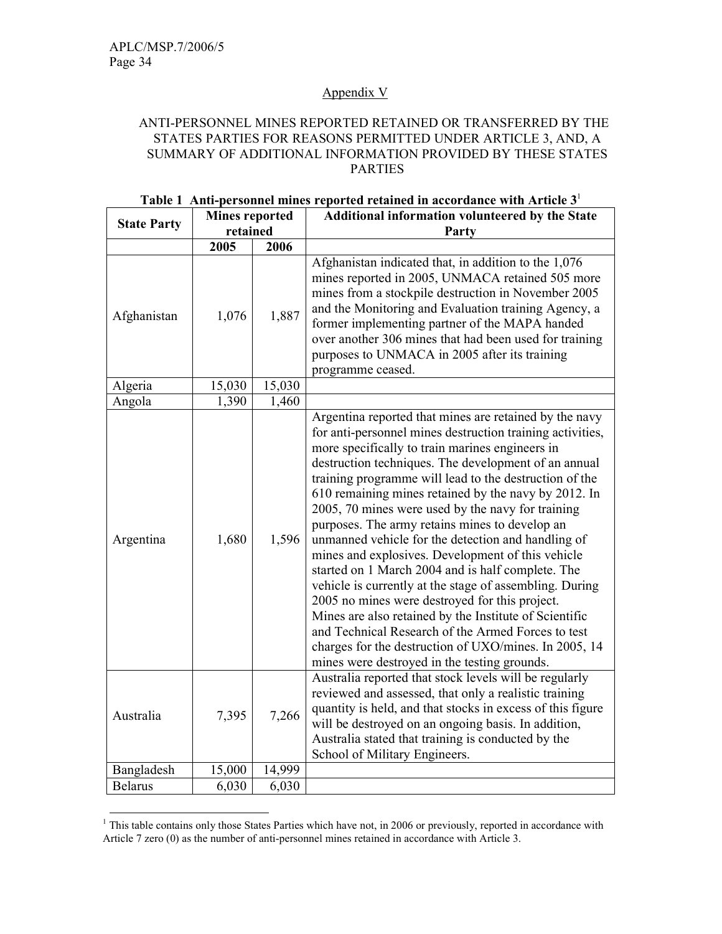#### Appendix V

#### ANTI-PERSONNEL MINES REPORTED RETAINED OR TRANSFERRED BY THE STATES PARTIES FOR REASONS PERMITTED UNDER ARTICLE 3, AND, A SUMMARY OF ADDITIONAL INFORMATION PROVIDED BY THESE STATES PARTIES

|                    | <b>Mines reported</b> |        | Additional information volunteered by the State                                                                                                                                                                                                                                                                                                                                                                                                                                                                                                                                                                                                                                                                                                                                                                                                                                                                                                               |
|--------------------|-----------------------|--------|---------------------------------------------------------------------------------------------------------------------------------------------------------------------------------------------------------------------------------------------------------------------------------------------------------------------------------------------------------------------------------------------------------------------------------------------------------------------------------------------------------------------------------------------------------------------------------------------------------------------------------------------------------------------------------------------------------------------------------------------------------------------------------------------------------------------------------------------------------------------------------------------------------------------------------------------------------------|
| <b>State Party</b> | retained              |        | Party                                                                                                                                                                                                                                                                                                                                                                                                                                                                                                                                                                                                                                                                                                                                                                                                                                                                                                                                                         |
|                    | 2005                  | 2006   |                                                                                                                                                                                                                                                                                                                                                                                                                                                                                                                                                                                                                                                                                                                                                                                                                                                                                                                                                               |
| Afghanistan        | 1,076                 | 1,887  | Afghanistan indicated that, in addition to the 1,076<br>mines reported in 2005, UNMACA retained 505 more<br>mines from a stockpile destruction in November 2005<br>and the Monitoring and Evaluation training Agency, a<br>former implementing partner of the MAPA handed<br>over another 306 mines that had been used for training<br>purposes to UNMACA in 2005 after its training<br>programme ceased.                                                                                                                                                                                                                                                                                                                                                                                                                                                                                                                                                     |
| Algeria            | 15,030                | 15,030 |                                                                                                                                                                                                                                                                                                                                                                                                                                                                                                                                                                                                                                                                                                                                                                                                                                                                                                                                                               |
| Angola             | 1,390                 | 1,460  |                                                                                                                                                                                                                                                                                                                                                                                                                                                                                                                                                                                                                                                                                                                                                                                                                                                                                                                                                               |
| Argentina          | 1,680                 | 1,596  | Argentina reported that mines are retained by the navy<br>for anti-personnel mines destruction training activities,<br>more specifically to train marines engineers in<br>destruction techniques. The development of an annual<br>training programme will lead to the destruction of the<br>610 remaining mines retained by the navy by 2012. In<br>2005, 70 mines were used by the navy for training<br>purposes. The army retains mines to develop an<br>unmanned vehicle for the detection and handling of<br>mines and explosives. Development of this vehicle<br>started on 1 March 2004 and is half complete. The<br>vehicle is currently at the stage of assembling. During<br>2005 no mines were destroyed for this project.<br>Mines are also retained by the Institute of Scientific<br>and Technical Research of the Armed Forces to test<br>charges for the destruction of UXO/mines. In 2005, 14<br>mines were destroyed in the testing grounds. |
| Australia          | 7,395                 | 7,266  | Australia reported that stock levels will be regularly<br>reviewed and assessed, that only a realistic training<br>quantity is held, and that stocks in excess of this figure<br>will be destroyed on an ongoing basis. In addition,<br>Australia stated that training is conducted by the<br>School of Military Engineers.                                                                                                                                                                                                                                                                                                                                                                                                                                                                                                                                                                                                                                   |
| Bangladesh         | 15,000                | 14,999 |                                                                                                                                                                                                                                                                                                                                                                                                                                                                                                                                                                                                                                                                                                                                                                                                                                                                                                                                                               |
| <b>Belarus</b>     | 6,030                 | 6,030  |                                                                                                                                                                                                                                                                                                                                                                                                                                                                                                                                                                                                                                                                                                                                                                                                                                                                                                                                                               |

#### Table 1 Anti-personnel mines reported retained in accordance with Article  $3<sup>1</sup>$

<sup>&</sup>lt;sup>1</sup> This table contains only those States Parties which have not, in 2006 or previously, reported in accordance with Article 7 zero (0) as the number of anti-personnel mines retained in accordance with Article 3.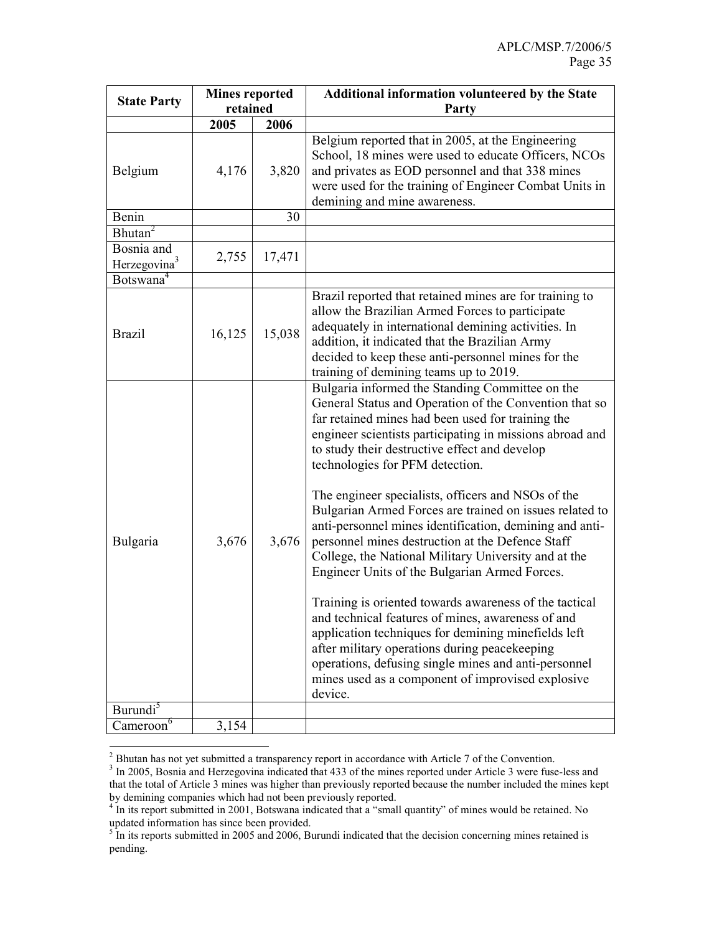| <b>State Party</b>                     | <b>Mines reported</b><br>retained |        | Additional information volunteered by the State<br>Party                                                                                                                                                                                                                                                                                                                                                                                                                                                                                                                                                                                                                                                                                                                                                                                                                                                                                                                                               |
|----------------------------------------|-----------------------------------|--------|--------------------------------------------------------------------------------------------------------------------------------------------------------------------------------------------------------------------------------------------------------------------------------------------------------------------------------------------------------------------------------------------------------------------------------------------------------------------------------------------------------------------------------------------------------------------------------------------------------------------------------------------------------------------------------------------------------------------------------------------------------------------------------------------------------------------------------------------------------------------------------------------------------------------------------------------------------------------------------------------------------|
|                                        | 2005                              | 2006   |                                                                                                                                                                                                                                                                                                                                                                                                                                                                                                                                                                                                                                                                                                                                                                                                                                                                                                                                                                                                        |
| Belgium                                | 4,176                             | 3,820  | Belgium reported that in 2005, at the Engineering<br>School, 18 mines were used to educate Officers, NCOs<br>and privates as EOD personnel and that 338 mines<br>were used for the training of Engineer Combat Units in<br>demining and mine awareness.                                                                                                                                                                                                                                                                                                                                                                                                                                                                                                                                                                                                                                                                                                                                                |
| Benin                                  |                                   | 30     |                                                                                                                                                                                                                                                                                                                                                                                                                                                                                                                                                                                                                                                                                                                                                                                                                                                                                                                                                                                                        |
| Bhutan <sup>2</sup>                    |                                   |        |                                                                                                                                                                                                                                                                                                                                                                                                                                                                                                                                                                                                                                                                                                                                                                                                                                                                                                                                                                                                        |
| Bosnia and<br>Herzegovina <sup>3</sup> | 2,755                             | 17,471 |                                                                                                                                                                                                                                                                                                                                                                                                                                                                                                                                                                                                                                                                                                                                                                                                                                                                                                                                                                                                        |
| Botswana <sup>4</sup>                  |                                   |        |                                                                                                                                                                                                                                                                                                                                                                                                                                                                                                                                                                                                                                                                                                                                                                                                                                                                                                                                                                                                        |
| <b>Brazil</b>                          | 16,125                            | 15,038 | Brazil reported that retained mines are for training to<br>allow the Brazilian Armed Forces to participate<br>adequately in international demining activities. In<br>addition, it indicated that the Brazilian Army<br>decided to keep these anti-personnel mines for the<br>training of demining teams up to 2019.                                                                                                                                                                                                                                                                                                                                                                                                                                                                                                                                                                                                                                                                                    |
| Bulgaria                               | 3,676                             | 3,676  | Bulgaria informed the Standing Committee on the<br>General Status and Operation of the Convention that so<br>far retained mines had been used for training the<br>engineer scientists participating in missions abroad and<br>to study their destructive effect and develop<br>technologies for PFM detection.<br>The engineer specialists, officers and NSOs of the<br>Bulgarian Armed Forces are trained on issues related to<br>anti-personnel mines identification, demining and anti-<br>personnel mines destruction at the Defence Staff<br>College, the National Military University and at the<br>Engineer Units of the Bulgarian Armed Forces.<br>Training is oriented towards awareness of the tactical<br>and technical features of mines, awareness of and<br>application techniques for demining minefields left<br>after military operations during peacekeeping<br>operations, defusing single mines and anti-personnel<br>mines used as a component of improvised explosive<br>device. |
| Burundi <sup>5</sup>                   |                                   |        |                                                                                                                                                                                                                                                                                                                                                                                                                                                                                                                                                                                                                                                                                                                                                                                                                                                                                                                                                                                                        |
| Cameroon <sup>6</sup>                  | 3,154                             |        |                                                                                                                                                                                                                                                                                                                                                                                                                                                                                                                                                                                                                                                                                                                                                                                                                                                                                                                                                                                                        |

<sup>&</sup>lt;sup>2</sup> Bhutan has not yet submitted a transparency report in accordance with Article 7 of the Convention.

<sup>&</sup>lt;sup>3</sup> In 2005, Bosnia and Herzegovina indicated that 433 of the mines reported under Article 3 were fuse-less and that the total of Article 3 mines was higher than previously reported because the number included the mines kept

by demining companies which had not been previously reported.<br><sup>4</sup> In its report submitted in 2001, Botswana indicated that a "small quantity" of mines would be retained. No updated information has since been provided.

 $5$  In its reports submitted in 2005 and 2006, Burundi indicated that the decision concerning mines retained is pending.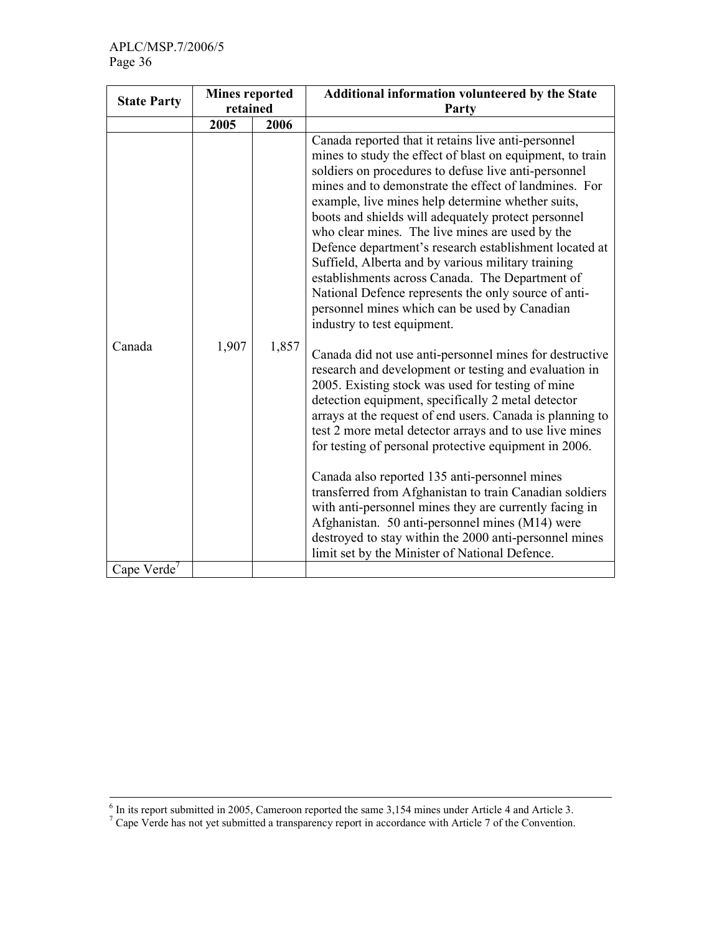|                         | <b>Mines reported</b> |       | Additional information volunteered by the State                                                                                                                                                                                                                                                                                                                                                                                                                                                                                                                                                                                                                                                                                                                                                                                                                                                                                                                                                                                                                                                                                                                                                                                                                                                                                                                                                                                                                  |
|-------------------------|-----------------------|-------|------------------------------------------------------------------------------------------------------------------------------------------------------------------------------------------------------------------------------------------------------------------------------------------------------------------------------------------------------------------------------------------------------------------------------------------------------------------------------------------------------------------------------------------------------------------------------------------------------------------------------------------------------------------------------------------------------------------------------------------------------------------------------------------------------------------------------------------------------------------------------------------------------------------------------------------------------------------------------------------------------------------------------------------------------------------------------------------------------------------------------------------------------------------------------------------------------------------------------------------------------------------------------------------------------------------------------------------------------------------------------------------------------------------------------------------------------------------|
| <b>State Party</b>      | retained              |       | Party                                                                                                                                                                                                                                                                                                                                                                                                                                                                                                                                                                                                                                                                                                                                                                                                                                                                                                                                                                                                                                                                                                                                                                                                                                                                                                                                                                                                                                                            |
|                         | 2005                  | 2006  |                                                                                                                                                                                                                                                                                                                                                                                                                                                                                                                                                                                                                                                                                                                                                                                                                                                                                                                                                                                                                                                                                                                                                                                                                                                                                                                                                                                                                                                                  |
| Canada                  | 1,907                 | 1,857 | Canada reported that it retains live anti-personnel<br>mines to study the effect of blast on equipment, to train<br>soldiers on procedures to defuse live anti-personnel<br>mines and to demonstrate the effect of landmines. For<br>example, live mines help determine whether suits,<br>boots and shields will adequately protect personnel<br>who clear mines. The live mines are used by the<br>Defence department's research establishment located at<br>Suffield, Alberta and by various military training<br>establishments across Canada. The Department of<br>National Defence represents the only source of anti-<br>personnel mines which can be used by Canadian<br>industry to test equipment.<br>Canada did not use anti-personnel mines for destructive<br>research and development or testing and evaluation in<br>2005. Existing stock was used for testing of mine<br>detection equipment, specifically 2 metal detector<br>arrays at the request of end users. Canada is planning to<br>test 2 more metal detector arrays and to use live mines<br>for testing of personal protective equipment in 2006.<br>Canada also reported 135 anti-personnel mines<br>transferred from Afghanistan to train Canadian soldiers<br>with anti-personnel mines they are currently facing in<br>Afghanistan. 50 anti-personnel mines (M14) were<br>destroyed to stay within the 2000 anti-personnel mines<br>limit set by the Minister of National Defence. |
| Cape Verde <sup>7</sup> |                       |       |                                                                                                                                                                                                                                                                                                                                                                                                                                                                                                                                                                                                                                                                                                                                                                                                                                                                                                                                                                                                                                                                                                                                                                                                                                                                                                                                                                                                                                                                  |

<sup>&</sup>lt;sup>6</sup> In its report submitted in 2005, Cameroon reported the same 3,154 mines under Article 4 and Article 3.<br><sup>7</sup> Cape Verde has not yet submitted a transparency report in accordance with Article 7 of the Convention.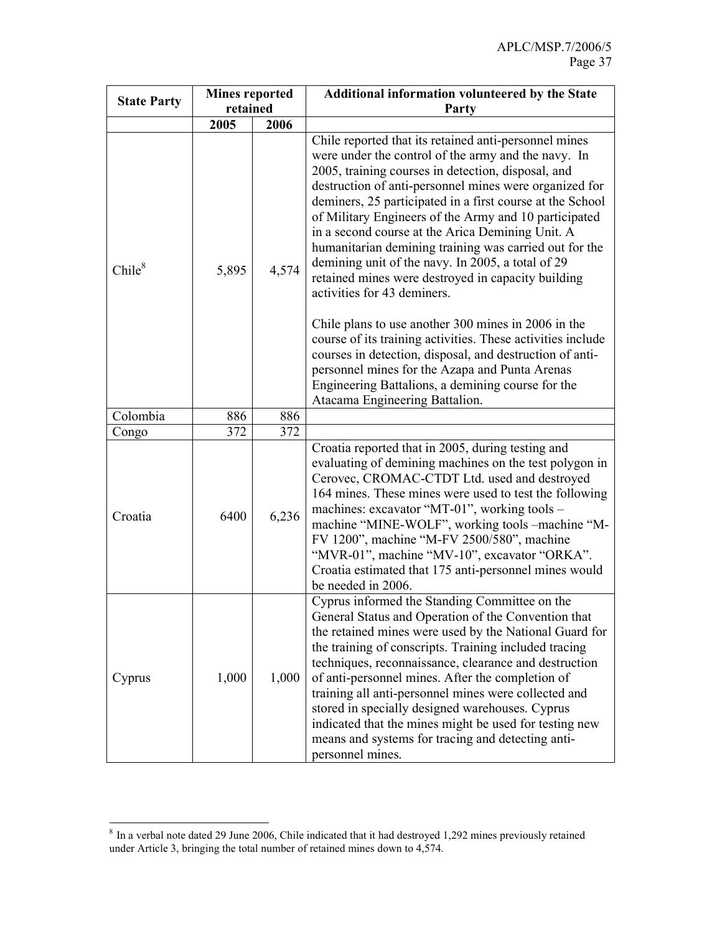|                    | <b>Mines reported</b><br>retained |       | <b>Additional information volunteered by the State</b>                                                                                                                                                                                                                                                                                                                                                                                                                                                                                                                                                     |  |  |  |  |
|--------------------|-----------------------------------|-------|------------------------------------------------------------------------------------------------------------------------------------------------------------------------------------------------------------------------------------------------------------------------------------------------------------------------------------------------------------------------------------------------------------------------------------------------------------------------------------------------------------------------------------------------------------------------------------------------------------|--|--|--|--|
| <b>State Party</b> |                                   |       | Party                                                                                                                                                                                                                                                                                                                                                                                                                                                                                                                                                                                                      |  |  |  |  |
|                    | 2005                              | 2006  |                                                                                                                                                                                                                                                                                                                                                                                                                                                                                                                                                                                                            |  |  |  |  |
| Chile <sup>8</sup> | 5,895                             | 4,574 | Chile reported that its retained anti-personnel mines<br>were under the control of the army and the navy. In<br>2005, training courses in detection, disposal, and<br>destruction of anti-personnel mines were organized for<br>deminers, 25 participated in a first course at the School<br>of Military Engineers of the Army and 10 participated<br>in a second course at the Arica Demining Unit. A<br>humanitarian demining training was carried out for the<br>demining unit of the navy. In 2005, a total of 29<br>retained mines were destroyed in capacity building<br>activities for 43 deminers. |  |  |  |  |
|                    |                                   |       | Chile plans to use another 300 mines in 2006 in the<br>course of its training activities. These activities include<br>courses in detection, disposal, and destruction of anti-<br>personnel mines for the Azapa and Punta Arenas<br>Engineering Battalions, a demining course for the<br>Atacama Engineering Battalion.                                                                                                                                                                                                                                                                                    |  |  |  |  |
| Colombia           | 886                               | 886   |                                                                                                                                                                                                                                                                                                                                                                                                                                                                                                                                                                                                            |  |  |  |  |
| Congo              | 372                               | 372   |                                                                                                                                                                                                                                                                                                                                                                                                                                                                                                                                                                                                            |  |  |  |  |
| Croatia            | 6400                              | 6,236 | Croatia reported that in 2005, during testing and<br>evaluating of demining machines on the test polygon in<br>Cerovec, CROMAC-CTDT Ltd. used and destroyed<br>164 mines. These mines were used to test the following<br>machines: excavator "MT-01", working tools -<br>machine "MINE-WOLF", working tools -machine "M-<br>FV 1200", machine "M-FV 2500/580", machine<br>"MVR-01", machine "MV-10", excavator "ORKA".<br>Croatia estimated that 175 anti-personnel mines would<br>be needed in 2006.                                                                                                      |  |  |  |  |
| Cyprus             | 1,000                             | 1,000 | Cyprus informed the Standing Committee on the<br>General Status and Operation of the Convention that<br>the retained mines were used by the National Guard for<br>the training of conscripts. Training included tracing<br>techniques, reconnaissance, clearance and destruction<br>of anti-personnel mines. After the completion of<br>training all anti-personnel mines were collected and<br>stored in specially designed warehouses. Cyprus<br>indicated that the mines might be used for testing new<br>means and systems for tracing and detecting anti-<br>personnel mines.                         |  |  |  |  |

<sup>&</sup>lt;sup>8</sup> In a verbal note dated 29 June 2006, Chile indicated that it had destroyed 1,292 mines previously retained under Article 3, bringing the total number of retained mines down to 4,574.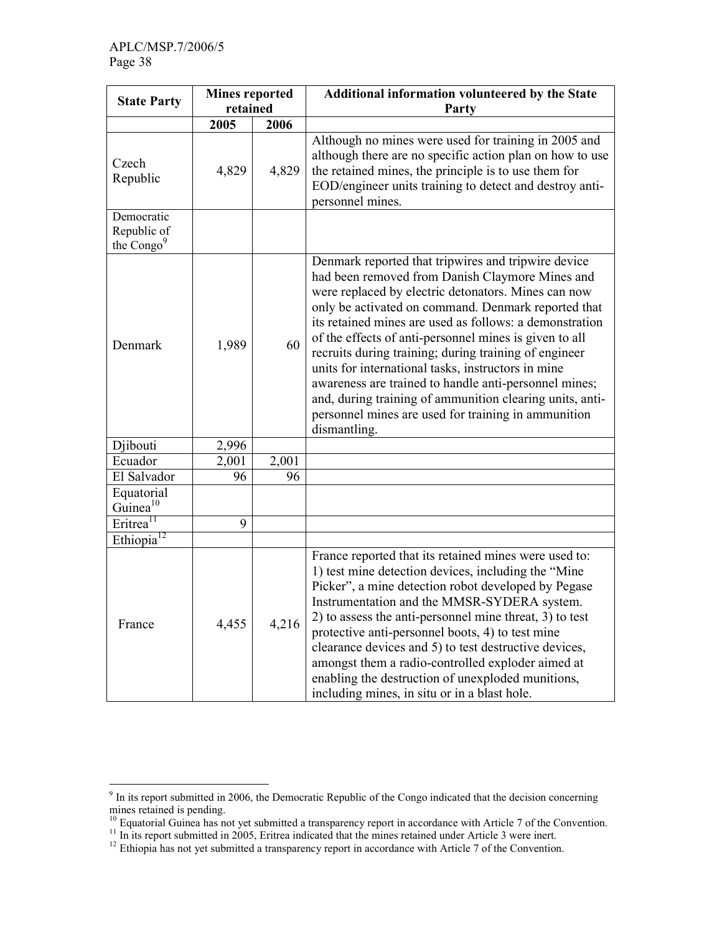| <b>State Party</b>                                  | <b>Mines reported</b><br>retained |       | Additional information volunteered by the State                                                                                                                                                                                                                                                                                                                                                                                                                                                                                                                                                                                                      |  |  |  |  |
|-----------------------------------------------------|-----------------------------------|-------|------------------------------------------------------------------------------------------------------------------------------------------------------------------------------------------------------------------------------------------------------------------------------------------------------------------------------------------------------------------------------------------------------------------------------------------------------------------------------------------------------------------------------------------------------------------------------------------------------------------------------------------------------|--|--|--|--|
|                                                     |                                   |       | Party                                                                                                                                                                                                                                                                                                                                                                                                                                                                                                                                                                                                                                                |  |  |  |  |
|                                                     | 2005                              | 2006  |                                                                                                                                                                                                                                                                                                                                                                                                                                                                                                                                                                                                                                                      |  |  |  |  |
| Czech<br>Republic                                   | 4,829                             | 4,829 | Although no mines were used for training in 2005 and<br>although there are no specific action plan on how to use<br>the retained mines, the principle is to use them for<br>EOD/engineer units training to detect and destroy anti-<br>personnel mines.                                                                                                                                                                                                                                                                                                                                                                                              |  |  |  |  |
| Democratic<br>Republic of<br>the Congo <sup>9</sup> |                                   |       |                                                                                                                                                                                                                                                                                                                                                                                                                                                                                                                                                                                                                                                      |  |  |  |  |
| Denmark                                             | 1,989                             | 60    | Denmark reported that tripwires and tripwire device<br>had been removed from Danish Claymore Mines and<br>were replaced by electric detonators. Mines can now<br>only be activated on command. Denmark reported that<br>its retained mines are used as follows: a demonstration<br>of the effects of anti-personnel mines is given to all<br>recruits during training; during training of engineer<br>units for international tasks, instructors in mine<br>awareness are trained to handle anti-personnel mines;<br>and, during training of ammunition clearing units, anti-<br>personnel mines are used for training in ammunition<br>dismantling. |  |  |  |  |
| Djibouti                                            | 2,996                             |       |                                                                                                                                                                                                                                                                                                                                                                                                                                                                                                                                                                                                                                                      |  |  |  |  |
| Ecuador                                             | 2,001                             | 2,001 |                                                                                                                                                                                                                                                                                                                                                                                                                                                                                                                                                                                                                                                      |  |  |  |  |
| El Salvador                                         | 96                                | 96    |                                                                                                                                                                                                                                                                                                                                                                                                                                                                                                                                                                                                                                                      |  |  |  |  |
| Equatorial<br>Guinea <sup>10</sup>                  |                                   |       |                                                                                                                                                                                                                                                                                                                                                                                                                                                                                                                                                                                                                                                      |  |  |  |  |
| Eritrea <sup>11</sup>                               | 9                                 |       |                                                                                                                                                                                                                                                                                                                                                                                                                                                                                                                                                                                                                                                      |  |  |  |  |
| Ethiopia <sup>12</sup>                              |                                   |       |                                                                                                                                                                                                                                                                                                                                                                                                                                                                                                                                                                                                                                                      |  |  |  |  |
| France                                              | 4,455                             | 4,216 | France reported that its retained mines were used to:<br>1) test mine detection devices, including the "Mine<br>Picker", a mine detection robot developed by Pegase<br>Instrumentation and the MMSR-SYDERA system.<br>2) to assess the anti-personnel mine threat, 3) to test<br>protective anti-personnel boots, 4) to test mine<br>clearance devices and 5) to test destructive devices,<br>amongst them a radio-controlled exploder aimed at<br>enabling the destruction of unexploded munitions,<br>including mines, in situ or in a blast hole.                                                                                                 |  |  |  |  |

<sup>&</sup>lt;sup>9</sup> In its report submitted in 2006, the Democratic Republic of the Congo indicated that the decision concerning mines retained is pending.

<sup>&</sup>lt;sup>10</sup> Equatorial Guinea has not yet submitted a transparency report in accordance with Article 7 of the Convention.

<sup>&</sup>lt;sup>11</sup> In its report submitted in 2005, Eritrea indicated that the mines retained under Article 3 were inert.

 $12$  Ethiopia has not yet submitted a transparency report in accordance with Article 7 of the Convention.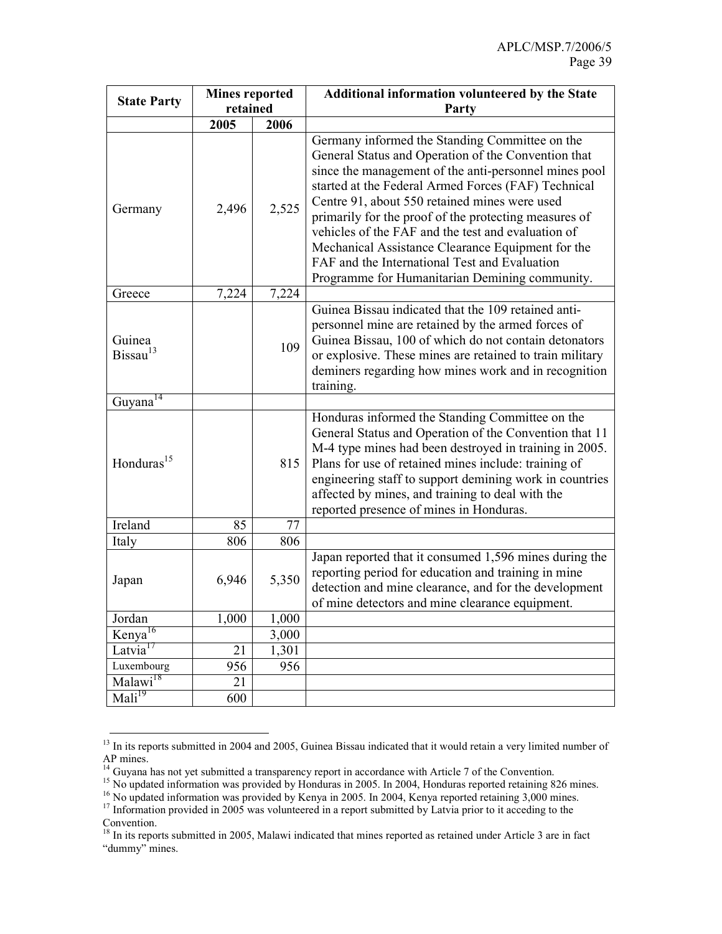|                                | <b>Mines reported</b><br>retained |       | Additional information volunteered by the State                                                                                                                                                                                                                                                                                                                                                                                                                                                                                               |  |  |  |
|--------------------------------|-----------------------------------|-------|-----------------------------------------------------------------------------------------------------------------------------------------------------------------------------------------------------------------------------------------------------------------------------------------------------------------------------------------------------------------------------------------------------------------------------------------------------------------------------------------------------------------------------------------------|--|--|--|
| <b>State Party</b>             |                                   |       | Party                                                                                                                                                                                                                                                                                                                                                                                                                                                                                                                                         |  |  |  |
|                                | 2005                              | 2006  |                                                                                                                                                                                                                                                                                                                                                                                                                                                                                                                                               |  |  |  |
| Germany                        | 2,496                             | 2,525 | Germany informed the Standing Committee on the<br>General Status and Operation of the Convention that<br>since the management of the anti-personnel mines pool<br>started at the Federal Armed Forces (FAF) Technical<br>Centre 91, about 550 retained mines were used<br>primarily for the proof of the protecting measures of<br>vehicles of the FAF and the test and evaluation of<br>Mechanical Assistance Clearance Equipment for the<br>FAF and the International Test and Evaluation<br>Programme for Humanitarian Demining community. |  |  |  |
| Greece                         | 7,224                             | 7,224 |                                                                                                                                                                                                                                                                                                                                                                                                                                                                                                                                               |  |  |  |
| Guinea<br>Bissau <sup>13</sup> |                                   | 109   | Guinea Bissau indicated that the 109 retained anti-<br>personnel mine are retained by the armed forces of<br>Guinea Bissau, 100 of which do not contain detonators<br>or explosive. These mines are retained to train military<br>deminers regarding how mines work and in recognition<br>training.                                                                                                                                                                                                                                           |  |  |  |
| Guyana <sup>14</sup>           |                                   |       |                                                                                                                                                                                                                                                                                                                                                                                                                                                                                                                                               |  |  |  |
| Honduras <sup>15</sup>         |                                   | 815   | Honduras informed the Standing Committee on the<br>General Status and Operation of the Convention that 11<br>M-4 type mines had been destroyed in training in 2005.<br>Plans for use of retained mines include: training of<br>engineering staff to support demining work in countries<br>affected by mines, and training to deal with the<br>reported presence of mines in Honduras.                                                                                                                                                         |  |  |  |
| Ireland                        | 85                                | 77    |                                                                                                                                                                                                                                                                                                                                                                                                                                                                                                                                               |  |  |  |
| Italy                          | 806                               | 806   |                                                                                                                                                                                                                                                                                                                                                                                                                                                                                                                                               |  |  |  |
| Japan                          | 6,946                             | 5,350 | Japan reported that it consumed 1,596 mines during the<br>reporting period for education and training in mine<br>detection and mine clearance, and for the development<br>of mine detectors and mine clearance equipment.                                                                                                                                                                                                                                                                                                                     |  |  |  |
| Jordan                         | 1,000                             | 1,000 |                                                                                                                                                                                                                                                                                                                                                                                                                                                                                                                                               |  |  |  |
| Kenya <sup>16</sup>            |                                   | 3,000 |                                                                                                                                                                                                                                                                                                                                                                                                                                                                                                                                               |  |  |  |
| Latvia <sup>17</sup>           | 21                                | 1,301 |                                                                                                                                                                                                                                                                                                                                                                                                                                                                                                                                               |  |  |  |
| Luxembourg                     | 956                               | 956   |                                                                                                                                                                                                                                                                                                                                                                                                                                                                                                                                               |  |  |  |
| Malawi <sup>18</sup>           | 21                                |       |                                                                                                                                                                                                                                                                                                                                                                                                                                                                                                                                               |  |  |  |
| $\overline{\text{Mali}^{19}}$  | 600                               |       |                                                                                                                                                                                                                                                                                                                                                                                                                                                                                                                                               |  |  |  |

 $\ddot{\phantom{a}}$ <sup>13</sup> In its reports submitted in 2004 and 2005, Guinea Bissau indicated that it would retain a very limited number of AP mines.

<sup>&</sup>lt;sup>14</sup> Guyana has not yet submitted a transparency report in accordance with Article 7 of the Convention.

<sup>&</sup>lt;sup>15</sup> No updated information was provided by Honduras in 2005. In 2004, Honduras reported retaining 826 mines.

<sup>&</sup>lt;sup>16</sup> No updated information was provided by Kenya in 2005. In 2004, Kenya reported retaining 3,000 mines.  $17$  Information provided in 2005 was volunteered in a report submitted by Latvia prior to it acceding to the

Convention.

<sup>&</sup>lt;sup>18</sup> In its reports submitted in 2005, Malawi indicated that mines reported as retained under Article 3 are in fact "dummy" mines.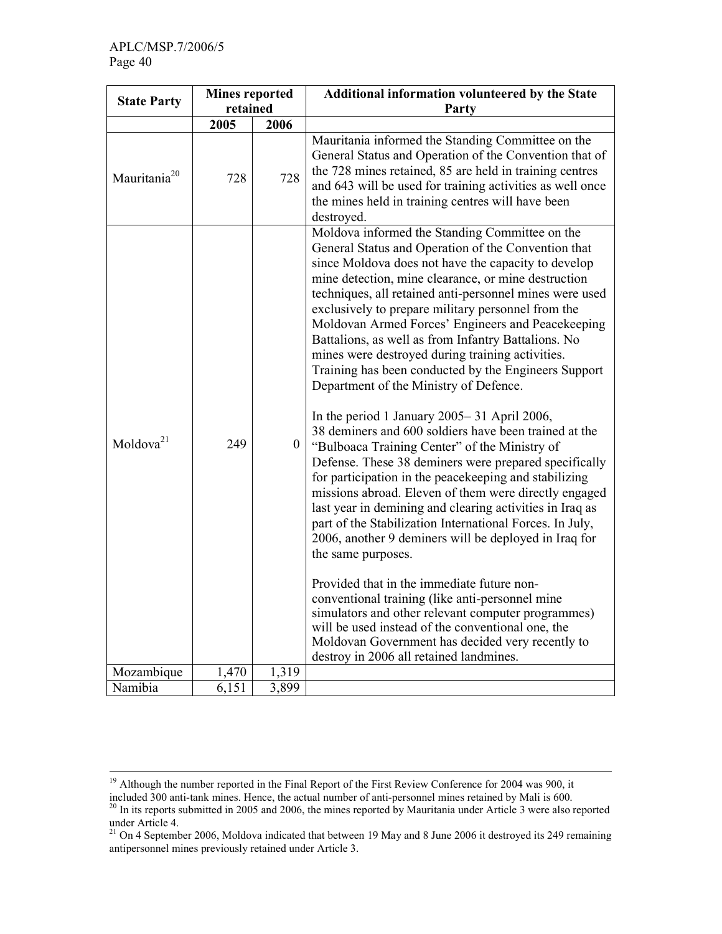$\ddot{\phantom{a}}$ 

| <b>State Party</b>       | <b>Mines reported</b> |                    | Additional information volunteered by the State                                                                                                                                                                                                                                                                                                                                                                                                                                                                                                                                                                                                                                                                                                                                                                                                                                                                                                                                                                                                                                                                                                                                                                                                                                                                                                                                                                                                                  |
|--------------------------|-----------------------|--------------------|------------------------------------------------------------------------------------------------------------------------------------------------------------------------------------------------------------------------------------------------------------------------------------------------------------------------------------------------------------------------------------------------------------------------------------------------------------------------------------------------------------------------------------------------------------------------------------------------------------------------------------------------------------------------------------------------------------------------------------------------------------------------------------------------------------------------------------------------------------------------------------------------------------------------------------------------------------------------------------------------------------------------------------------------------------------------------------------------------------------------------------------------------------------------------------------------------------------------------------------------------------------------------------------------------------------------------------------------------------------------------------------------------------------------------------------------------------------|
|                          | retained              |                    | Party                                                                                                                                                                                                                                                                                                                                                                                                                                                                                                                                                                                                                                                                                                                                                                                                                                                                                                                                                                                                                                                                                                                                                                                                                                                                                                                                                                                                                                                            |
|                          | 2005                  | 2006               |                                                                                                                                                                                                                                                                                                                                                                                                                                                                                                                                                                                                                                                                                                                                                                                                                                                                                                                                                                                                                                                                                                                                                                                                                                                                                                                                                                                                                                                                  |
| Mauritania <sup>20</sup> | 728                   | 728                | Mauritania informed the Standing Committee on the<br>General Status and Operation of the Convention that of<br>the 728 mines retained, 85 are held in training centres<br>and 643 will be used for training activities as well once<br>the mines held in training centres will have been<br>destroyed.                                                                                                                                                                                                                                                                                                                                                                                                                                                                                                                                                                                                                                                                                                                                                                                                                                                                                                                                                                                                                                                                                                                                                           |
| Moldova <sup>21</sup>    | 249                   | $\boldsymbol{0}$   | Moldova informed the Standing Committee on the<br>General Status and Operation of the Convention that<br>since Moldova does not have the capacity to develop<br>mine detection, mine clearance, or mine destruction<br>techniques, all retained anti-personnel mines were used<br>exclusively to prepare military personnel from the<br>Moldovan Armed Forces' Engineers and Peacekeeping<br>Battalions, as well as from Infantry Battalions. No<br>mines were destroyed during training activities.<br>Training has been conducted by the Engineers Support<br>Department of the Ministry of Defence.<br>In the period 1 January $2005 - 31$ April 2006,<br>38 deminers and 600 soldiers have been trained at the<br>"Bulboaca Training Center" of the Ministry of<br>Defense. These 38 deminers were prepared specifically<br>for participation in the peacekeeping and stabilizing<br>missions abroad. Eleven of them were directly engaged<br>last year in demining and clearing activities in Iraq as<br>part of the Stabilization International Forces. In July,<br>2006, another 9 deminers will be deployed in Iraq for<br>the same purposes.<br>Provided that in the immediate future non-<br>conventional training (like anti-personnel mine<br>simulators and other relevant computer programmes)<br>will be used instead of the conventional one, the<br>Moldovan Government has decided very recently to<br>destroy in 2006 all retained landmines. |
| Mozambique               | 1,470                 | 1,319              |                                                                                                                                                                                                                                                                                                                                                                                                                                                                                                                                                                                                                                                                                                                                                                                                                                                                                                                                                                                                                                                                                                                                                                                                                                                                                                                                                                                                                                                                  |
| Namibia                  | 6,151                 | $\overline{3,899}$ |                                                                                                                                                                                                                                                                                                                                                                                                                                                                                                                                                                                                                                                                                                                                                                                                                                                                                                                                                                                                                                                                                                                                                                                                                                                                                                                                                                                                                                                                  |

<sup>&</sup>lt;sup>19</sup> Although the number reported in the Final Report of the First Review Conference for 2004 was 900, it included 300 anti-tank mines. Hence, the actual number of anti-personnel mines retained by Mali is 600.

 $20$  In its reports submitted in 2005 and 2006, the mines reported by Mauritania under Article 3 were also reported under Article 4.

<sup>&</sup>lt;sup>21</sup> On 4 September 2006, Moldova indicated that between 19 May and 8 June 2006 it destroyed its 249 remaining antipersonnel mines previously retained under Article 3.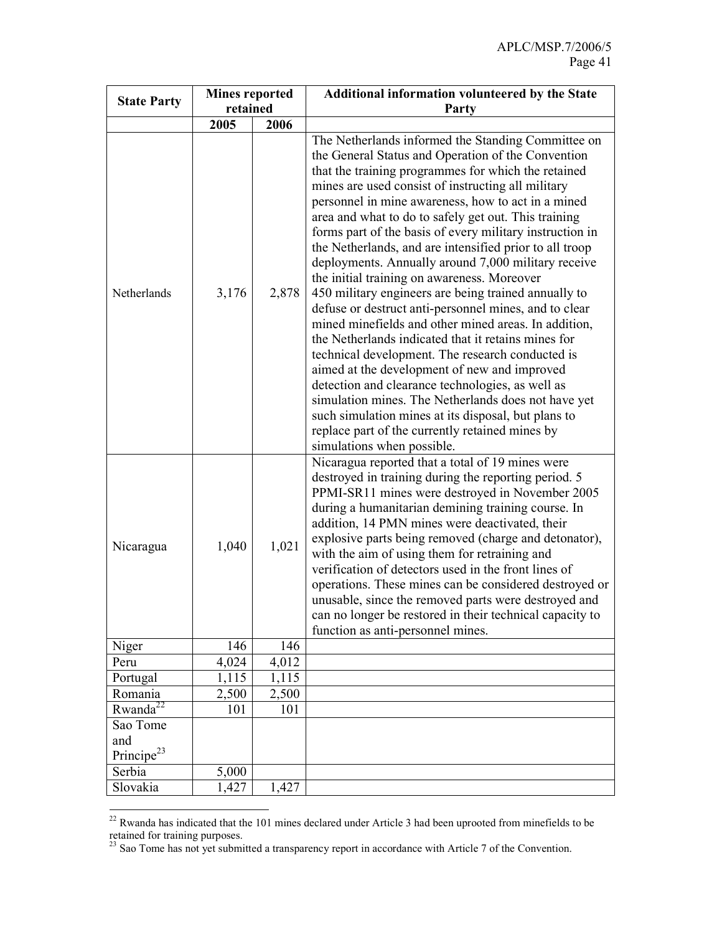|                                           | <b>Mines reported</b><br>retained |       | <b>Additional information volunteered by the State</b>                                                                                                                                                                                                                                                                                                                                                                                                                                                                                                                                                                                                                                                                                                                                                                                                                                                                                                                                                                                                                                                                                                                                                      |  |  |  |  |
|-------------------------------------------|-----------------------------------|-------|-------------------------------------------------------------------------------------------------------------------------------------------------------------------------------------------------------------------------------------------------------------------------------------------------------------------------------------------------------------------------------------------------------------------------------------------------------------------------------------------------------------------------------------------------------------------------------------------------------------------------------------------------------------------------------------------------------------------------------------------------------------------------------------------------------------------------------------------------------------------------------------------------------------------------------------------------------------------------------------------------------------------------------------------------------------------------------------------------------------------------------------------------------------------------------------------------------------|--|--|--|--|
| <b>State Party</b>                        |                                   |       | Party                                                                                                                                                                                                                                                                                                                                                                                                                                                                                                                                                                                                                                                                                                                                                                                                                                                                                                                                                                                                                                                                                                                                                                                                       |  |  |  |  |
|                                           | 2005                              | 2006  |                                                                                                                                                                                                                                                                                                                                                                                                                                                                                                                                                                                                                                                                                                                                                                                                                                                                                                                                                                                                                                                                                                                                                                                                             |  |  |  |  |
| Netherlands                               | 3,176                             | 2,878 | The Netherlands informed the Standing Committee on<br>the General Status and Operation of the Convention<br>that the training programmes for which the retained<br>mines are used consist of instructing all military<br>personnel in mine awareness, how to act in a mined<br>area and what to do to safely get out. This training<br>forms part of the basis of every military instruction in<br>the Netherlands, and are intensified prior to all troop<br>deployments. Annually around 7,000 military receive<br>the initial training on awareness. Moreover<br>450 military engineers are being trained annually to<br>defuse or destruct anti-personnel mines, and to clear<br>mined minefields and other mined areas. In addition,<br>the Netherlands indicated that it retains mines for<br>technical development. The research conducted is<br>aimed at the development of new and improved<br>detection and clearance technologies, as well as<br>simulation mines. The Netherlands does not have yet<br>such simulation mines at its disposal, but plans to<br>replace part of the currently retained mines by<br>simulations when possible.<br>Nicaragua reported that a total of 19 mines were |  |  |  |  |
| Nicaragua                                 | 1,040                             | 1,021 | destroyed in training during the reporting period. 5<br>PPMI-SR11 mines were destroyed in November 2005<br>during a humanitarian demining training course. In<br>addition, 14 PMN mines were deactivated, their<br>explosive parts being removed (charge and detonator),<br>with the aim of using them for retraining and<br>verification of detectors used in the front lines of<br>operations. These mines can be considered destroyed or<br>unusable, since the removed parts were destroyed and<br>can no longer be restored in their technical capacity to<br>function as anti-personnel mines.                                                                                                                                                                                                                                                                                                                                                                                                                                                                                                                                                                                                        |  |  |  |  |
| Niger                                     | 146                               | 146   |                                                                                                                                                                                                                                                                                                                                                                                                                                                                                                                                                                                                                                                                                                                                                                                                                                                                                                                                                                                                                                                                                                                                                                                                             |  |  |  |  |
| Peru                                      | 4,024                             | 4,012 |                                                                                                                                                                                                                                                                                                                                                                                                                                                                                                                                                                                                                                                                                                                                                                                                                                                                                                                                                                                                                                                                                                                                                                                                             |  |  |  |  |
| Portugal                                  | 1,115                             | 1,115 |                                                                                                                                                                                                                                                                                                                                                                                                                                                                                                                                                                                                                                                                                                                                                                                                                                                                                                                                                                                                                                                                                                                                                                                                             |  |  |  |  |
| Romania                                   | 2,500                             | 2,500 |                                                                                                                                                                                                                                                                                                                                                                                                                                                                                                                                                                                                                                                                                                                                                                                                                                                                                                                                                                                                                                                                                                                                                                                                             |  |  |  |  |
| Rwanda <sup>22</sup>                      | 101                               | 101   |                                                                                                                                                                                                                                                                                                                                                                                                                                                                                                                                                                                                                                                                                                                                                                                                                                                                                                                                                                                                                                                                                                                                                                                                             |  |  |  |  |
| Sao Tome<br>and<br>Principe <sup>23</sup> |                                   |       |                                                                                                                                                                                                                                                                                                                                                                                                                                                                                                                                                                                                                                                                                                                                                                                                                                                                                                                                                                                                                                                                                                                                                                                                             |  |  |  |  |
| Serbia                                    | 5,000                             |       |                                                                                                                                                                                                                                                                                                                                                                                                                                                                                                                                                                                                                                                                                                                                                                                                                                                                                                                                                                                                                                                                                                                                                                                                             |  |  |  |  |
| Slovakia                                  | 1,427                             | 1,427 |                                                                                                                                                                                                                                                                                                                                                                                                                                                                                                                                                                                                                                                                                                                                                                                                                                                                                                                                                                                                                                                                                                                                                                                                             |  |  |  |  |

 $\ddot{\phantom{a}}$  $22$  Rwanda has indicated that the 101 mines declared under Article 3 had been uprooted from minefields to be retained for training purposes.

<sup>&</sup>lt;sup>23</sup> Sao Tome has not yet submitted a transparency report in accordance with Article 7 of the Convention.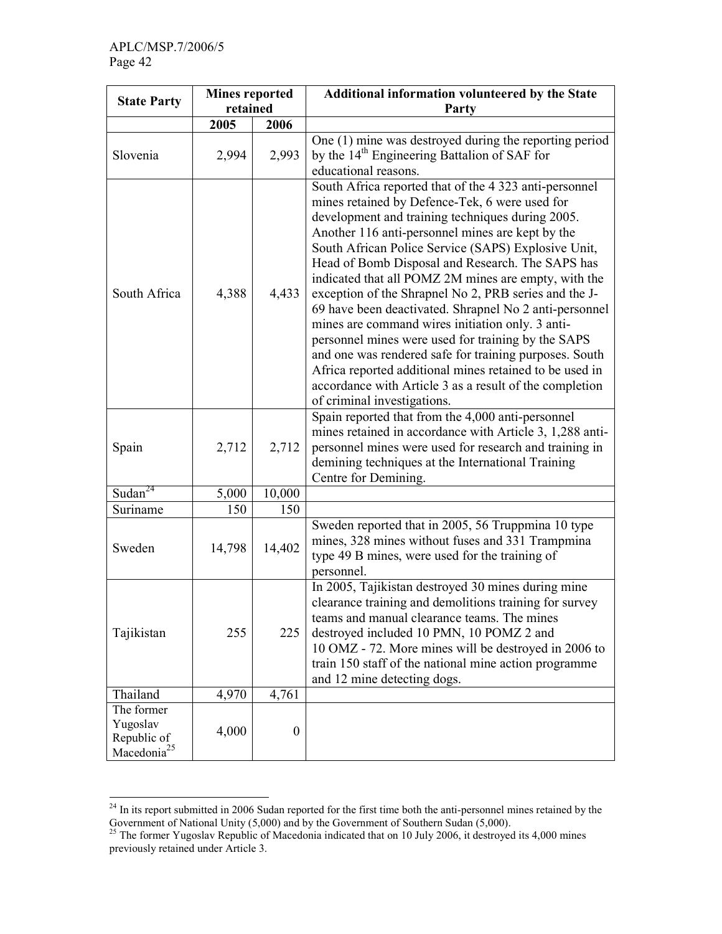|                                                                  | <b>Mines reported</b><br>retained |                  | Additional information volunteered by the State<br>Party                                                                                                                                                                                                                                                                                                                                                                                                                                                                                                                                                                                                                                                                                                                                                                        |  |  |  |  |
|------------------------------------------------------------------|-----------------------------------|------------------|---------------------------------------------------------------------------------------------------------------------------------------------------------------------------------------------------------------------------------------------------------------------------------------------------------------------------------------------------------------------------------------------------------------------------------------------------------------------------------------------------------------------------------------------------------------------------------------------------------------------------------------------------------------------------------------------------------------------------------------------------------------------------------------------------------------------------------|--|--|--|--|
| <b>State Party</b>                                               |                                   |                  |                                                                                                                                                                                                                                                                                                                                                                                                                                                                                                                                                                                                                                                                                                                                                                                                                                 |  |  |  |  |
|                                                                  | 2005                              | 2006             |                                                                                                                                                                                                                                                                                                                                                                                                                                                                                                                                                                                                                                                                                                                                                                                                                                 |  |  |  |  |
| Slovenia                                                         | 2,994                             | 2,993            | One (1) mine was destroyed during the reporting period<br>by the 14 <sup>th</sup> Engineering Battalion of SAF for<br>educational reasons.                                                                                                                                                                                                                                                                                                                                                                                                                                                                                                                                                                                                                                                                                      |  |  |  |  |
| South Africa                                                     | 4,388                             | 4,433            | South Africa reported that of the 4 323 anti-personnel<br>mines retained by Defence-Tek, 6 were used for<br>development and training techniques during 2005.<br>Another 116 anti-personnel mines are kept by the<br>South African Police Service (SAPS) Explosive Unit,<br>Head of Bomb Disposal and Research. The SAPS has<br>indicated that all POMZ 2M mines are empty, with the<br>exception of the Shrapnel No 2, PRB series and the J-<br>69 have been deactivated. Shrapnel No 2 anti-personnel<br>mines are command wires initiation only. 3 anti-<br>personnel mines were used for training by the SAPS<br>and one was rendered safe for training purposes. South<br>Africa reported additional mines retained to be used in<br>accordance with Article 3 as a result of the completion<br>of criminal investigations. |  |  |  |  |
| Spain                                                            | 2,712                             | 2,712            | Spain reported that from the 4,000 anti-personnel<br>mines retained in accordance with Article 3, 1,288 anti-<br>personnel mines were used for research and training in<br>demining techniques at the International Training<br>Centre for Demining.                                                                                                                                                                                                                                                                                                                                                                                                                                                                                                                                                                            |  |  |  |  |
| Sudan <sup>24</sup>                                              | 5,000                             | 10,000           |                                                                                                                                                                                                                                                                                                                                                                                                                                                                                                                                                                                                                                                                                                                                                                                                                                 |  |  |  |  |
| Suriname                                                         | 150                               | 150              |                                                                                                                                                                                                                                                                                                                                                                                                                                                                                                                                                                                                                                                                                                                                                                                                                                 |  |  |  |  |
| Sweden                                                           | 14,798                            | 14,402           | Sweden reported that in 2005, 56 Truppmina 10 type<br>mines, 328 mines without fuses and 331 Trampmina<br>type 49 B mines, were used for the training of<br>personnel.                                                                                                                                                                                                                                                                                                                                                                                                                                                                                                                                                                                                                                                          |  |  |  |  |
| Tajikistan                                                       | 255                               | 225              | In 2005, Tajikistan destroyed 30 mines during mine<br>clearance training and demolitions training for survey<br>teams and manual clearance teams. The mines<br>destroyed included 10 PMN, 10 POMZ 2 and<br>10 OMZ - 72. More mines will be destroyed in 2006 to<br>train 150 staff of the national mine action programme<br>and 12 mine detecting dogs.                                                                                                                                                                                                                                                                                                                                                                                                                                                                         |  |  |  |  |
| Thailand                                                         | 4,970                             | 4,761            |                                                                                                                                                                                                                                                                                                                                                                                                                                                                                                                                                                                                                                                                                                                                                                                                                                 |  |  |  |  |
| The former<br>Yugoslav<br>Republic of<br>Macedonia <sup>25</sup> | 4,000                             | $\boldsymbol{0}$ |                                                                                                                                                                                                                                                                                                                                                                                                                                                                                                                                                                                                                                                                                                                                                                                                                                 |  |  |  |  |

 $\overline{a}$ <sup>24</sup> In its report submitted in 2006 Sudan reported for the first time both the anti-personnel mines retained by the Government of National Unity (5,000) and by the Government of Southern Sudan (5,000).

 $^{25}$  The former Yugoslav Republic of Macedonia indicated that on 10 July 2006, it destroyed its 4,000 mines previously retained under Article 3.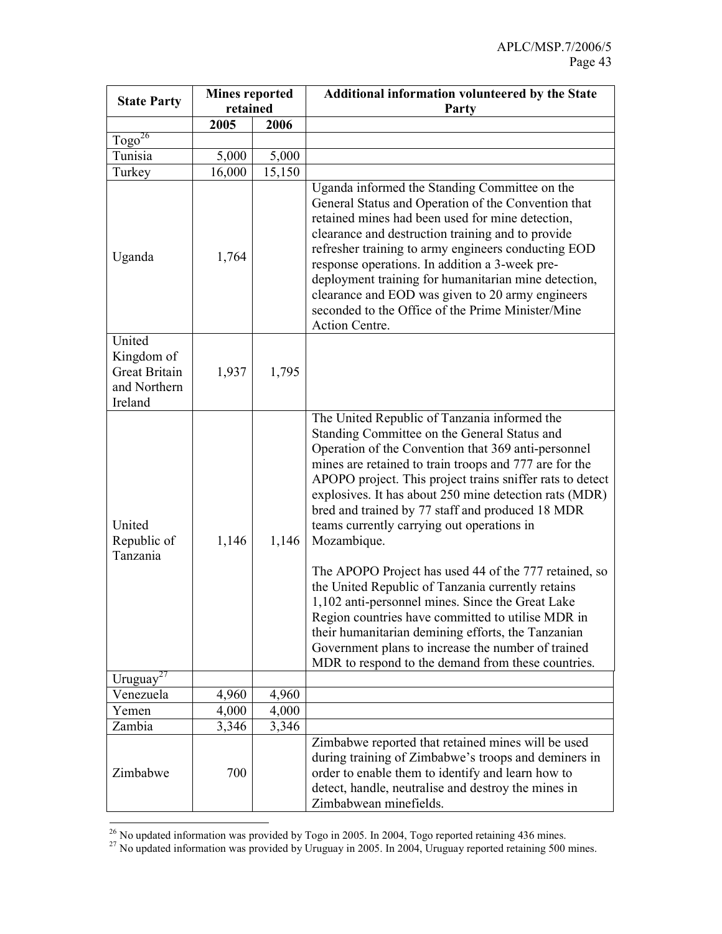| <b>State Party</b>                                                      | <b>Mines reported</b> |        | <b>Additional information volunteered by the State</b>                                                                                                                                                                                                                                                                                                                                                                                                                                                                                                                                                                                                                                                                                                                                                                                         |  |  |  |  |
|-------------------------------------------------------------------------|-----------------------|--------|------------------------------------------------------------------------------------------------------------------------------------------------------------------------------------------------------------------------------------------------------------------------------------------------------------------------------------------------------------------------------------------------------------------------------------------------------------------------------------------------------------------------------------------------------------------------------------------------------------------------------------------------------------------------------------------------------------------------------------------------------------------------------------------------------------------------------------------------|--|--|--|--|
|                                                                         | retained              |        | Party                                                                                                                                                                                                                                                                                                                                                                                                                                                                                                                                                                                                                                                                                                                                                                                                                                          |  |  |  |  |
|                                                                         | 2005                  | 2006   |                                                                                                                                                                                                                                                                                                                                                                                                                                                                                                                                                                                                                                                                                                                                                                                                                                                |  |  |  |  |
| Togo <sup>26</sup>                                                      |                       |        |                                                                                                                                                                                                                                                                                                                                                                                                                                                                                                                                                                                                                                                                                                                                                                                                                                                |  |  |  |  |
| Tunisia                                                                 | 5,000                 | 5,000  |                                                                                                                                                                                                                                                                                                                                                                                                                                                                                                                                                                                                                                                                                                                                                                                                                                                |  |  |  |  |
| Turkey                                                                  | 16,000                | 15,150 |                                                                                                                                                                                                                                                                                                                                                                                                                                                                                                                                                                                                                                                                                                                                                                                                                                                |  |  |  |  |
| Uganda                                                                  | 1,764                 |        | Uganda informed the Standing Committee on the<br>General Status and Operation of the Convention that<br>retained mines had been used for mine detection,<br>clearance and destruction training and to provide<br>refresher training to army engineers conducting EOD<br>response operations. In addition a 3-week pre-<br>deployment training for humanitarian mine detection,<br>clearance and EOD was given to 20 army engineers<br>seconded to the Office of the Prime Minister/Mine<br>Action Centre.                                                                                                                                                                                                                                                                                                                                      |  |  |  |  |
| United<br>Kingdom of<br><b>Great Britain</b><br>and Northern<br>Ireland | 1,937                 | 1,795  |                                                                                                                                                                                                                                                                                                                                                                                                                                                                                                                                                                                                                                                                                                                                                                                                                                                |  |  |  |  |
| United<br>Republic of<br>Tanzania                                       | 1,146                 | 1,146  | The United Republic of Tanzania informed the<br>Standing Committee on the General Status and<br>Operation of the Convention that 369 anti-personnel<br>mines are retained to train troops and 777 are for the<br>APOPO project. This project trains sniffer rats to detect<br>explosives. It has about 250 mine detection rats (MDR)<br>bred and trained by 77 staff and produced 18 MDR<br>teams currently carrying out operations in<br>Mozambique.<br>The APOPO Project has used 44 of the 777 retained, so<br>the United Republic of Tanzania currently retains<br>1,102 anti-personnel mines. Since the Great Lake<br>Region countries have committed to utilise MDR in<br>their humanitarian demining efforts, the Tanzanian<br>Government plans to increase the number of trained<br>MDR to respond to the demand from these countries. |  |  |  |  |
| Uruguay <sup>27</sup>                                                   |                       |        |                                                                                                                                                                                                                                                                                                                                                                                                                                                                                                                                                                                                                                                                                                                                                                                                                                                |  |  |  |  |
| Venezuela                                                               | 4,960                 | 4,960  |                                                                                                                                                                                                                                                                                                                                                                                                                                                                                                                                                                                                                                                                                                                                                                                                                                                |  |  |  |  |
| Yemen                                                                   | 4,000                 | 4,000  |                                                                                                                                                                                                                                                                                                                                                                                                                                                                                                                                                                                                                                                                                                                                                                                                                                                |  |  |  |  |
| Zambia                                                                  | 3,346                 | 3,346  |                                                                                                                                                                                                                                                                                                                                                                                                                                                                                                                                                                                                                                                                                                                                                                                                                                                |  |  |  |  |
| Zimbabwe                                                                | 700                   |        | Zimbabwe reported that retained mines will be used<br>during training of Zimbabwe's troops and deminers in<br>order to enable them to identify and learn how to<br>detect, handle, neutralise and destroy the mines in<br>Zimbabwean minefields.                                                                                                                                                                                                                                                                                                                                                                                                                                                                                                                                                                                               |  |  |  |  |

 $\ddot{\phantom{a}}$  $26$  No updated information was provided by Togo in 2005. In 2004, Togo reported retaining 436 mines.

 $^{27}$  No updated information was provided by Uruguay in 2005. In 2004, Uruguay reported retaining 500 mines.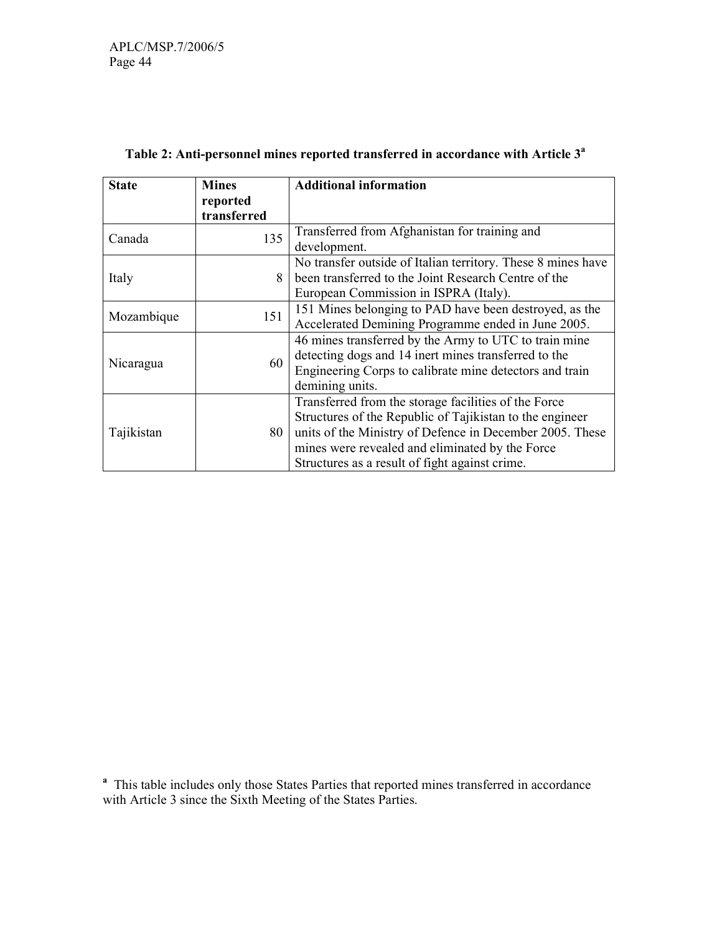| <b>State</b> | <b>Mines</b> | <b>Additional information</b>                                |  |  |
|--------------|--------------|--------------------------------------------------------------|--|--|
|              | reported     |                                                              |  |  |
|              | transferred  |                                                              |  |  |
| Canada       | 135          | Transferred from Afghanistan for training and                |  |  |
|              |              | development.                                                 |  |  |
|              |              | No transfer outside of Italian territory. These 8 mines have |  |  |
| Italy        | 8            | been transferred to the Joint Research Centre of the         |  |  |
|              |              | European Commission in ISPRA (Italy).                        |  |  |
| Mozambique   | 151          | 151 Mines belonging to PAD have been destroyed, as the       |  |  |
|              |              | Accelerated Demining Programme ended in June 2005.           |  |  |
|              |              | 46 mines transferred by the Army to UTC to train mine        |  |  |
| Nicaragua    | 60           | detecting dogs and 14 inert mines transferred to the         |  |  |
|              |              | Engineering Corps to calibrate mine detectors and train      |  |  |
|              |              | demining units.                                              |  |  |
|              |              | Transferred from the storage facilities of the Force         |  |  |
| Tajikistan   |              | Structures of the Republic of Tajikistan to the engineer     |  |  |
|              | 80           | units of the Ministry of Defence in December 2005. These     |  |  |
|              |              | mines were revealed and eliminated by the Force              |  |  |
|              |              | Structures as a result of fight against crime.               |  |  |

# Table 2: Anti-personnel mines reported transferred in accordance with Article 3<sup>a</sup>

<sup>a</sup> This table includes only those States Parties that reported mines transferred in accordance with Article 3 since the Sixth Meeting of the States Parties.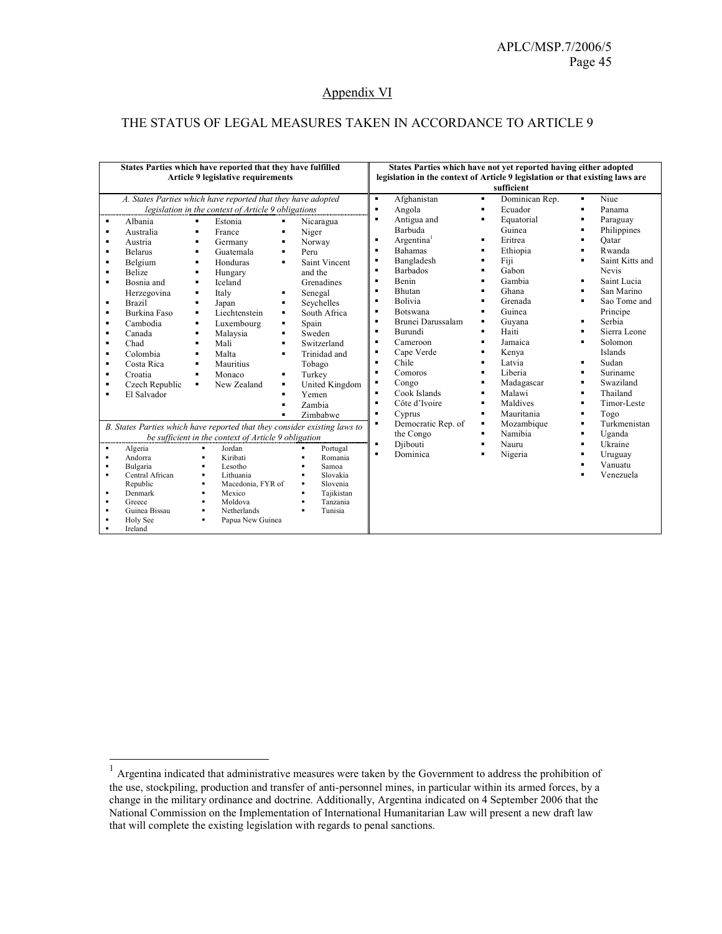# Appendix VI

### THE STATUS OF LEGAL MEASURES TAKEN IN ACCORDANCE TO ARTICLE 9

| States Parties which have reported that they have fulfilled<br><b>Article 9 legislative requirements</b>                                          |                                                                                                                                                         |                                                                                                                                                                                                                                                                                                                                                                                                       |                                                                                                                                                                                                                                                                                 |                                                                                                                                                                                                         | States Parties which have not vet reported having either adopted<br>legislation in the context of Article 9 legislation or that existing laws are<br>sufficient                                                         |                                                                                                            |                                                                                                                                             |   |                                                                                                                                                             |
|---------------------------------------------------------------------------------------------------------------------------------------------------|---------------------------------------------------------------------------------------------------------------------------------------------------------|-------------------------------------------------------------------------------------------------------------------------------------------------------------------------------------------------------------------------------------------------------------------------------------------------------------------------------------------------------------------------------------------------------|---------------------------------------------------------------------------------------------------------------------------------------------------------------------------------------------------------------------------------------------------------------------------------|---------------------------------------------------------------------------------------------------------------------------------------------------------------------------------------------------------|-------------------------------------------------------------------------------------------------------------------------------------------------------------------------------------------------------------------------|------------------------------------------------------------------------------------------------------------|---------------------------------------------------------------------------------------------------------------------------------------------|---|-------------------------------------------------------------------------------------------------------------------------------------------------------------|
| ٠<br>$\blacksquare$<br>$\blacksquare$<br>$\blacksquare$<br>$\blacksquare$<br>$\blacksquare$<br>٠<br>$\blacksquare$<br>$\blacksquare$<br>٠         | Albania<br>Australia<br>Austria<br><b>Belarus</b><br>Belgium<br>Belize<br>Bosnia and<br>Herzegovina<br><b>Brazil</b><br><b>Burkina Faso</b><br>Cambodia | A. States Parties which have reported that they have adopted<br>legislation in the context of Article 9 obligations<br>Estonia<br>٠<br>France<br>$\blacksquare$<br>٠<br>Germany<br>Guatemala<br>$\blacksquare$<br>٠<br>Honduras<br>$\blacksquare$<br>Hungary<br>Iceland<br>$\blacksquare$<br>$\blacksquare$<br>Italy<br>$\blacksquare$<br>Japan<br>Liechtenstein<br>$\blacksquare$<br>Luxembourg<br>٠ | Nicaragua<br>٠<br>Niger<br>٠<br>Norway<br>٠<br>Peru<br>$\blacksquare$<br>Saint Vincent<br>and the<br>Grenadines<br>Senegal<br>٠<br>Seychelles<br>٠<br>South Africa<br>$\blacksquare$<br>Spain<br>٠                                                                              | $\blacksquare$<br>$\blacksquare$<br>$\blacksquare$<br>$\blacksquare$<br>$\blacksquare$<br>$\blacksquare$<br>$\blacksquare$<br>٠<br>$\blacksquare$<br>$\blacksquare$<br>$\blacksquare$<br>$\blacksquare$ | Afghanistan<br>Angola<br>Antigua and<br>Barbuda<br>Argentina <sup>1</sup><br><b>Bahamas</b><br>Bangladesh<br><b>Barbados</b><br><b>Benin</b><br><b>Bhutan</b><br><b>Bolivia</b><br><b>Botswana</b><br>Brunei Darussalam | ٠<br>$\blacksquare$<br>٠<br>$\blacksquare$<br>٠<br>$\blacksquare$<br>٠<br>٠<br>٠<br>٠<br>٠                 | Dominican Rep.<br>Ecuador<br>Equatorial<br>Guinea<br>Eritrea<br>Ethiopia<br>Fiji<br>Gabon<br>Gambia<br>Ghana<br>Grenada<br>Guinea<br>Guvana | ٠ | Niue<br>Panama<br>Paraguay<br>Philippines<br>Oatar<br>Rwanda<br>Saint Kitts and<br>Nevis<br>Saint Lucia<br>San Marino<br>Sao Tome and<br>Principe<br>Serbia |
| ٠<br>٠<br>٠<br>٠<br>٠<br>٠                                                                                                                        | Canada<br>Chad<br>Colombia<br>Costa Rica<br>Croatia<br>Czech Republic<br>El Salvador                                                                    | Malaysia<br>٠<br>Mali<br>$\blacksquare$<br>Malta<br>$\blacksquare$<br>Mauritius<br>٠<br>Monaco<br>٠<br>New Zealand<br>٠                                                                                                                                                                                                                                                                               | Sweden<br>Switzerland<br>٠<br>Trinidad and<br>Tobago<br>Turkey<br>United Kingdom<br>Yemen<br>Zambia<br>Zimbabwe                                                                                                                                                                 | $\blacksquare$<br>$\blacksquare$<br>$\blacksquare$<br>$\blacksquare$<br>٠<br>$\blacksquare$<br>$\blacksquare$<br>$\blacksquare$<br>٠                                                                    | Burundi<br>Cameroon<br>Cape Verde<br>Chile<br>Comoros<br>Congo<br>Cook Islands<br>Côte d'Ivoire<br>Cyprus                                                                                                               | ٠<br>$\blacksquare$<br>٠<br>$\blacksquare$<br>٠<br>٠<br>$\blacksquare$<br>$\blacksquare$<br>$\blacksquare$ | Haiti<br>Jamaica<br>Kenya<br>Latvia<br>Liberia<br>Madagascar<br>Malawi<br>Maldives<br>Mauritania                                            |   | Sierra Leone<br>Solomon<br>Islands<br>Sudan<br>Suriname<br>Swaziland<br>Thailand<br>Timor-Leste<br>Togo                                                     |
| $\blacksquare$<br>$\blacksquare$<br>$\blacksquare$<br>$\blacksquare$<br>$\blacksquare$<br>$\blacksquare$<br>$\blacksquare$<br>$\blacksquare$<br>٠ | Algeria<br>Andorra<br>Bulgaria<br>Central African<br>Republic<br>Denmark<br>Greece<br>Guinea Bissau<br>Holy See<br>Ireland                              | be sufficient in the context of Article 9 obligation<br>Jordan<br>$\blacksquare$<br>Kiribati<br>$\blacksquare$<br>Lesotho<br>$\blacksquare$<br>Lithuania<br>$\blacksquare$<br>Macedonia, FYR of<br>Mexico<br>$\blacksquare$<br>Moldova<br>$\blacksquare$<br>Netherlands<br>$\blacksquare$<br>Papua New Guinea<br>$\blacksquare$                                                                       | B. States Parties which have reported that they consider existing laws to<br>Portugal<br>$\blacksquare$<br>Romania<br>$\blacksquare$<br>$\blacksquare$<br>Samoa<br>Slovakia<br>٠<br>Slovenia<br>٠<br>Tajikistan<br>٠<br>Tanzania<br>$\blacksquare$<br>Tunisia<br>$\blacksquare$ | $\blacksquare$<br>$\blacksquare$<br>$\blacksquare$                                                                                                                                                      | Democratic Rep. of<br>the Congo<br>Diibouti<br>Dominica                                                                                                                                                                 | ٠<br>٠<br>٠                                                                                                | Mozambique<br>Namibia<br>Nauru<br>Nigeria                                                                                                   |   | Turkmenistan<br>Uganda<br>Ukraine<br>Uruguay<br>Vanuatu<br>Venezuela                                                                                        |

 1 Argentina indicated that administrative measures were taken by the Government to address the prohibition of the use, stockpiling, production and transfer of anti-personnel mines, in particular within its armed forces, by a change in the military ordinance and doctrine. Additionally, Argentina indicated on 4 September 2006 that the National Commission on the Implementation of International Humanitarian Law will present a new draft law that will complete the existing legislation with regards to penal sanctions.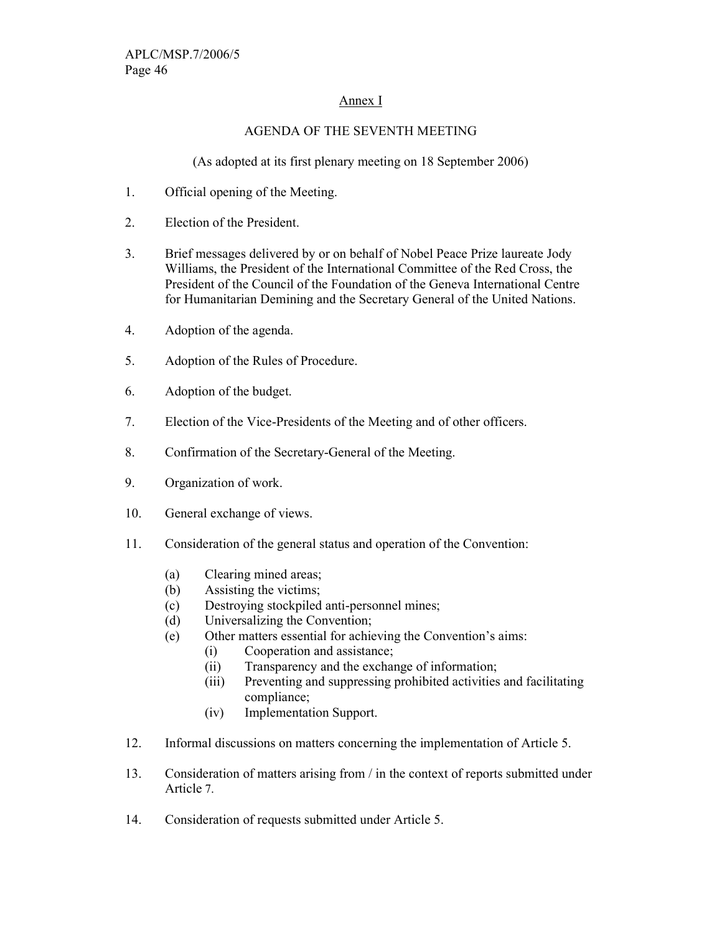# Annex I

## AGENDA OF THE SEVENTH MEETING

(As adopted at its first plenary meeting on 18 September 2006)

- 1. Official opening of the Meeting.
- 2. Election of the President.
- 3. Brief messages delivered by or on behalf of Nobel Peace Prize laureate Jody Williams, the President of the International Committee of the Red Cross, the President of the Council of the Foundation of the Geneva International Centre for Humanitarian Demining and the Secretary General of the United Nations.
- 4. Adoption of the agenda.
- 5. Adoption of the Rules of Procedure.
- 6. Adoption of the budget.
- 7. Election of the Vice-Presidents of the Meeting and of other officers.
- 8. Confirmation of the Secretary-General of the Meeting.
- 9. Organization of work.
- 10. General exchange of views.
- 11. Consideration of the general status and operation of the Convention:
	- (a) Clearing mined areas;
	- (b) Assisting the victims;
	- (c) Destroying stockpiled anti-personnel mines;
	- (d) Universalizing the Convention;
	- (e) Other matters essential for achieving the Convention's aims:
		- (i) Cooperation and assistance;
		- (ii) Transparency and the exchange of information;
		- (iii) Preventing and suppressing prohibited activities and facilitating compliance;
		- (iv) Implementation Support.
- 12. Informal discussions on matters concerning the implementation of Article 5.
- 13. Consideration of matters arising from / in the context of reports submitted under Article 7.
- 14. Consideration of requests submitted under Article 5.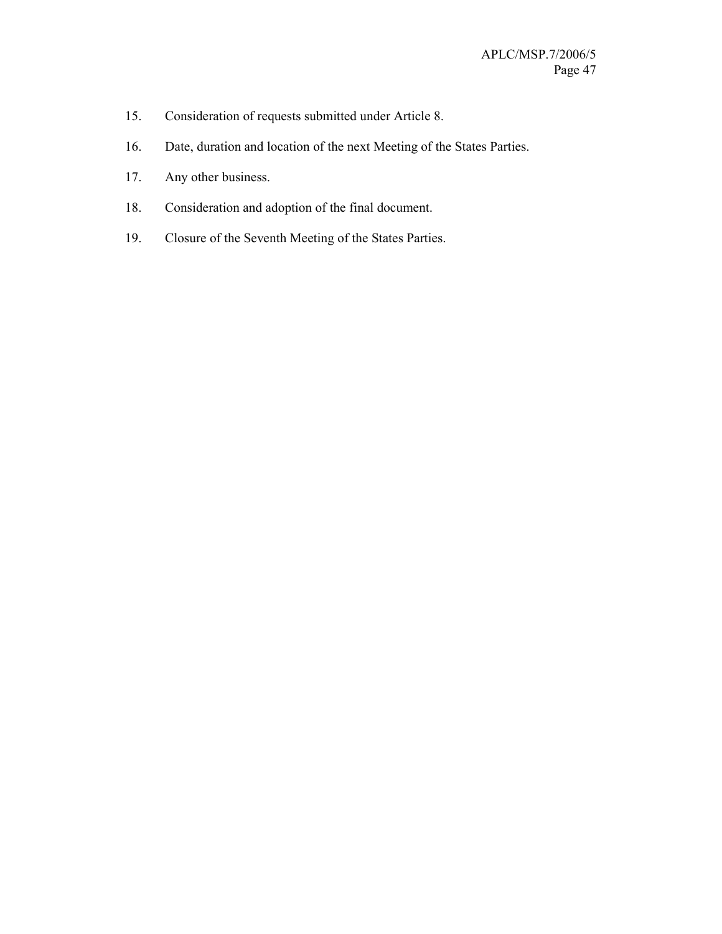- 15. Consideration of requests submitted under Article 8.
- 16. Date, duration and location of the next Meeting of the States Parties.
- 17. Any other business.
- 18. Consideration and adoption of the final document.
- 19. Closure of the Seventh Meeting of the States Parties.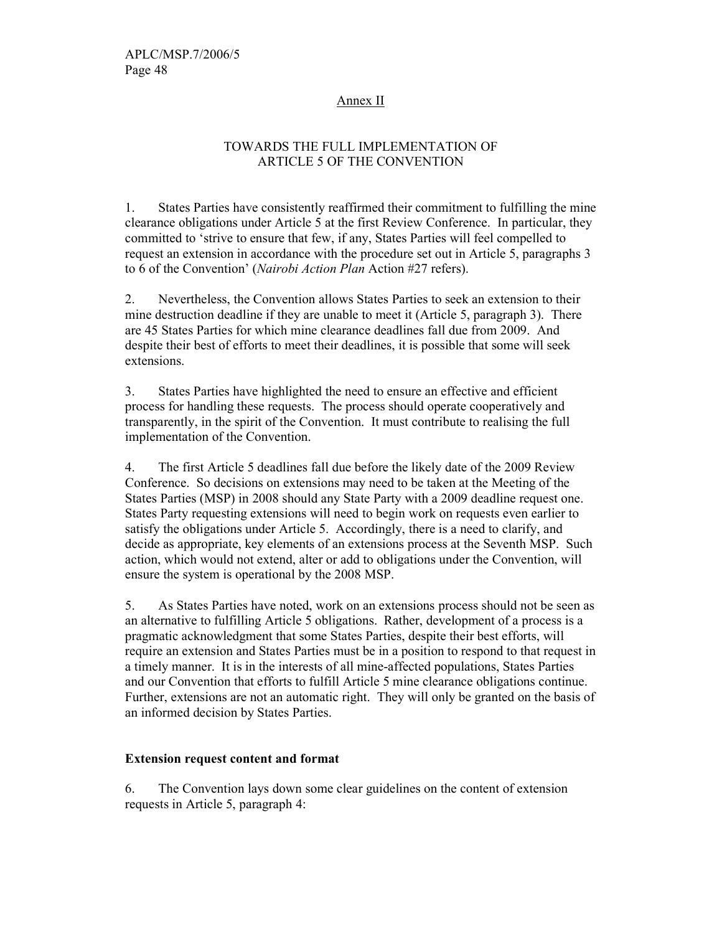### Annex II

# TOWARDS THE FULL IMPLEMENTATION OF ARTICLE 5 OF THE CONVENTION

1. States Parties have consistently reaffirmed their commitment to fulfilling the mine clearance obligations under Article 5 at the first Review Conference. In particular, they committed to 'strive to ensure that few, if any, States Parties will feel compelled to request an extension in accordance with the procedure set out in Article 5, paragraphs 3 to 6 of the Convention' (Nairobi Action Plan Action #27 refers).

2. Nevertheless, the Convention allows States Parties to seek an extension to their mine destruction deadline if they are unable to meet it (Article 5, paragraph 3). There are 45 States Parties for which mine clearance deadlines fall due from 2009. And despite their best of efforts to meet their deadlines, it is possible that some will seek extensions.

3. States Parties have highlighted the need to ensure an effective and efficient process for handling these requests. The process should operate cooperatively and transparently, in the spirit of the Convention. It must contribute to realising the full implementation of the Convention.

4. The first Article 5 deadlines fall due before the likely date of the 2009 Review Conference. So decisions on extensions may need to be taken at the Meeting of the States Parties (MSP) in 2008 should any State Party with a 2009 deadline request one. States Party requesting extensions will need to begin work on requests even earlier to satisfy the obligations under Article 5. Accordingly, there is a need to clarify, and decide as appropriate, key elements of an extensions process at the Seventh MSP. Such action, which would not extend, alter or add to obligations under the Convention, will ensure the system is operational by the 2008 MSP.

5. As States Parties have noted, work on an extensions process should not be seen as an alternative to fulfilling Article 5 obligations. Rather, development of a process is a pragmatic acknowledgment that some States Parties, despite their best efforts, will require an extension and States Parties must be in a position to respond to that request in a timely manner. It is in the interests of all mine-affected populations, States Parties and our Convention that efforts to fulfill Article 5 mine clearance obligations continue. Further, extensions are not an automatic right. They will only be granted on the basis of an informed decision by States Parties.

### Extension request content and format

6. The Convention lays down some clear guidelines on the content of extension requests in Article 5, paragraph 4: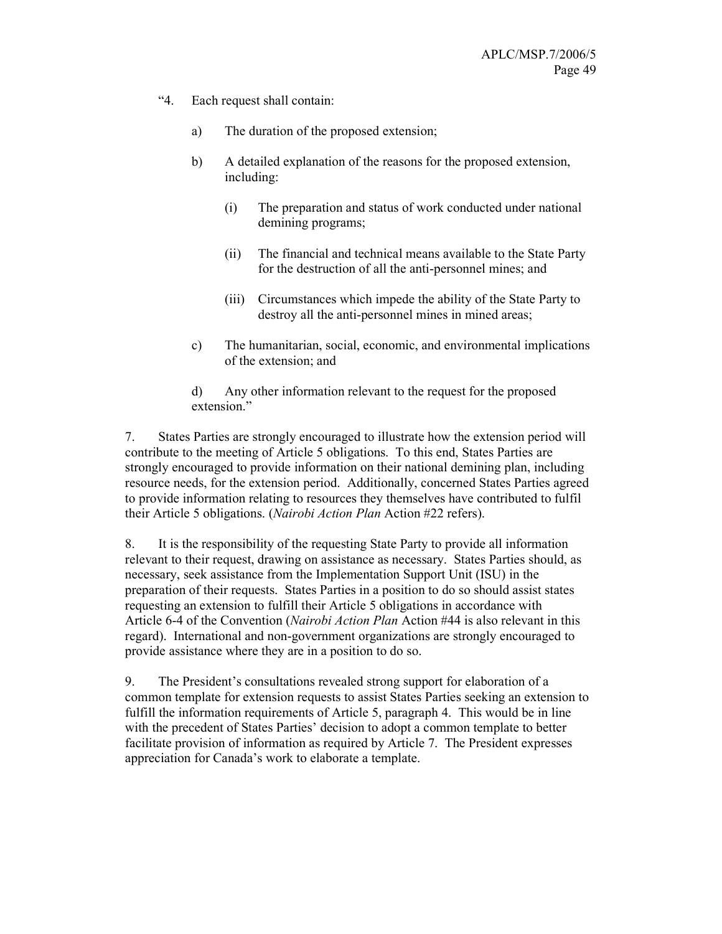- "4. Each request shall contain:
	- a) The duration of the proposed extension;
	- b) A detailed explanation of the reasons for the proposed extension, including:
		- (i) The preparation and status of work conducted under national demining programs;
		- (ii) The financial and technical means available to the State Party for the destruction of all the anti-personnel mines; and
		- (iii) Circumstances which impede the ability of the State Party to destroy all the anti-personnel mines in mined areas;
	- c) The humanitarian, social, economic, and environmental implications of the extension; and

d) Any other information relevant to the request for the proposed extension<sup>"</sup>

7. States Parties are strongly encouraged to illustrate how the extension period will contribute to the meeting of Article 5 obligations. To this end, States Parties are strongly encouraged to provide information on their national demining plan, including resource needs, for the extension period. Additionally, concerned States Parties agreed to provide information relating to resources they themselves have contributed to fulfil their Article 5 obligations. (Nairobi Action Plan Action #22 refers).

8. It is the responsibility of the requesting State Party to provide all information relevant to their request, drawing on assistance as necessary. States Parties should, as necessary, seek assistance from the Implementation Support Unit (ISU) in the preparation of their requests. States Parties in a position to do so should assist states requesting an extension to fulfill their Article 5 obligations in accordance with Article 6-4 of the Convention (Nairobi Action Plan Action #44 is also relevant in this regard). International and non-government organizations are strongly encouraged to provide assistance where they are in a position to do so.

9. The President's consultations revealed strong support for elaboration of a common template for extension requests to assist States Parties seeking an extension to fulfill the information requirements of Article 5, paragraph 4. This would be in line with the precedent of States Parties' decision to adopt a common template to better facilitate provision of information as required by Article 7. The President expresses appreciation for Canada's work to elaborate a template.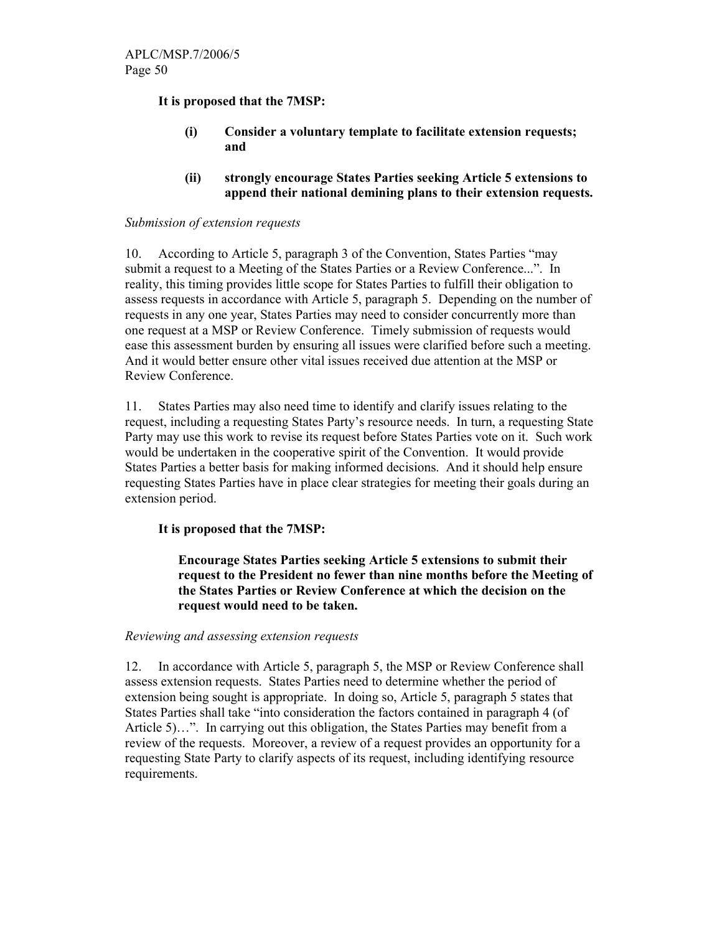It is proposed that the 7MSP:

- (i) Consider a voluntary template to facilitate extension requests; and
- (ii) strongly encourage States Parties seeking Article 5 extensions to append their national demining plans to their extension requests.

### Submission of extension requests

10. According to Article 5, paragraph 3 of the Convention, States Parties "may submit a request to a Meeting of the States Parties or a Review Conference...". In reality, this timing provides little scope for States Parties to fulfill their obligation to assess requests in accordance with Article 5, paragraph 5. Depending on the number of requests in any one year, States Parties may need to consider concurrently more than one request at a MSP or Review Conference. Timely submission of requests would ease this assessment burden by ensuring all issues were clarified before such a meeting. And it would better ensure other vital issues received due attention at the MSP or Review Conference.

11. States Parties may also need time to identify and clarify issues relating to the request, including a requesting States Party's resource needs. In turn, a requesting State Party may use this work to revise its request before States Parties vote on it. Such work would be undertaken in the cooperative spirit of the Convention. It would provide States Parties a better basis for making informed decisions. And it should help ensure requesting States Parties have in place clear strategies for meeting their goals during an extension period.

## It is proposed that the 7MSP:

Encourage States Parties seeking Article 5 extensions to submit their request to the President no fewer than nine months before the Meeting of the States Parties or Review Conference at which the decision on the request would need to be taken.

### Reviewing and assessing extension requests

12. In accordance with Article 5, paragraph 5, the MSP or Review Conference shall assess extension requests. States Parties need to determine whether the period of extension being sought is appropriate. In doing so, Article 5, paragraph 5 states that States Parties shall take "into consideration the factors contained in paragraph 4 (of Article 5)…". In carrying out this obligation, the States Parties may benefit from a review of the requests. Moreover, a review of a request provides an opportunity for a requesting State Party to clarify aspects of its request, including identifying resource requirements.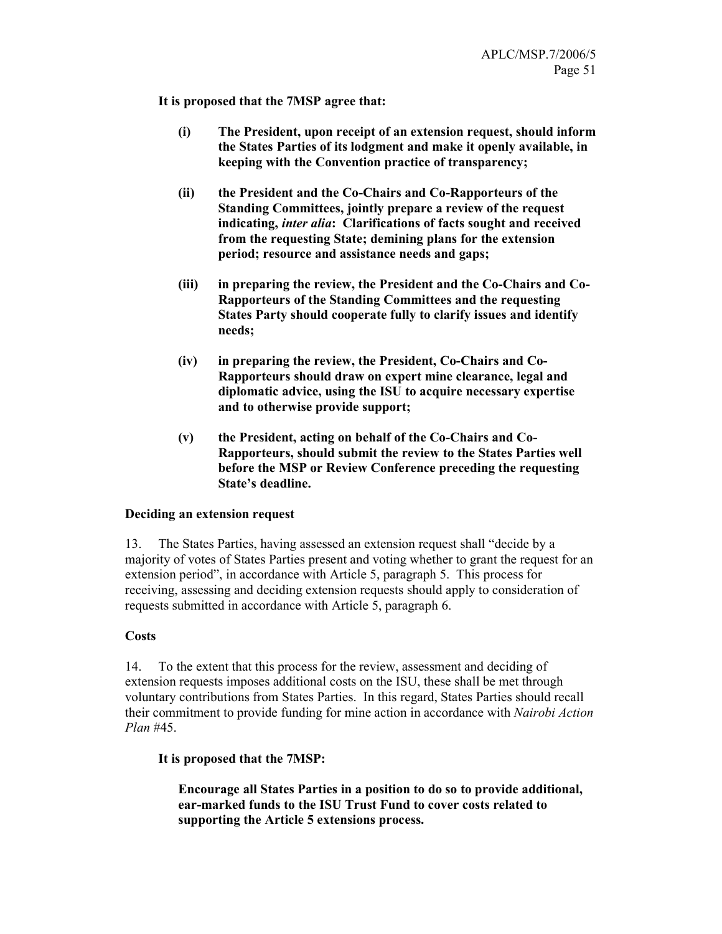It is proposed that the 7MSP agree that:

- (i) The President, upon receipt of an extension request, should inform the States Parties of its lodgment and make it openly available, in keeping with the Convention practice of transparency;
- (ii) the President and the Co-Chairs and Co-Rapporteurs of the Standing Committees, jointly prepare a review of the request indicating, inter alia: Clarifications of facts sought and received from the requesting State; demining plans for the extension period; resource and assistance needs and gaps;
- (iii) in preparing the review, the President and the Co-Chairs and Co-Rapporteurs of the Standing Committees and the requesting States Party should cooperate fully to clarify issues and identify needs;
- (iv) in preparing the review, the President, Co-Chairs and Co-Rapporteurs should draw on expert mine clearance, legal and diplomatic advice, using the ISU to acquire necessary expertise and to otherwise provide support;
- (v) the President, acting on behalf of the Co-Chairs and Co-Rapporteurs, should submit the review to the States Parties well before the MSP or Review Conference preceding the requesting State's deadline.

### Deciding an extension request

13. The States Parties, having assessed an extension request shall "decide by a majority of votes of States Parties present and voting whether to grant the request for an extension period", in accordance with Article 5, paragraph 5. This process for receiving, assessing and deciding extension requests should apply to consideration of requests submitted in accordance with Article 5, paragraph 6.

### **Costs**

14. To the extent that this process for the review, assessment and deciding of extension requests imposes additional costs on the ISU, these shall be met through voluntary contributions from States Parties. In this regard, States Parties should recall their commitment to provide funding for mine action in accordance with Nairobi Action Plan #45.

## It is proposed that the 7MSP:

Encourage all States Parties in a position to do so to provide additional, ear-marked funds to the ISU Trust Fund to cover costs related to supporting the Article 5 extensions process.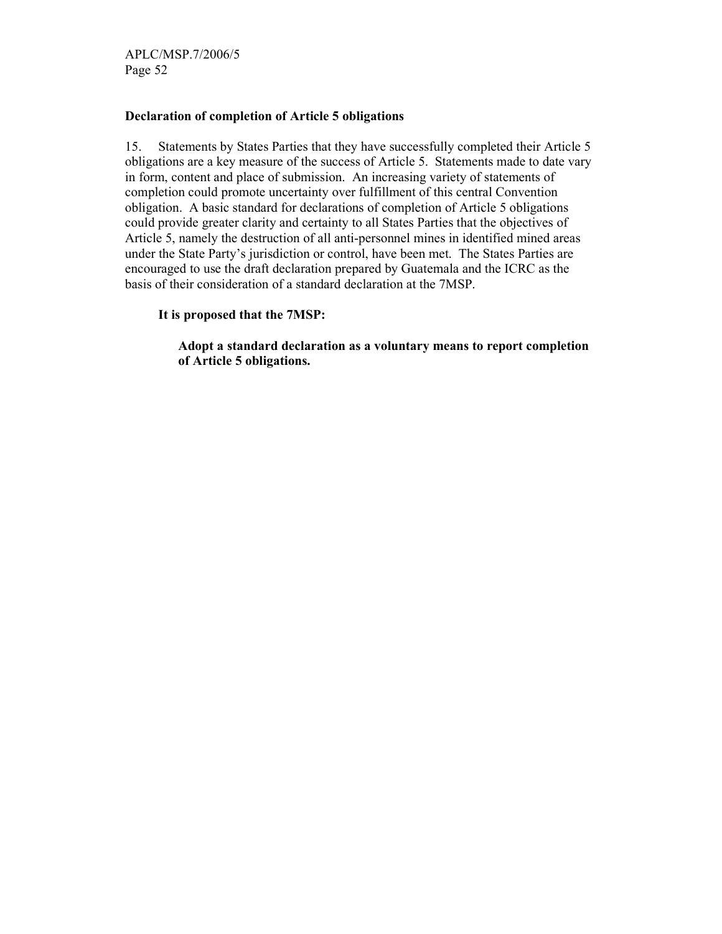APLC/MSP.7/2006/5 Page 52

### Declaration of completion of Article 5 obligations

15. Statements by States Parties that they have successfully completed their Article 5 obligations are a key measure of the success of Article 5. Statements made to date vary in form, content and place of submission. An increasing variety of statements of completion could promote uncertainty over fulfillment of this central Convention obligation. A basic standard for declarations of completion of Article 5 obligations could provide greater clarity and certainty to all States Parties that the objectives of Article 5, namely the destruction of all anti-personnel mines in identified mined areas under the State Party's jurisdiction or control, have been met. The States Parties are encouraged to use the draft declaration prepared by Guatemala and the ICRC as the basis of their consideration of a standard declaration at the 7MSP.

It is proposed that the 7MSP:

Adopt a standard declaration as a voluntary means to report completion of Article 5 obligations.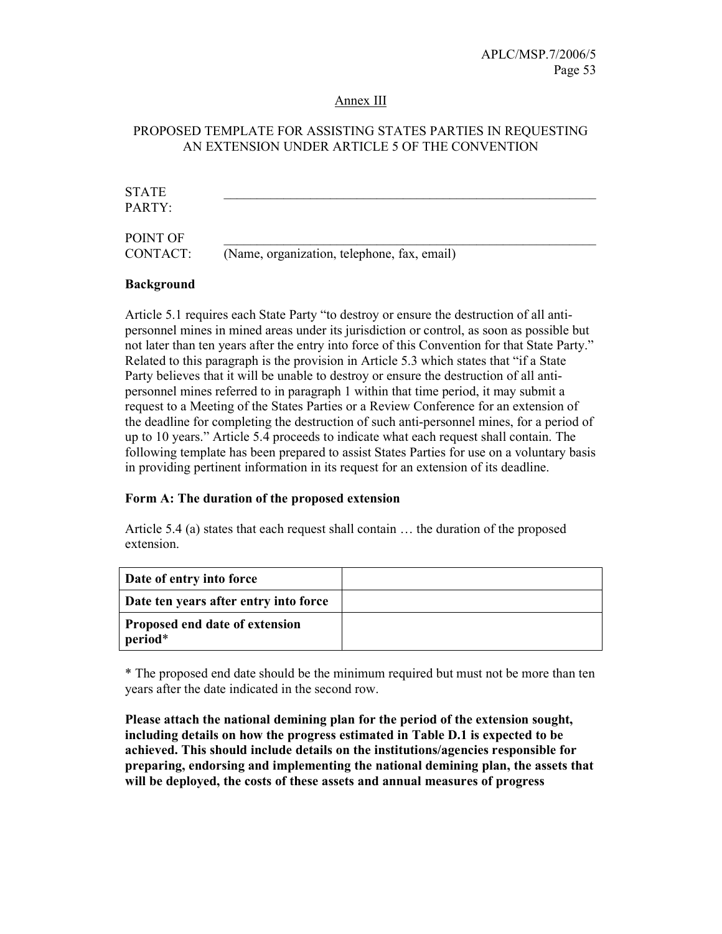#### Annex III

## PROPOSED TEMPLATE FOR ASSISTING STATES PARTIES IN REQUESTING AN EXTENSION UNDER ARTICLE 5 OF THE CONVENTION

| <b>STATE</b><br>PARTY: |                                             |
|------------------------|---------------------------------------------|
| POINT OF<br>CONTACT:   | (Name, organization, telephone, fax, email) |

### Background

Article 5.1 requires each State Party "to destroy or ensure the destruction of all antipersonnel mines in mined areas under its jurisdiction or control, as soon as possible but not later than ten years after the entry into force of this Convention for that State Party." Related to this paragraph is the provision in Article 5.3 which states that "if a State Party believes that it will be unable to destroy or ensure the destruction of all antipersonnel mines referred to in paragraph 1 within that time period, it may submit a request to a Meeting of the States Parties or a Review Conference for an extension of the deadline for completing the destruction of such anti-personnel mines, for a period of up to 10 years." Article 5.4 proceeds to indicate what each request shall contain. The following template has been prepared to assist States Parties for use on a voluntary basis in providing pertinent information in its request for an extension of its deadline.

### Form A: The duration of the proposed extension

Article 5.4 (a) states that each request shall contain … the duration of the proposed extension.

| Date of entry into force                         |  |
|--------------------------------------------------|--|
| Date ten years after entry into force            |  |
| <b>Proposed end date of extension</b><br>period* |  |

\* The proposed end date should be the minimum required but must not be more than ten years after the date indicated in the second row.

Please attach the national demining plan for the period of the extension sought, including details on how the progress estimated in Table D.1 is expected to be achieved. This should include details on the institutions/agencies responsible for preparing, endorsing and implementing the national demining plan, the assets that will be deployed, the costs of these assets and annual measures of progress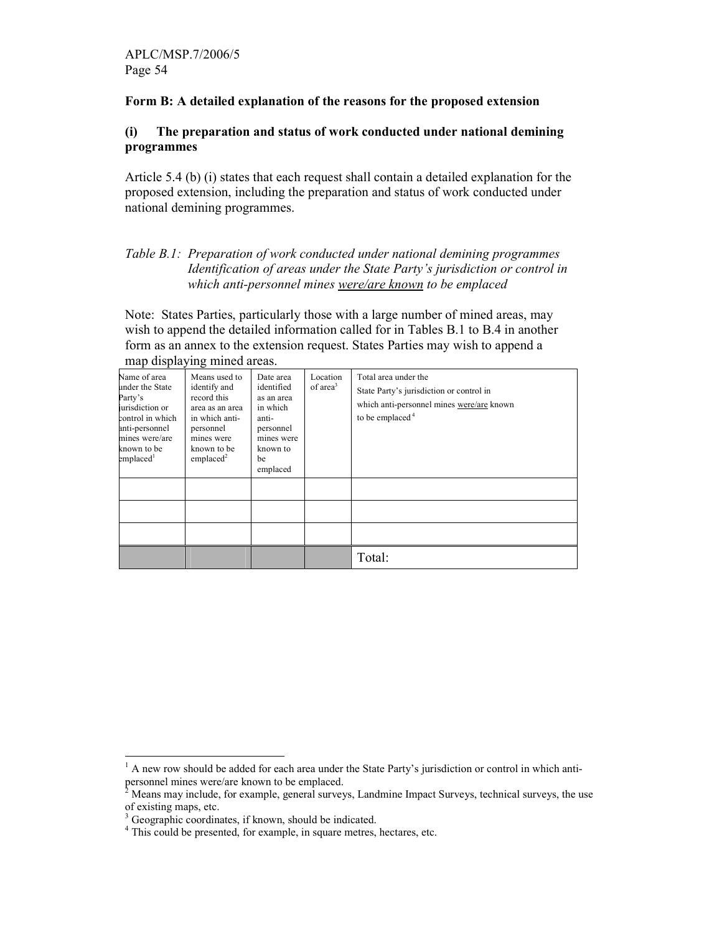### Form B: A detailed explanation of the reasons for the proposed extension

### (i) The preparation and status of work conducted under national demining programmes

Article 5.4 (b) (i) states that each request shall contain a detailed explanation for the proposed extension, including the preparation and status of work conducted under national demining programmes.

### Table B.1: Preparation of work conducted under national demining programmes Identification of areas under the State Party's jurisdiction or control in which anti-personnel mines were/are known to be emplaced

Note: States Parties, particularly those with a large number of mined areas, may wish to append the detailed information called for in Tables B.1 to B.4 in another form as an annex to the extension request. States Parties may wish to append a

| $\overline{\phantom{a}}$<br>Name of area<br>under the State<br>Party's<br>urisdiction or<br>control in which<br>anti-personnel<br>mines were/are<br>known to be<br>emplaced <sup>1</sup> | Means used to<br>identify and<br>record this<br>area as an area<br>in which anti-<br>personnel<br>mines were<br>known to be<br>emplaced <sup>2</sup> | Date area<br>identified<br>as an area<br>in which<br>anti-<br>personnel<br>mines were<br>known to<br>be<br>emplaced | Location<br>of area <sup>3</sup> | Total area under the<br>State Party's jurisdiction or control in<br>which anti-personnel mines were/are known<br>to be emplaced $4$ |
|------------------------------------------------------------------------------------------------------------------------------------------------------------------------------------------|------------------------------------------------------------------------------------------------------------------------------------------------------|---------------------------------------------------------------------------------------------------------------------|----------------------------------|-------------------------------------------------------------------------------------------------------------------------------------|
|                                                                                                                                                                                          |                                                                                                                                                      |                                                                                                                     |                                  |                                                                                                                                     |
|                                                                                                                                                                                          |                                                                                                                                                      |                                                                                                                     |                                  | Total:                                                                                                                              |

map displaying mined areas.

<sup>&</sup>lt;sup>1</sup> A new row should be added for each area under the State Party's jurisdiction or control in which anti-

personnel mines were/are known to be emplaced.<br><sup>2</sup> Means may include, for example, general surveys, Landmine Impact Surveys, technical surveys, the use

of existing maps, etc. 3 Geographic coordinates, if known, should be indicated.

<sup>&</sup>lt;sup>4</sup> This could be presented, for example, in square metres, hectares, etc.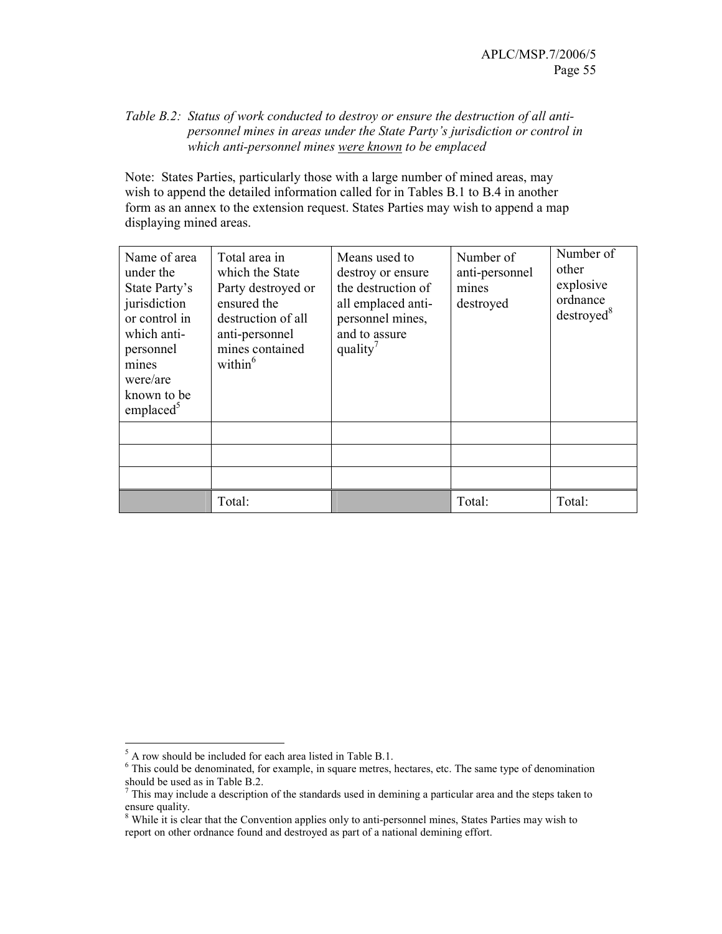### Table B.2: Status of work conducted to destroy or ensure the destruction of all antipersonnel mines in areas under the State Party's jurisdiction or control in which anti-personnel mines were known to be emplaced

Note: States Parties, particularly those with a large number of mined areas, may wish to append the detailed information called for in Tables B.1 to B.4 in another form as an annex to the extension request. States Parties may wish to append a map displaying mined areas.

| Name of area<br>under the<br>State Party's<br>jurisdiction<br>or control in<br>which anti-<br>personnel<br>mines<br>were/are<br>known to be<br>emplaced | Total area in<br>which the State<br>Party destroyed or<br>ensured the<br>destruction of all<br>anti-personnel<br>mines contained<br>within $6$ | Means used to<br>destroy or ensure<br>the destruction of<br>all emplaced anti-<br>personnel mines,<br>and to assure<br>quality <sup>7</sup> | Number of<br>anti-personnel<br>mines<br>destroyed | Number of<br>other<br>explosive<br>ordnance<br>destroyed <sup>8</sup> |
|---------------------------------------------------------------------------------------------------------------------------------------------------------|------------------------------------------------------------------------------------------------------------------------------------------------|---------------------------------------------------------------------------------------------------------------------------------------------|---------------------------------------------------|-----------------------------------------------------------------------|
|                                                                                                                                                         |                                                                                                                                                |                                                                                                                                             |                                                   |                                                                       |
|                                                                                                                                                         |                                                                                                                                                |                                                                                                                                             |                                                   |                                                                       |
|                                                                                                                                                         |                                                                                                                                                |                                                                                                                                             |                                                   |                                                                       |
|                                                                                                                                                         | Total:                                                                                                                                         |                                                                                                                                             | Total:                                            | Total:                                                                |

 $\frac{5}{5}$  A row should be included for each area listed in Table B.1.

<sup>&</sup>lt;sup>6</sup> This could be denominated, for example, in square metres, hectares, etc. The same type of denomination

should be used as in Table B.2.<br><sup>7</sup> This may include a description of the standards used in demining a particular area and the steps taken to ensure quality.

<sup>&</sup>lt;sup>8</sup> While it is clear that the Convention applies only to anti-personnel mines, States Parties may wish to report on other ordnance found and destroyed as part of a national demining effort.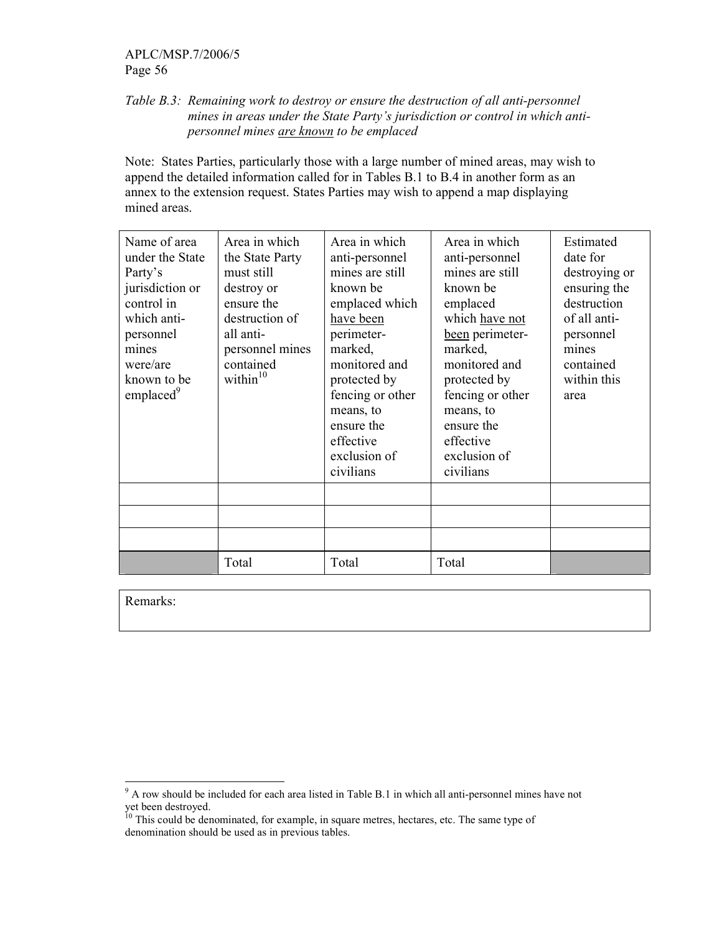## APLC/MSP.7/2006/5 Page 56

### Table B.3: Remaining work to destroy or ensure the destruction of all anti-personnel mines in areas under the State Party's jurisdiction or control in which antipersonnel mines are known to be emplaced

Note: States Parties, particularly those with a large number of mined areas, may wish to append the detailed information called for in Tables B.1 to B.4 in another form as an annex to the extension request. States Parties may wish to append a map displaying mined areas.

| Name of area<br>under the State<br>Party's<br>jurisdiction or<br>control in<br>which anti-<br>personnel<br>mines<br>were/are<br>known to be<br>emplaced <sup>9</sup> | Area in which<br>the State Party<br>must still<br>destroy or<br>ensure the<br>destruction of<br>all anti-<br>personnel mines<br>contained<br>within $10$ | Area in which<br>anti-personnel<br>mines are still<br>known be<br>emplaced which<br>have been<br>perimeter-<br>marked,<br>monitored and<br>protected by<br>fencing or other<br>means, to<br>ensure the<br>effective<br>exclusion of<br>civilians | Area in which<br>anti-personnel<br>mines are still<br>known be<br>emplaced<br>which have not<br>been perimeter-<br>marked,<br>monitored and<br>protected by<br>fencing or other<br>means, to<br>ensure the<br>effective<br>exclusion of<br>civilians | Estimated<br>date for<br>destroying or<br>ensuring the<br>destruction<br>of all anti-<br>personnel<br>mines<br>contained<br>within this<br>area |
|----------------------------------------------------------------------------------------------------------------------------------------------------------------------|----------------------------------------------------------------------------------------------------------------------------------------------------------|--------------------------------------------------------------------------------------------------------------------------------------------------------------------------------------------------------------------------------------------------|------------------------------------------------------------------------------------------------------------------------------------------------------------------------------------------------------------------------------------------------------|-------------------------------------------------------------------------------------------------------------------------------------------------|
|                                                                                                                                                                      |                                                                                                                                                          |                                                                                                                                                                                                                                                  |                                                                                                                                                                                                                                                      |                                                                                                                                                 |
|                                                                                                                                                                      | Total                                                                                                                                                    | Total                                                                                                                                                                                                                                            | Total                                                                                                                                                                                                                                                |                                                                                                                                                 |

Remarks:

<sup>&</sup>lt;sup>9</sup> A row should be included for each area listed in Table B.1 in which all anti-personnel mines have not yet been destroyed.

<sup>&</sup>lt;sup>10</sup> This could be denominated, for example, in square metres, hectares, etc. The same type of denomination should be used as in previous tables.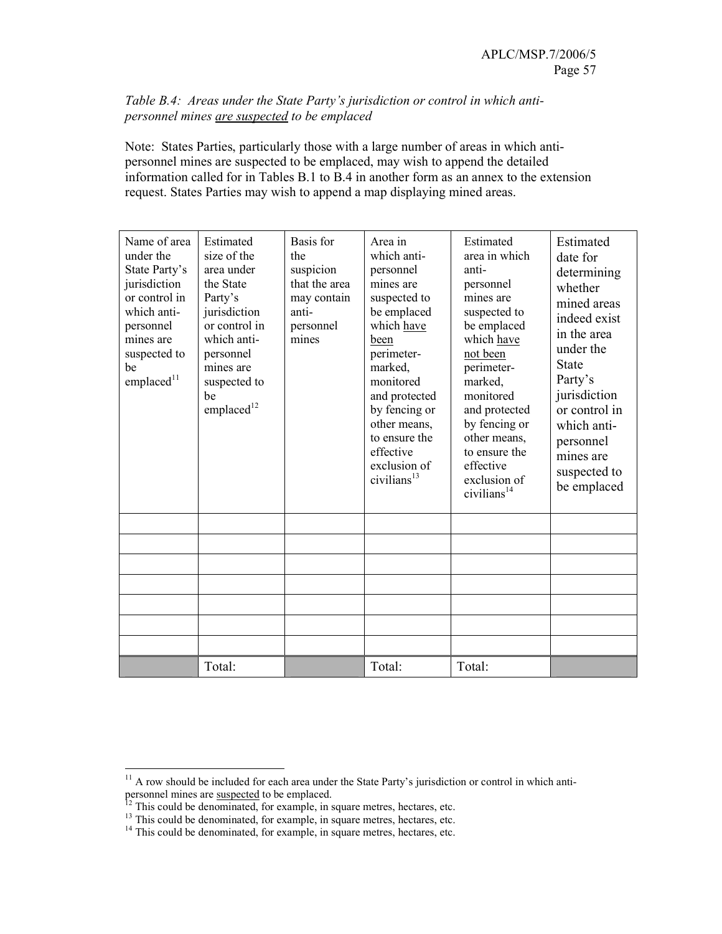### Table B.4: Areas under the State Party's jurisdiction or control in which antipersonnel mines are suspected to be emplaced

Note: States Parties, particularly those with a large number of areas in which antipersonnel mines are suspected to be emplaced, may wish to append the detailed information called for in Tables B.1 to B.4 in another form as an annex to the extension request. States Parties may wish to append a map displaying mined areas.

| Name of area<br>under the<br>State Party's<br>jurisdiction<br>or control in<br>which anti-<br>personnel<br>mines are<br>suspected to<br>be<br>emplaced <sup>11</sup> | Estimated<br>size of the<br>area under<br>the State<br>Party's<br>jurisdiction<br>or control in<br>which anti-<br>personnel<br>mines are<br>suspected to<br>be<br>emplaced <sup>12</sup> | Basis for<br>the<br>suspicion<br>that the area<br>may contain<br>anti-<br>personnel<br>mines | Area in<br>which anti-<br>personnel<br>mines are<br>suspected to<br>be emplaced<br>which have<br>been<br>perimeter-<br>marked,<br>monitored<br>and protected<br>by fencing or<br>other means,<br>to ensure the<br>effective<br>exclusion of<br>civilians <sup>13</sup> | Estimated<br>area in which<br>anti-<br>personnel<br>mines are<br>suspected to<br>be emplaced<br>which have<br>not been<br>perimeter-<br>marked,<br>monitored<br>and protected<br>by fencing or<br>other means,<br>to ensure the<br>effective<br>exclusion of<br>civilians <sup>14</sup> | Estimated<br>date for<br>determining<br>whether<br>mined areas<br>indeed exist<br>in the area<br>under the<br><b>State</b><br>Party's<br>jurisdiction<br>or control in<br>which anti-<br>personnel<br>mines are<br>suspected to<br>be emplaced |
|----------------------------------------------------------------------------------------------------------------------------------------------------------------------|------------------------------------------------------------------------------------------------------------------------------------------------------------------------------------------|----------------------------------------------------------------------------------------------|------------------------------------------------------------------------------------------------------------------------------------------------------------------------------------------------------------------------------------------------------------------------|-----------------------------------------------------------------------------------------------------------------------------------------------------------------------------------------------------------------------------------------------------------------------------------------|------------------------------------------------------------------------------------------------------------------------------------------------------------------------------------------------------------------------------------------------|
|                                                                                                                                                                      |                                                                                                                                                                                          |                                                                                              |                                                                                                                                                                                                                                                                        |                                                                                                                                                                                                                                                                                         |                                                                                                                                                                                                                                                |
|                                                                                                                                                                      |                                                                                                                                                                                          |                                                                                              |                                                                                                                                                                                                                                                                        |                                                                                                                                                                                                                                                                                         |                                                                                                                                                                                                                                                |
|                                                                                                                                                                      |                                                                                                                                                                                          |                                                                                              |                                                                                                                                                                                                                                                                        |                                                                                                                                                                                                                                                                                         |                                                                                                                                                                                                                                                |
|                                                                                                                                                                      |                                                                                                                                                                                          |                                                                                              |                                                                                                                                                                                                                                                                        |                                                                                                                                                                                                                                                                                         |                                                                                                                                                                                                                                                |
|                                                                                                                                                                      |                                                                                                                                                                                          |                                                                                              |                                                                                                                                                                                                                                                                        |                                                                                                                                                                                                                                                                                         |                                                                                                                                                                                                                                                |
|                                                                                                                                                                      |                                                                                                                                                                                          |                                                                                              |                                                                                                                                                                                                                                                                        |                                                                                                                                                                                                                                                                                         |                                                                                                                                                                                                                                                |
|                                                                                                                                                                      | Total:                                                                                                                                                                                   |                                                                                              | Total:                                                                                                                                                                                                                                                                 | Total:                                                                                                                                                                                                                                                                                  |                                                                                                                                                                                                                                                |

<sup>-</sup> $11$  A row should be included for each area under the State Party's jurisdiction or control in which antipersonnel mines are suspected to be emplaced.

 $12$ <sup>12</sup> This could be denominated, for example, in square metres, hectares, etc.

<sup>&</sup>lt;sup>13</sup> This could be denominated, for example, in square metres, hectares, etc.

 $14$  This could be denominated, for example, in square metres, hectares, etc.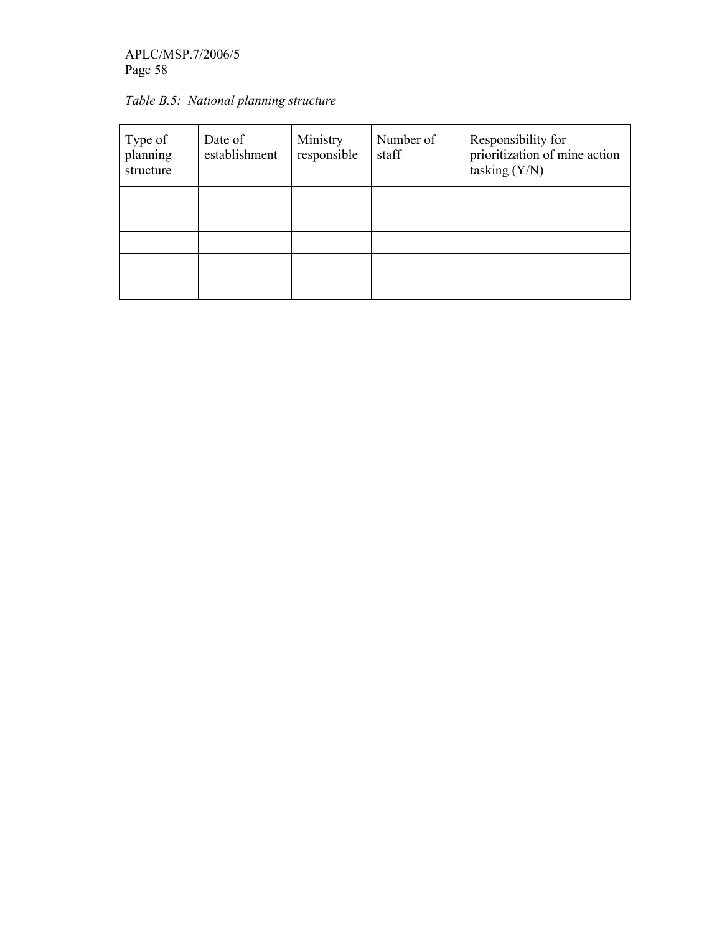# APLC/MSP.7/2006/5 Page 58

| Type of<br>planning<br>structure | Date of<br>establishment | Ministry<br>responsible | Number of<br>staff | Responsibility for<br>prioritization of mine action<br>tasking $(Y/N)$ |
|----------------------------------|--------------------------|-------------------------|--------------------|------------------------------------------------------------------------|
|                                  |                          |                         |                    |                                                                        |
|                                  |                          |                         |                    |                                                                        |
|                                  |                          |                         |                    |                                                                        |

Table B.5: National planning structure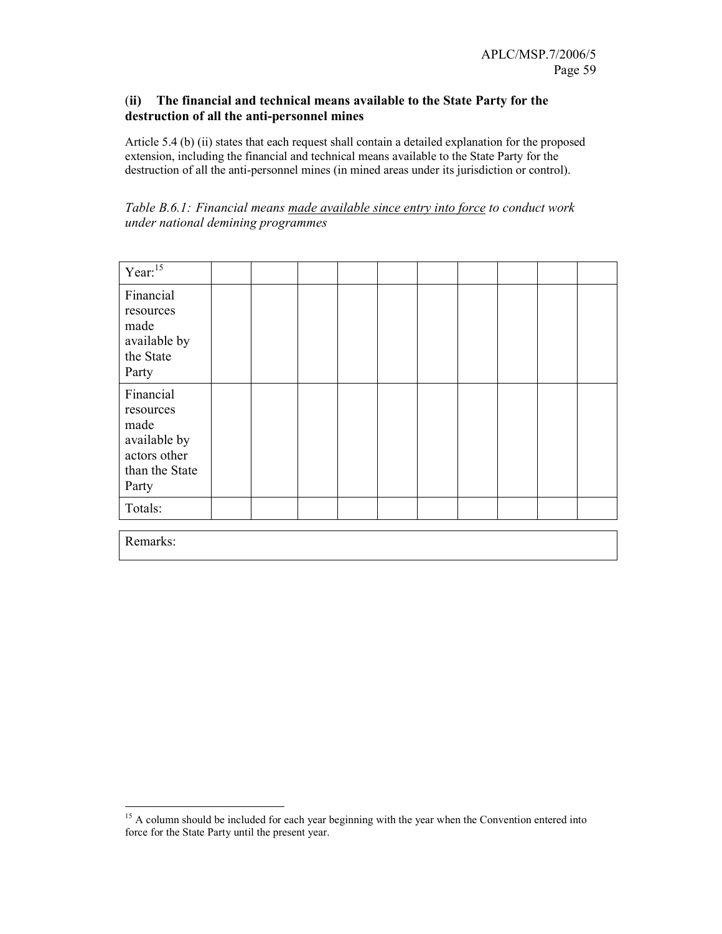### (ii) The financial and technical means available to the State Party for the destruction of all the anti-personnel mines

Article 5.4 (b) (ii) states that each request shall contain a detailed explanation for the proposed extension, including the financial and technical means available to the State Party for the destruction of all the anti-personnel mines (in mined areas under its jurisdiction or control).

| Table B.6.1: Financial means made available since entry into force to conduct work |  |  |  |
|------------------------------------------------------------------------------------|--|--|--|
| under national demining programmes                                                 |  |  |  |

| Year: $15$                                                                                |  |  |  |  |  |
|-------------------------------------------------------------------------------------------|--|--|--|--|--|
| Financial<br>resources<br>made<br>available by<br>the State<br>Party                      |  |  |  |  |  |
| Financial<br>resources<br>made<br>available by<br>actors other<br>than the State<br>Party |  |  |  |  |  |
| Totals:                                                                                   |  |  |  |  |  |

Remarks:

-

<sup>&</sup>lt;sup>15</sup> A column should be included for each year beginning with the year when the Convention entered into force for the State Party until the present year.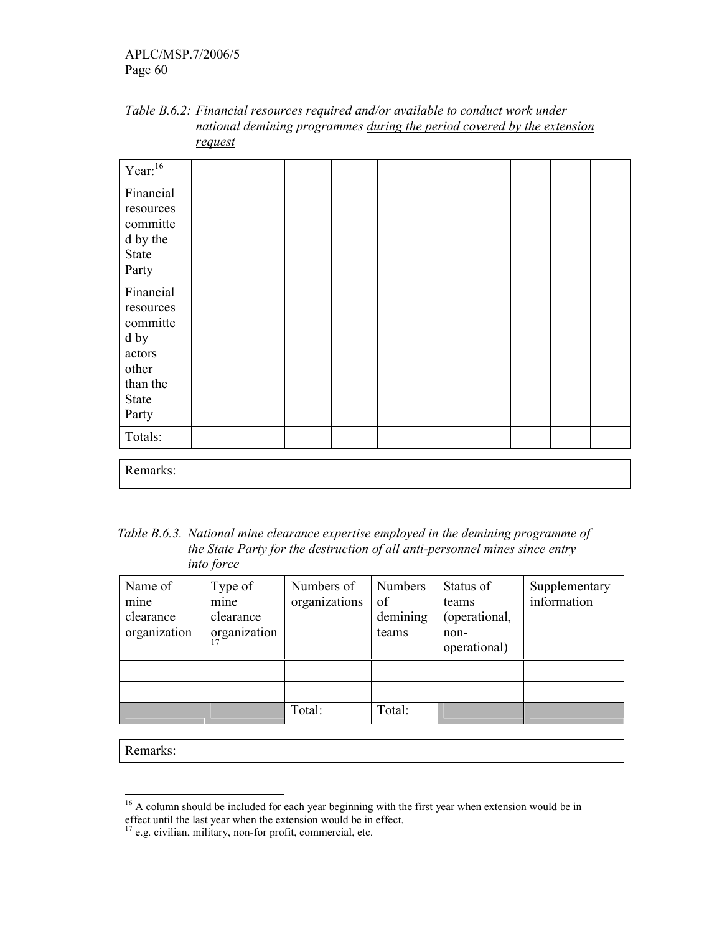| Table B.6.2: Financial resources required and/or available to conduct work under |
|----------------------------------------------------------------------------------|
| national demining programmes during the period covered by the extension          |
| <u>request</u>                                                                   |

| Year: <sup>16</sup>                                                                         |  |  |  |  |  |
|---------------------------------------------------------------------------------------------|--|--|--|--|--|
| Financial<br>resources<br>committe<br>d by the<br>State<br>Party                            |  |  |  |  |  |
| Financial<br>resources<br>committe<br>d by<br>actors<br>other<br>than the<br>State<br>Party |  |  |  |  |  |
| Totals:                                                                                     |  |  |  |  |  |
| Remarks:                                                                                    |  |  |  |  |  |

Table B.6.3. National mine clearance expertise employed in the demining programme of the State Party for the destruction of all anti-personnel mines since entry into force

| Name of<br>mine<br>clearance<br>organization | Type of<br>mine<br>clearance<br>organization | Numbers of<br>organizations | Numbers<br>of<br>demining<br>teams | Status of<br>teams<br>(operational,<br>non-<br>operational) | Supplementary<br>information |
|----------------------------------------------|----------------------------------------------|-----------------------------|------------------------------------|-------------------------------------------------------------|------------------------------|
|                                              |                                              |                             |                                    |                                                             |                              |
|                                              |                                              |                             |                                    |                                                             |                              |
|                                              |                                              | Total:                      | Total:                             |                                                             |                              |

Remarks:

-

<sup>&</sup>lt;sup>16</sup> A column should be included for each year beginning with the first year when extension would be in effect until the last year when the extension would be in effect.

 $17$  e.g. civilian, military, non-for profit, commercial, etc.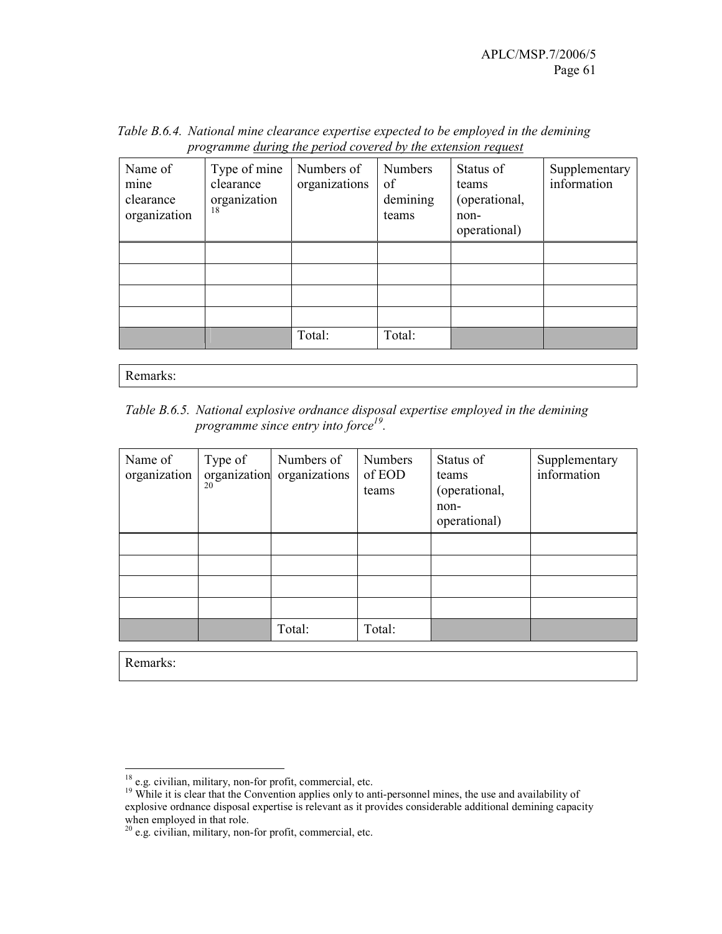| Name of<br>mine<br>clearance<br>organization | Type of mine<br>clearance<br>organization<br>18 | Numbers of<br>organizations | <b>Numbers</b><br>of<br>demining<br>teams | Status of<br>teams<br>(operational,<br>non-<br>operational) | Supplementary<br>information |
|----------------------------------------------|-------------------------------------------------|-----------------------------|-------------------------------------------|-------------------------------------------------------------|------------------------------|
|                                              |                                                 |                             |                                           |                                                             |                              |
|                                              |                                                 |                             |                                           |                                                             |                              |
|                                              |                                                 |                             |                                           |                                                             |                              |
|                                              |                                                 |                             |                                           |                                                             |                              |
|                                              |                                                 | Total:                      | Total:                                    |                                                             |                              |

Table B.6.4. National mine clearance expertise expected to be employed in the demining programme during the period covered by the extension request

Remarks:

Table B.6.5. National explosive ordnance disposal expertise employed in the demining programme since entry into force<sup>19</sup>.

| Name of<br>organization | Type of<br>20 | Numbers of<br>organization organizations | <b>Numbers</b><br>of EOD<br>teams | Status of<br>teams<br>(operational,<br>non-<br>operational) | Supplementary<br>information |
|-------------------------|---------------|------------------------------------------|-----------------------------------|-------------------------------------------------------------|------------------------------|
|                         |               |                                          |                                   |                                                             |                              |
|                         |               |                                          |                                   |                                                             |                              |
|                         |               |                                          |                                   |                                                             |                              |
|                         |               |                                          |                                   |                                                             |                              |
|                         |               | Total:                                   | Total:                            |                                                             |                              |

Remarks:

<sup>-</sup><sup>18</sup> e.g. civilian, military, non-for profit, commercial, etc.

<sup>&</sup>lt;sup>19</sup> While it is clear that the Convention applies only to anti-personnel mines, the use and availability of explosive ordnance disposal expertise is relevant as it provides considerable additional demining capacity when employed in that role.

 $20$  e.g. civilian, military, non-for profit, commercial, etc.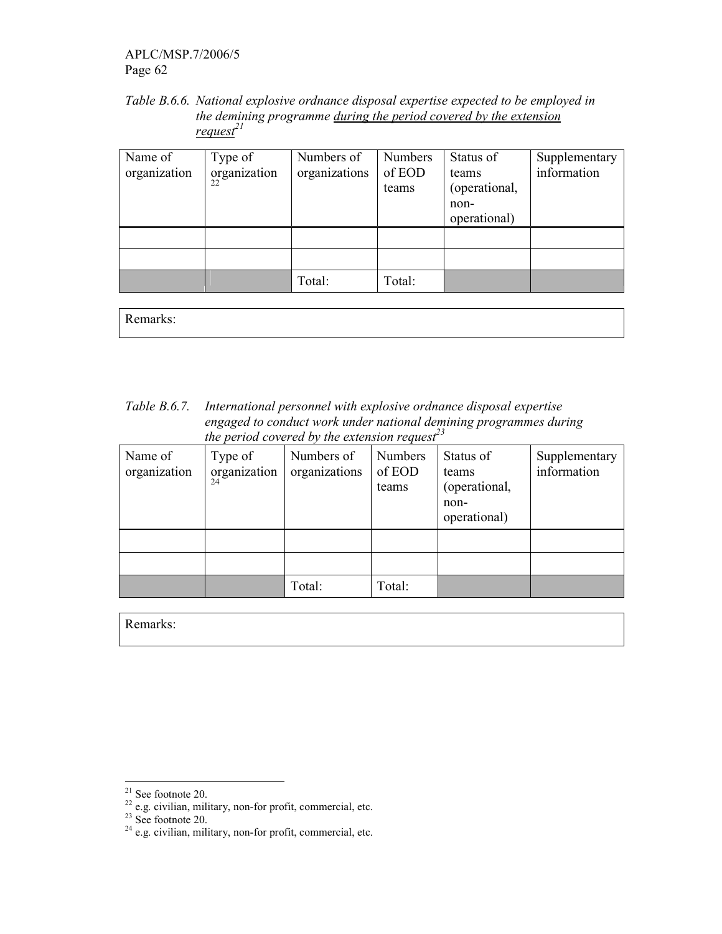APLC/MSP.7/2006/5 Page 62

Table B.6.6. National explosive ordnance disposal expertise expected to be employed in the demining programme during the period covered by the extension  $request^{21}$ 

| Name of<br>organization | Type of<br>organization | Numbers of<br>organizations | <b>Numbers</b><br>of EOD<br>teams | Status of<br>teams<br>(operational,<br>non-<br>operational) | Supplementary<br>information |
|-------------------------|-------------------------|-----------------------------|-----------------------------------|-------------------------------------------------------------|------------------------------|
|                         |                         |                             |                                   |                                                             |                              |
|                         |                         | Total:                      | Total:                            |                                                             |                              |

Remarks:

Table B.6.7. International personnel with explosive ordnance disposal expertise engaged to conduct work under national demining programmes during the period covered by the extension request<sup>23</sup>

| Name of<br>organization | Type of<br>organization<br>24 | Numbers of<br>organizations | Numbers<br>of EOD<br>teams | Status of<br>teams<br>(operational,<br>non-<br>operational) | Supplementary<br>information |
|-------------------------|-------------------------------|-----------------------------|----------------------------|-------------------------------------------------------------|------------------------------|
|                         |                               |                             |                            |                                                             |                              |
|                         |                               |                             |                            |                                                             |                              |
|                         |                               | Total:                      | Total:                     |                                                             |                              |

Remarks:

<sup>-</sup> $21$  See footnote 20.

 $22$  e.g. civilian, military, non-for profit, commercial, etc.

 $23$  See footnote 20.

 $2<sup>24</sup>$  e.g. civilian, military, non-for profit, commercial, etc.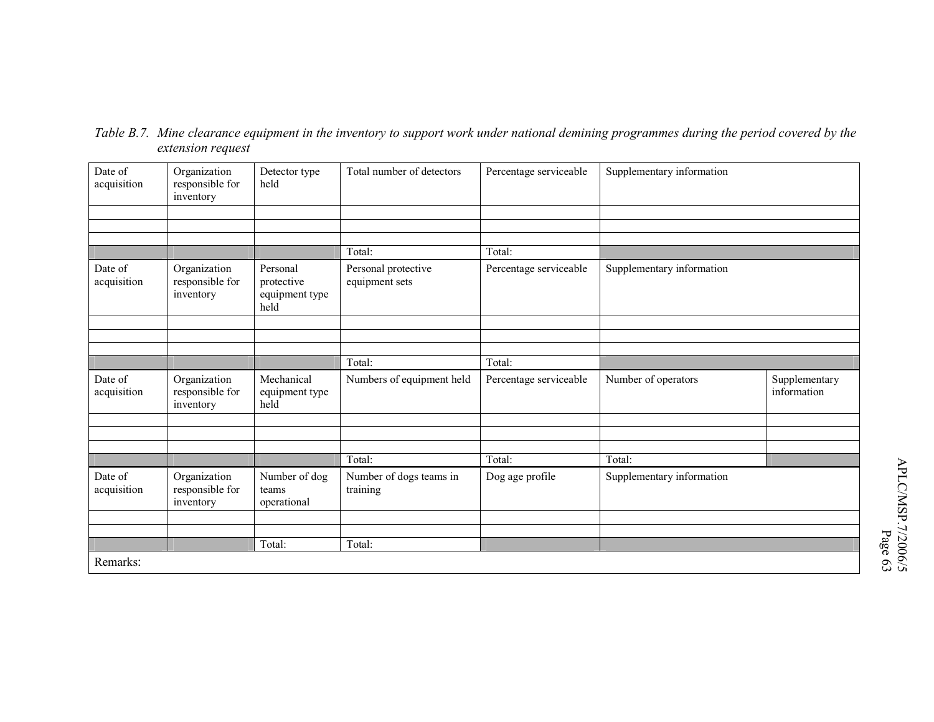| Date of<br>acquisition | Organization<br>responsible for<br>inventory | Detector type<br>held                            | Total number of detectors             | Percentage serviceable | Supplementary information |                              |
|------------------------|----------------------------------------------|--------------------------------------------------|---------------------------------------|------------------------|---------------------------|------------------------------|
|                        |                                              |                                                  |                                       |                        |                           |                              |
|                        |                                              |                                                  |                                       |                        |                           |                              |
|                        |                                              |                                                  | Total:                                | Total:                 |                           |                              |
| Date of<br>acquisition | Organization<br>responsible for<br>inventory | Personal<br>protective<br>equipment type<br>held | Personal protective<br>equipment sets | Percentage serviceable | Supplementary information |                              |
|                        |                                              |                                                  |                                       |                        |                           |                              |
|                        |                                              |                                                  |                                       |                        |                           |                              |
|                        |                                              |                                                  | Total:                                | Total:                 |                           |                              |
|                        |                                              |                                                  |                                       |                        |                           |                              |
| Date of<br>acquisition | Organization<br>responsible for<br>inventory | Mechanical<br>equipment type<br>held             | Numbers of equipment held             | Percentage serviceable | Number of operators       | Supplementary<br>information |
|                        |                                              |                                                  |                                       |                        |                           |                              |
|                        |                                              |                                                  |                                       |                        |                           |                              |
|                        |                                              |                                                  | Total:                                | Total:                 | Total:                    |                              |
| Date of<br>acquisition | Organization<br>responsible for<br>inventory | Number of dog<br>teams<br>operational            | Number of dogs teams in<br>training   | Dog age profile        | Supplementary information |                              |
|                        |                                              |                                                  |                                       |                        |                           |                              |
|                        |                                              | Total:                                           | Total:                                |                        |                           |                              |
| Remarks:               |                                              |                                                  |                                       |                        |                           |                              |

Table B.7. Mine clearance equipment in the inventory to support work under national demining programmes during the period covered by the extension request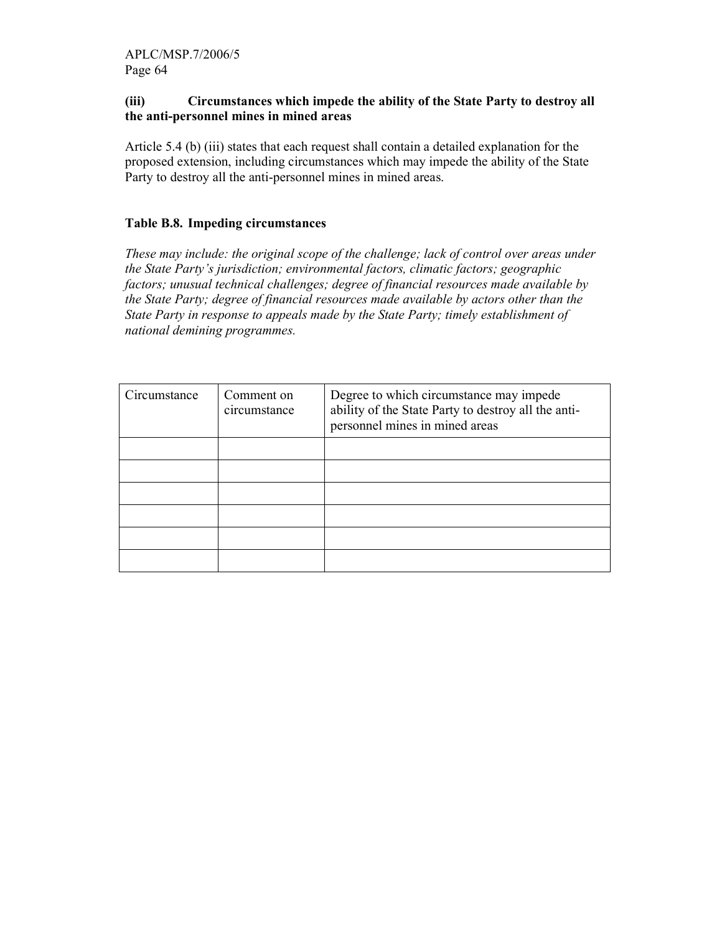### (iii) Circumstances which impede the ability of the State Party to destroy all the anti-personnel mines in mined areas

Article 5.4 (b) (iii) states that each request shall contain a detailed explanation for the proposed extension, including circumstances which may impede the ability of the State Party to destroy all the anti-personnel mines in mined areas.

### Table B.8. Impeding circumstances

These may include: the original scope of the challenge; lack of control over areas under the State Party's jurisdiction; environmental factors, climatic factors; geographic factors; unusual technical challenges; degree of financial resources made available by the State Party; degree of financial resources made available by actors other than the State Party in response to appeals made by the State Party; timely establishment of national demining programmes.

| Circumstance | Comment on<br>circumstance | Degree to which circumstance may impede<br>ability of the State Party to destroy all the anti-<br>personnel mines in mined areas |
|--------------|----------------------------|----------------------------------------------------------------------------------------------------------------------------------|
|              |                            |                                                                                                                                  |
|              |                            |                                                                                                                                  |
|              |                            |                                                                                                                                  |
|              |                            |                                                                                                                                  |
|              |                            |                                                                                                                                  |
|              |                            |                                                                                                                                  |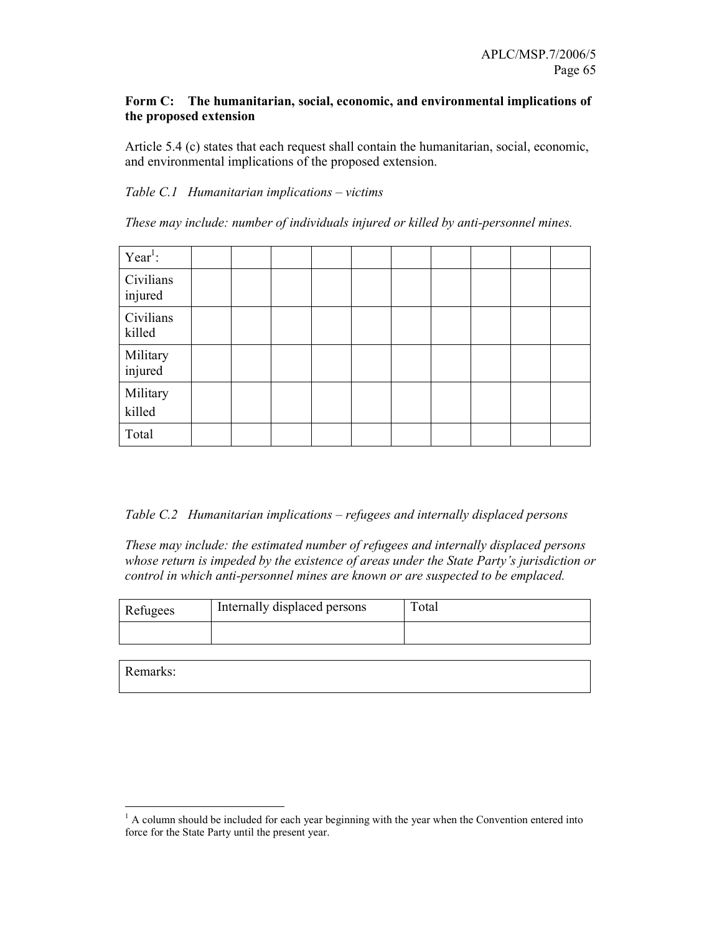### Form C: The humanitarian, social, economic, and environmental implications of the proposed extension

Article 5.4 (c) states that each request shall contain the humanitarian, social, economic, and environmental implications of the proposed extension.

### Table C.1 Humanitarian implications – victims

These may include: number of individuals injured or killed by anti-personnel mines.

| Year <sup>1</sup> :  |  |  |  |  |  |
|----------------------|--|--|--|--|--|
| Civilians<br>injured |  |  |  |  |  |
| Civilians<br>killed  |  |  |  |  |  |
| Military<br>injured  |  |  |  |  |  |
| Military<br>killed   |  |  |  |  |  |
| Total                |  |  |  |  |  |

Table C.2 Humanitarian implications – refugees and internally displaced persons

These may include: the estimated number of refugees and internally displaced persons whose return is impeded by the existence of areas under the State Party's jurisdiction or control in which anti-personnel mines are known or are suspected to be emplaced.

| Refugees | Internally displaced persons | Total |  |  |  |
|----------|------------------------------|-------|--|--|--|
|          |                              |       |  |  |  |

Remarks:

-

 $<sup>1</sup>$  A column should be included for each year beginning with the year when the Convention entered into</sup> force for the State Party until the present year.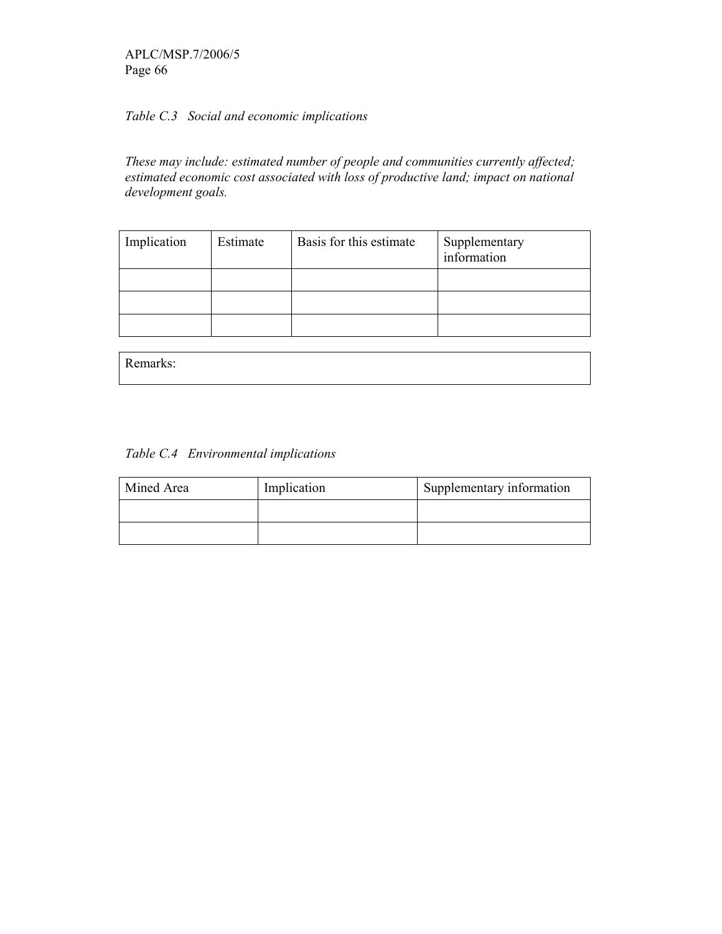APLC/MSP.7/2006/5 Page 66

# Table C.3 Social and economic implications

These may include: estimated number of people and communities currently affected; estimated economic cost associated with loss of productive land; impact on national development goals.

| Implication | Estimate | Basis for this estimate | Supplementary<br>information |
|-------------|----------|-------------------------|------------------------------|
|             |          |                         |                              |
|             |          |                         |                              |
|             |          |                         |                              |

| Remarks: |
|----------|
|----------|

| Mined Area | Implication | Supplementary information |
|------------|-------------|---------------------------|
|            |             |                           |
|            |             |                           |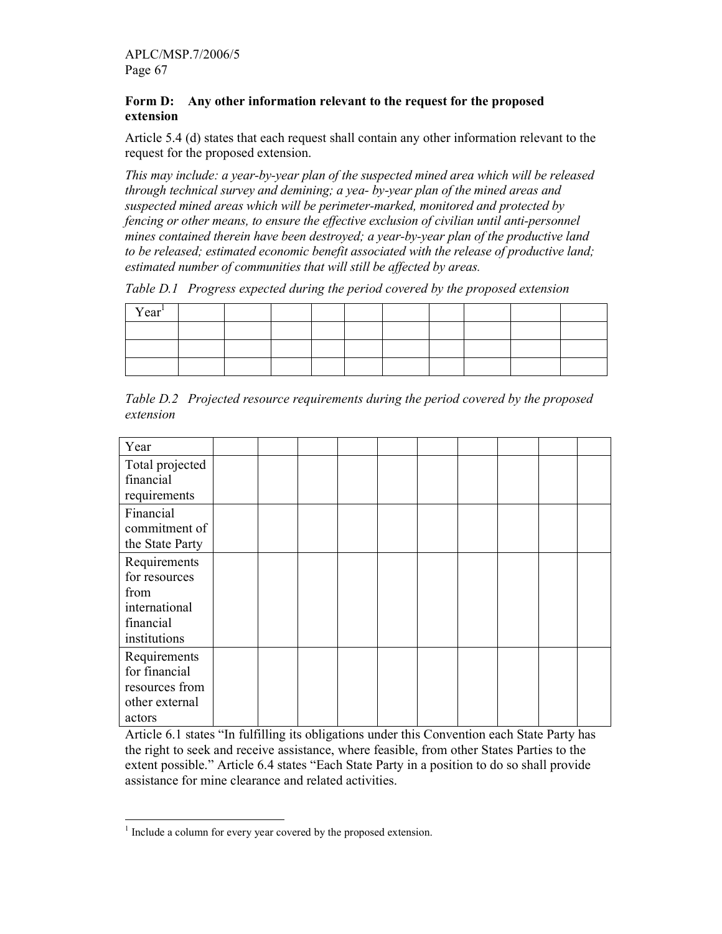### Form D: Any other information relevant to the request for the proposed extension

Article 5.4 (d) states that each request shall contain any other information relevant to the request for the proposed extension.

This may include: a year-by-year plan of the suspected mined area which will be released through technical survey and demining; a yea- by-year plan of the mined areas and suspected mined areas which will be perimeter-marked, monitored and protected by fencing or other means, to ensure the effective exclusion of civilian until anti-personnel mines contained therein have been destroyed; a year-by-year plan of the productive land to be released; estimated economic benefit associated with the release of productive land; estimated number of communities that will still be affected by areas.

Table D.1 Progress expected during the period covered by the proposed extension

| Year <sup>1</sup> |  |  |  |  |  |
|-------------------|--|--|--|--|--|
|                   |  |  |  |  |  |
|                   |  |  |  |  |  |
|                   |  |  |  |  |  |

Table D.2 Projected resource requirements during the period covered by the proposed extension

| Year            |  |  |  |  |  |
|-----------------|--|--|--|--|--|
| Total projected |  |  |  |  |  |
| financial       |  |  |  |  |  |
| requirements    |  |  |  |  |  |
| Financial       |  |  |  |  |  |
| commitment of   |  |  |  |  |  |
| the State Party |  |  |  |  |  |
| Requirements    |  |  |  |  |  |
| for resources   |  |  |  |  |  |
| from            |  |  |  |  |  |
| international   |  |  |  |  |  |
| financial       |  |  |  |  |  |
| institutions    |  |  |  |  |  |
| Requirements    |  |  |  |  |  |
| for financial   |  |  |  |  |  |
| resources from  |  |  |  |  |  |
| other external  |  |  |  |  |  |
| actors          |  |  |  |  |  |

Article 6.1 states "In fulfilling its obligations under this Convention each State Party has the right to seek and receive assistance, where feasible, from other States Parties to the extent possible." Article 6.4 states "Each State Party in a position to do so shall provide assistance for mine clearance and related activities.

<sup>&</sup>lt;sup>1</sup> Include a column for every year covered by the proposed extension.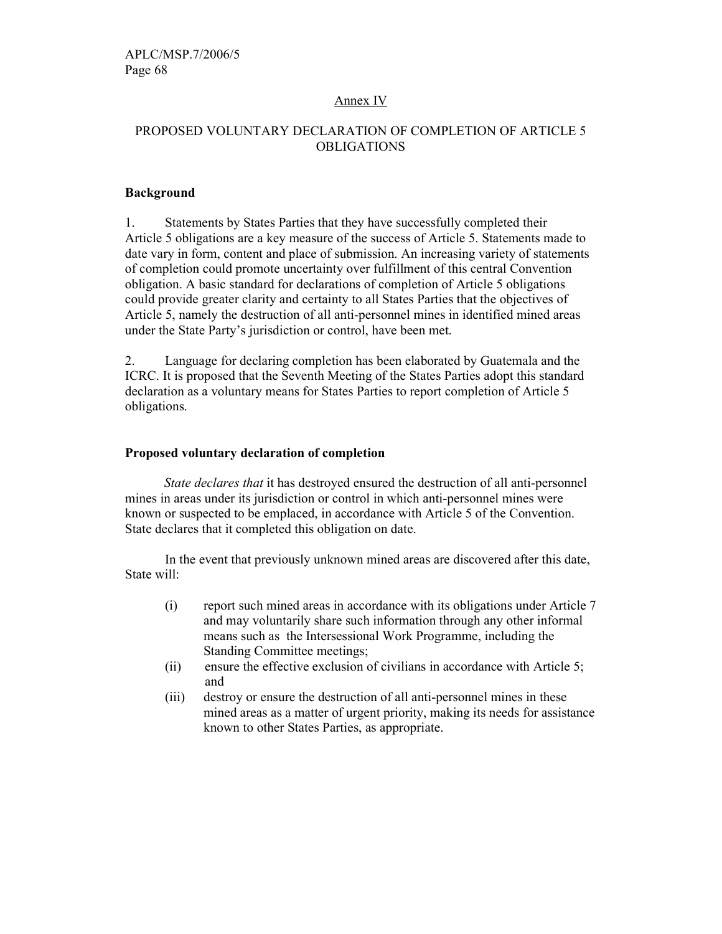### Annex IV

## PROPOSED VOLUNTARY DECLARATION OF COMPLETION OF ARTICLE 5 OBLIGATIONS

#### Background

1. Statements by States Parties that they have successfully completed their Article 5 obligations are a key measure of the success of Article 5. Statements made to date vary in form, content and place of submission. An increasing variety of statements of completion could promote uncertainty over fulfillment of this central Convention obligation. A basic standard for declarations of completion of Article 5 obligations could provide greater clarity and certainty to all States Parties that the objectives of Article 5, namely the destruction of all anti-personnel mines in identified mined areas under the State Party's jurisdiction or control, have been met.

2. Language for declaring completion has been elaborated by Guatemala and the ICRC. It is proposed that the Seventh Meeting of the States Parties adopt this standard declaration as a voluntary means for States Parties to report completion of Article 5 obligations.

#### Proposed voluntary declaration of completion

State declares that it has destroyed ensured the destruction of all anti-personnel mines in areas under its jurisdiction or control in which anti-personnel mines were known or suspected to be emplaced, in accordance with Article 5 of the Convention. State declares that it completed this obligation on date.

In the event that previously unknown mined areas are discovered after this date, State will:

- (i) report such mined areas in accordance with its obligations under Article 7 and may voluntarily share such information through any other informal means such as the Intersessional Work Programme, including the Standing Committee meetings;
- (ii) ensure the effective exclusion of civilians in accordance with Article 5; and
- (iii) destroy or ensure the destruction of all anti-personnel mines in these mined areas as a matter of urgent priority, making its needs for assistance known to other States Parties, as appropriate.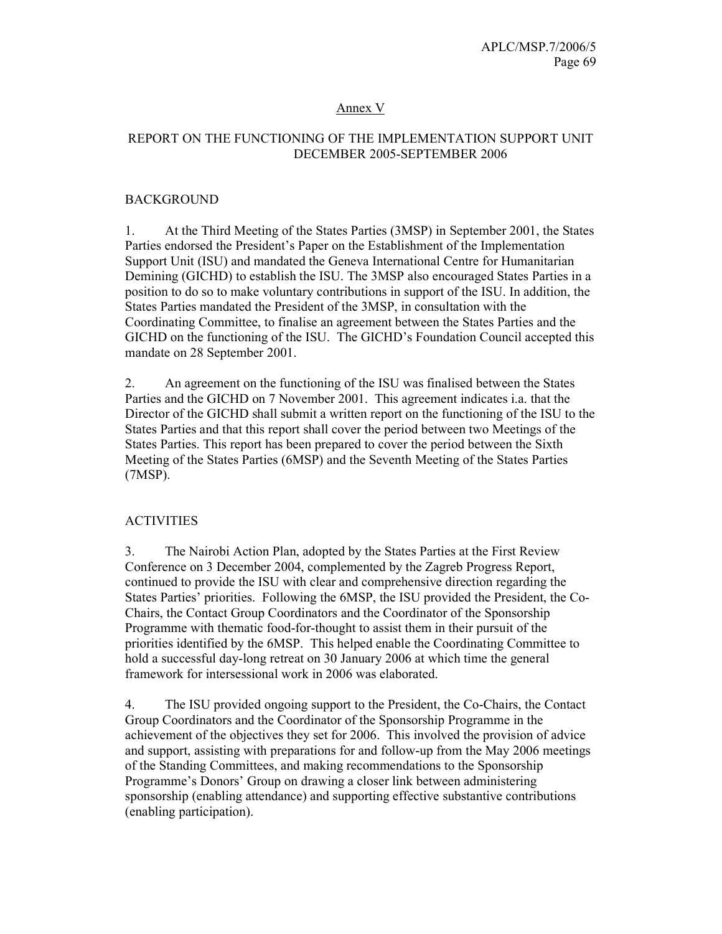### Annex V

### REPORT ON THE FUNCTIONING OF THE IMPLEMENTATION SUPPORT UNIT DECEMBER 2005-SEPTEMBER 2006

#### BACKGROUND

1. At the Third Meeting of the States Parties (3MSP) in September 2001, the States Parties endorsed the President's Paper on the Establishment of the Implementation Support Unit (ISU) and mandated the Geneva International Centre for Humanitarian Demining (GICHD) to establish the ISU. The 3MSP also encouraged States Parties in a position to do so to make voluntary contributions in support of the ISU. In addition, the States Parties mandated the President of the 3MSP, in consultation with the Coordinating Committee, to finalise an agreement between the States Parties and the GICHD on the functioning of the ISU. The GICHD's Foundation Council accepted this mandate on 28 September 2001.

2. An agreement on the functioning of the ISU was finalised between the States Parties and the GICHD on 7 November 2001. This agreement indicates i.a. that the Director of the GICHD shall submit a written report on the functioning of the ISU to the States Parties and that this report shall cover the period between two Meetings of the States Parties. This report has been prepared to cover the period between the Sixth Meeting of the States Parties (6MSP) and the Seventh Meeting of the States Parties (7MSP).

### **ACTIVITIES**

3. The Nairobi Action Plan, adopted by the States Parties at the First Review Conference on 3 December 2004, complemented by the Zagreb Progress Report, continued to provide the ISU with clear and comprehensive direction regarding the States Parties' priorities. Following the 6MSP, the ISU provided the President, the Co-Chairs, the Contact Group Coordinators and the Coordinator of the Sponsorship Programme with thematic food-for-thought to assist them in their pursuit of the priorities identified by the 6MSP. This helped enable the Coordinating Committee to hold a successful day-long retreat on 30 January 2006 at which time the general framework for intersessional work in 2006 was elaborated.

4. The ISU provided ongoing support to the President, the Co-Chairs, the Contact Group Coordinators and the Coordinator of the Sponsorship Programme in the achievement of the objectives they set for 2006. This involved the provision of advice and support, assisting with preparations for and follow-up from the May 2006 meetings of the Standing Committees, and making recommendations to the Sponsorship Programme's Donors' Group on drawing a closer link between administering sponsorship (enabling attendance) and supporting effective substantive contributions (enabling participation).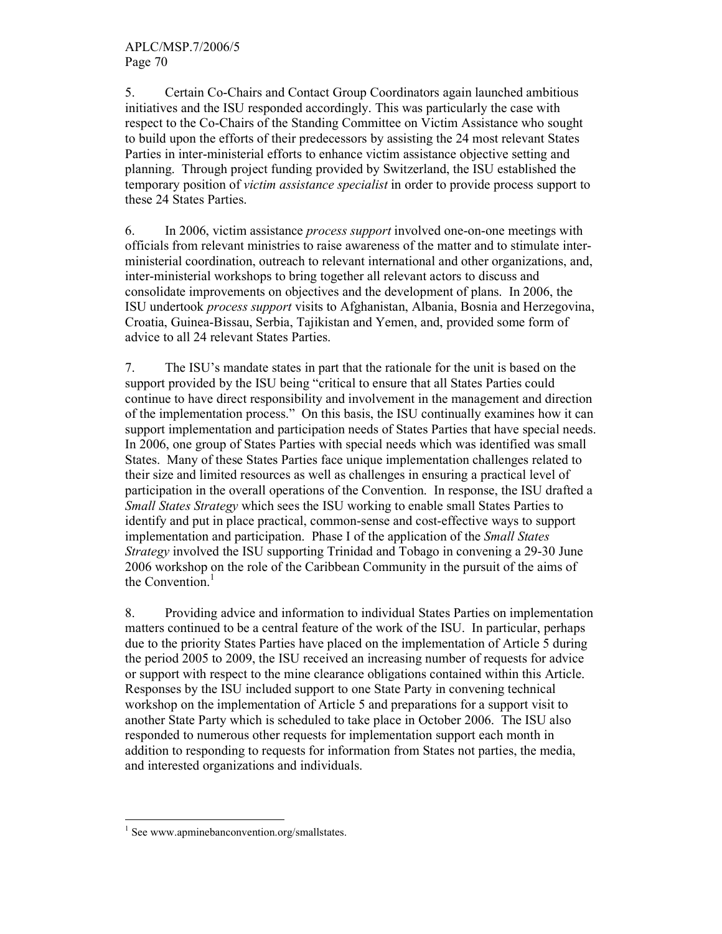5. Certain Co-Chairs and Contact Group Coordinators again launched ambitious initiatives and the ISU responded accordingly. This was particularly the case with respect to the Co-Chairs of the Standing Committee on Victim Assistance who sought to build upon the efforts of their predecessors by assisting the 24 most relevant States Parties in inter-ministerial efforts to enhance victim assistance objective setting and planning. Through project funding provided by Switzerland, the ISU established the temporary position of victim assistance specialist in order to provide process support to these 24 States Parties.

6. In 2006, victim assistance process support involved one-on-one meetings with officials from relevant ministries to raise awareness of the matter and to stimulate interministerial coordination, outreach to relevant international and other organizations, and, inter-ministerial workshops to bring together all relevant actors to discuss and consolidate improvements on objectives and the development of plans. In 2006, the ISU undertook process support visits to Afghanistan, Albania, Bosnia and Herzegovina, Croatia, Guinea-Bissau, Serbia, Tajikistan and Yemen, and, provided some form of advice to all 24 relevant States Parties.

7. The ISU's mandate states in part that the rationale for the unit is based on the support provided by the ISU being "critical to ensure that all States Parties could continue to have direct responsibility and involvement in the management and direction of the implementation process." On this basis, the ISU continually examines how it can support implementation and participation needs of States Parties that have special needs. In 2006, one group of States Parties with special needs which was identified was small States. Many of these States Parties face unique implementation challenges related to their size and limited resources as well as challenges in ensuring a practical level of participation in the overall operations of the Convention. In response, the ISU drafted a Small States Strategy which sees the ISU working to enable small States Parties to identify and put in place practical, common-sense and cost-effective ways to support implementation and participation. Phase I of the application of the Small States Strategy involved the ISU supporting Trinidad and Tobago in convening a 29-30 June 2006 workshop on the role of the Caribbean Community in the pursuit of the aims of the Convention.<sup>1</sup>

8. Providing advice and information to individual States Parties on implementation matters continued to be a central feature of the work of the ISU. In particular, perhaps due to the priority States Parties have placed on the implementation of Article 5 during the period 2005 to 2009, the ISU received an increasing number of requests for advice or support with respect to the mine clearance obligations contained within this Article. Responses by the ISU included support to one State Party in convening technical workshop on the implementation of Article 5 and preparations for a support visit to another State Party which is scheduled to take place in October 2006. The ISU also responded to numerous other requests for implementation support each month in addition to responding to requests for information from States not parties, the media, and interested organizations and individuals.

<sup>-</sup><sup>1</sup> See www.apminebanconvention.org/smallstates.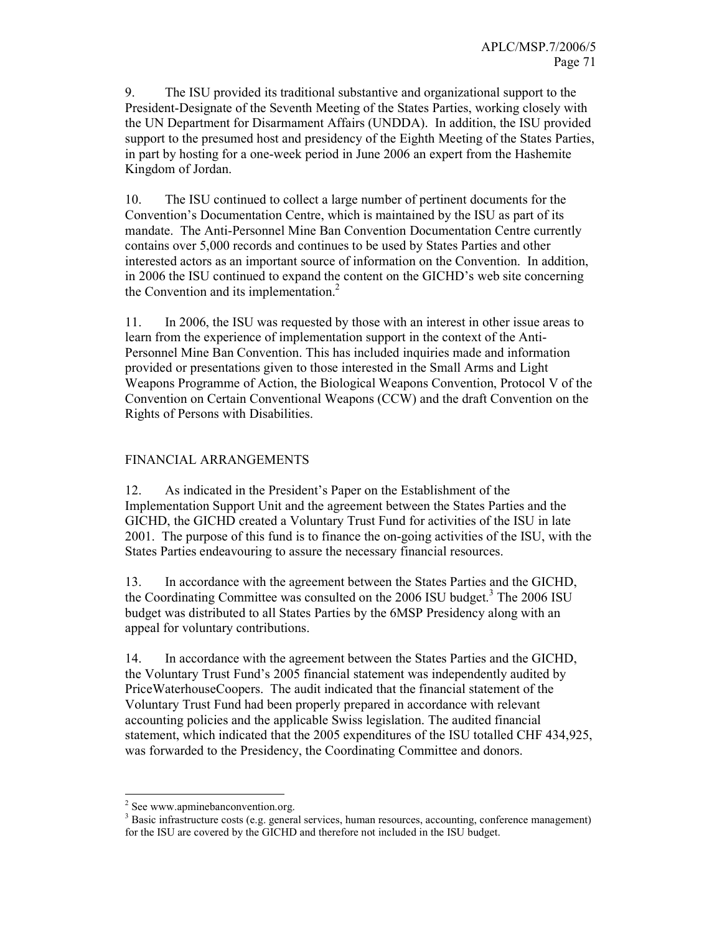9. The ISU provided its traditional substantive and organizational support to the President-Designate of the Seventh Meeting of the States Parties, working closely with the UN Department for Disarmament Affairs (UNDDA). In addition, the ISU provided support to the presumed host and presidency of the Eighth Meeting of the States Parties, in part by hosting for a one-week period in June 2006 an expert from the Hashemite Kingdom of Jordan.

10. The ISU continued to collect a large number of pertinent documents for the Convention's Documentation Centre, which is maintained by the ISU as part of its mandate. The Anti-Personnel Mine Ban Convention Documentation Centre currently contains over 5,000 records and continues to be used by States Parties and other interested actors as an important source of information on the Convention. In addition, in 2006 the ISU continued to expand the content on the GICHD's web site concerning the Convention and its implementation.<sup>2</sup>

11. In 2006, the ISU was requested by those with an interest in other issue areas to learn from the experience of implementation support in the context of the Anti-Personnel Mine Ban Convention. This has included inquiries made and information provided or presentations given to those interested in the Small Arms and Light Weapons Programme of Action, the Biological Weapons Convention, Protocol V of the Convention on Certain Conventional Weapons (CCW) and the draft Convention on the Rights of Persons with Disabilities.

### FINANCIAL ARRANGEMENTS

12. As indicated in the President's Paper on the Establishment of the Implementation Support Unit and the agreement between the States Parties and the GICHD, the GICHD created a Voluntary Trust Fund for activities of the ISU in late 2001. The purpose of this fund is to finance the on-going activities of the ISU, with the States Parties endeavouring to assure the necessary financial resources.

13. In accordance with the agreement between the States Parties and the GICHD, the Coordinating Committee was consulted on the  $2006$  ISU budget.<sup>3</sup> The  $2006$  ISU budget was distributed to all States Parties by the 6MSP Presidency along with an appeal for voluntary contributions.

14. In accordance with the agreement between the States Parties and the GICHD, the Voluntary Trust Fund's 2005 financial statement was independently audited by PriceWaterhouseCoopers. The audit indicated that the financial statement of the Voluntary Trust Fund had been properly prepared in accordance with relevant accounting policies and the applicable Swiss legislation. The audited financial statement, which indicated that the 2005 expenditures of the ISU totalled CHF 434,925, was forwarded to the Presidency, the Coordinating Committee and donors.

-

<sup>&</sup>lt;sup>2</sup> See www.apminebanconvention.org.

 $3$  Basic infrastructure costs (e.g. general services, human resources, accounting, conference management) for the ISU are covered by the GICHD and therefore not included in the ISU budget.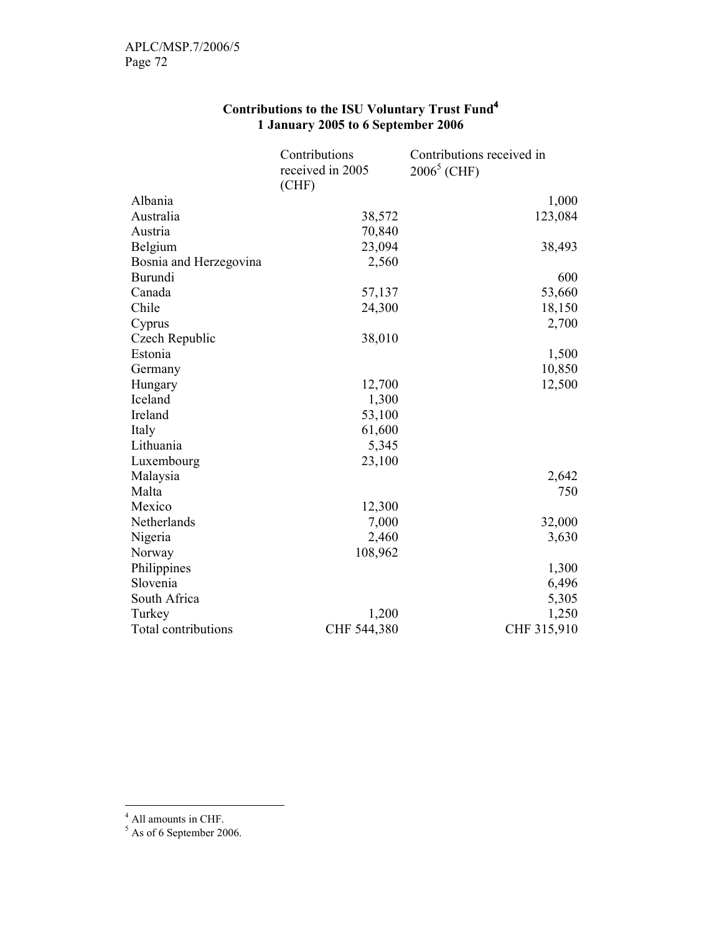|                        | Contributions    | Contributions received in |
|------------------------|------------------|---------------------------|
|                        | received in 2005 | $2006^5$ (CHF)            |
|                        | (CHF)            |                           |
| Albania                |                  | 1,000                     |
| Australia              | 38,572           | 123,084                   |
| Austria                | 70,840           |                           |
| Belgium                | 23,094           | 38,493                    |
| Bosnia and Herzegovina | 2,560            |                           |
| <b>Burundi</b>         |                  | 600                       |
| Canada                 | 57,137           | 53,660                    |
| Chile                  | 24,300           | 18,150                    |
| Cyprus                 |                  | 2,700                     |
| Czech Republic         | 38,010           |                           |
| Estonia                |                  | 1,500                     |
| Germany                |                  | 10,850                    |
| Hungary                | 12,700           | 12,500                    |
| Iceland                | 1,300            |                           |
| Ireland                | 53,100           |                           |
| Italy                  | 61,600           |                           |
| Lithuania              | 5,345            |                           |
| Luxembourg             | 23,100           |                           |
| Malaysia               |                  | 2,642                     |
| Malta                  |                  | 750                       |
| Mexico                 | 12,300           |                           |
| Netherlands            | 7,000            | 32,000                    |
| Nigeria                | 2,460            | 3,630                     |
| Norway                 | 108,962          |                           |
| Philippines            |                  | 1,300                     |
| Slovenia               |                  | 6,496                     |
| South Africa           |                  | 5,305                     |
| Turkey                 | 1,200            | 1,250                     |
| Total contributions    | CHF 544,380      | CHF 315,910               |

## Contributions to the ISU Voluntary Trust Fund<sup>4</sup> 1 January 2005 to 6 September 2006

<sup>&</sup>lt;sup>4</sup> All amounts in CHF.<br><sup>5</sup> As of 6 September 2006.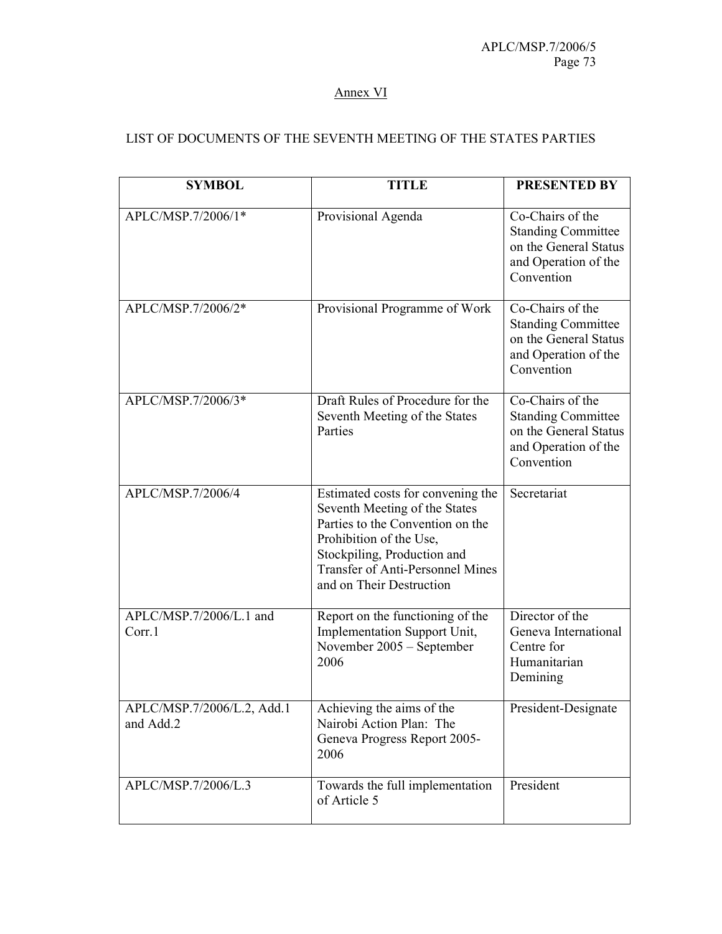## Annex VI

## LIST OF DOCUMENTS OF THE SEVENTH MEETING OF THE STATES PARTIES

| <b>SYMBOL</b>                           | <b>TITLE</b>                                                                                                                                                                                                                            | <b>PRESENTED BY</b>                                                                                          |
|-----------------------------------------|-----------------------------------------------------------------------------------------------------------------------------------------------------------------------------------------------------------------------------------------|--------------------------------------------------------------------------------------------------------------|
| APLC/MSP.7/2006/1*                      | Provisional Agenda                                                                                                                                                                                                                      | Co-Chairs of the<br><b>Standing Committee</b><br>on the General Status<br>and Operation of the<br>Convention |
| APLC/MSP.7/2006/2*                      | Provisional Programme of Work                                                                                                                                                                                                           | Co-Chairs of the<br><b>Standing Committee</b><br>on the General Status<br>and Operation of the<br>Convention |
| APLC/MSP.7/2006/3*                      | Draft Rules of Procedure for the<br>Seventh Meeting of the States<br>Parties                                                                                                                                                            | Co-Chairs of the<br><b>Standing Committee</b><br>on the General Status<br>and Operation of the<br>Convention |
| APLC/MSP.7/2006/4                       | Estimated costs for convening the<br>Seventh Meeting of the States<br>Parties to the Convention on the<br>Prohibition of the Use,<br>Stockpiling, Production and<br><b>Transfer of Anti-Personnel Mines</b><br>and on Their Destruction | Secretariat                                                                                                  |
| APLC/MSP.7/2006/L.1 and<br>Corr.1       | Report on the functioning of the<br>Implementation Support Unit,<br>November 2005 – September<br>2006                                                                                                                                   | Director of the<br>Geneva International<br>Centre for<br>Humanitarian<br>Demining                            |
| APLC/MSP.7/2006/L.2, Add.1<br>and Add.2 | Achieving the aims of the<br>Nairobi Action Plan: The<br>Geneva Progress Report 2005-<br>2006                                                                                                                                           | President-Designate                                                                                          |
| APLC/MSP.7/2006/L.3                     | Towards the full implementation<br>of Article 5                                                                                                                                                                                         | President                                                                                                    |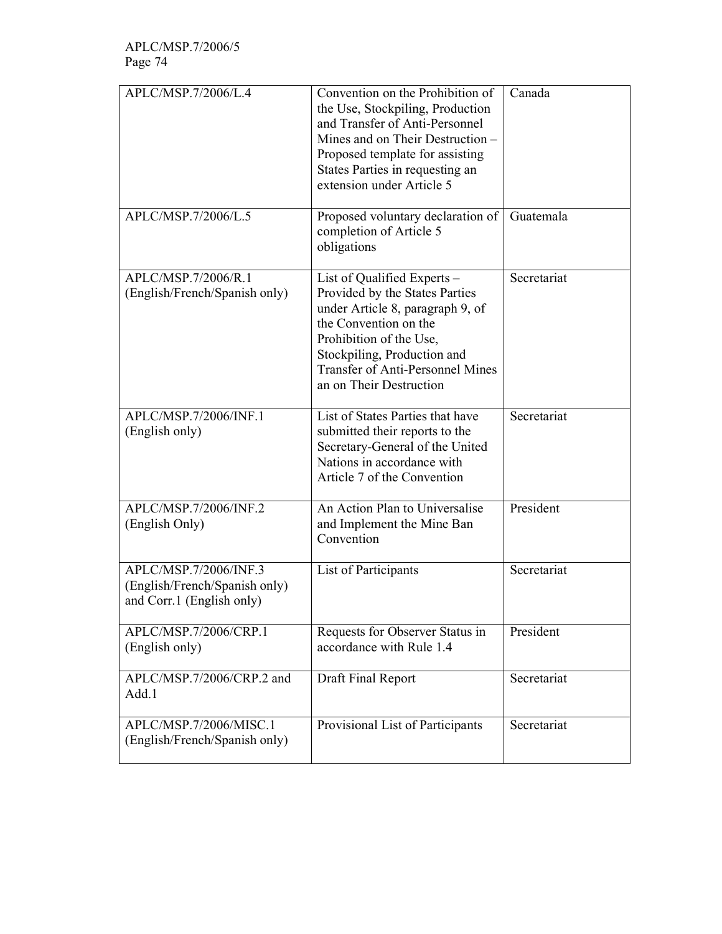| APLC/MSP.7/2006/L.4                                                                 | Convention on the Prohibition of<br>the Use, Stockpiling, Production<br>and Transfer of Anti-Personnel<br>Mines and on Their Destruction -<br>Proposed template for assisting<br>States Parties in requesting an<br>extension under Article 5              | Canada      |
|-------------------------------------------------------------------------------------|------------------------------------------------------------------------------------------------------------------------------------------------------------------------------------------------------------------------------------------------------------|-------------|
| APLC/MSP.7/2006/L.5                                                                 | Proposed voluntary declaration of<br>completion of Article 5<br>obligations                                                                                                                                                                                | Guatemala   |
| APLC/MSP.7/2006/R.1<br>(English/French/Spanish only)                                | List of Qualified Experts -<br>Provided by the States Parties<br>under Article 8, paragraph 9, of<br>the Convention on the<br>Prohibition of the Use,<br>Stockpiling, Production and<br><b>Transfer of Anti-Personnel Mines</b><br>an on Their Destruction | Secretariat |
| APLC/MSP.7/2006/INF.1<br>(English only)                                             | List of States Parties that have<br>submitted their reports to the<br>Secretary-General of the United<br>Nations in accordance with<br>Article 7 of the Convention                                                                                         | Secretariat |
| APLC/MSP.7/2006/INF.2<br>(English Only)                                             | An Action Plan to Universalise<br>and Implement the Mine Ban<br>Convention                                                                                                                                                                                 | President   |
| APLC/MSP.7/2006/INF.3<br>(English/French/Spanish only)<br>and Corr.1 (English only) | List of Participants                                                                                                                                                                                                                                       | Secretariat |
| APLC/MSP.7/2006/CRP.1<br>(English only)                                             | Requests for Observer Status in<br>accordance with Rule 1.4                                                                                                                                                                                                | President   |
| APLC/MSP.7/2006/CRP.2 and<br>Add.1                                                  | Draft Final Report                                                                                                                                                                                                                                         | Secretariat |
| APLC/MSP.7/2006/MISC.1<br>(English/French/Spanish only)                             | Provisional List of Participants                                                                                                                                                                                                                           | Secretariat |